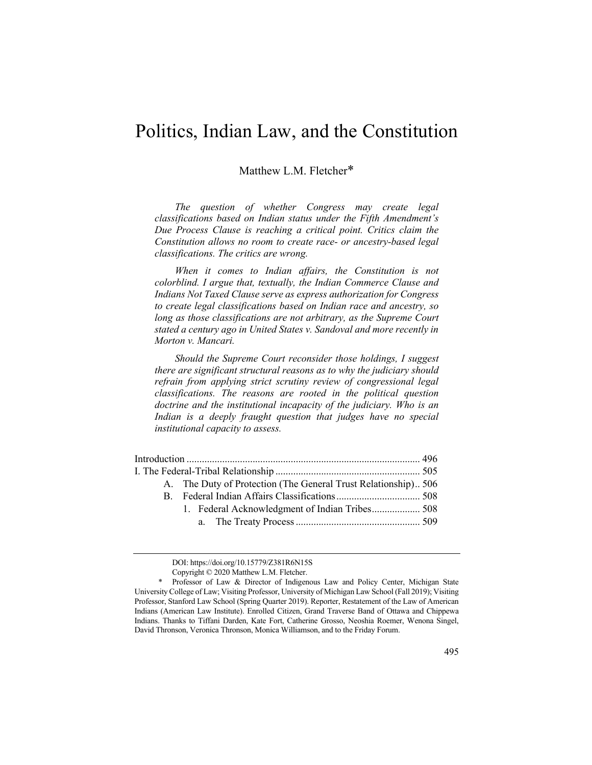# Politics, Indian Law, and the Constitution

Matthew L.M. Fletcher\*

*The question of whether Congress may create legal classifications based on Indian status under the Fifth Amendment's Due Process Clause is reaching a critical point. Critics claim the Constitution allows no room to create race- or ancestry-based legal classifications. The critics are wrong.*

*When it comes to Indian affairs, the Constitution is not colorblind. I argue that, textually, the Indian Commerce Clause and Indians Not Taxed Clause serve as express authorization for Congress to create legal classifications based on Indian race and ancestry, so long as those classifications are not arbitrary, as the Supreme Court stated a century ago in United States v. Sandoval and more recently in Morton v. Mancari.*

*Should the Supreme Court reconsider those holdings, I suggest there are significant structural reasons as to why the judiciary should refrain from applying strict scrutiny review of congressional legal classifications. The reasons are rooted in the political question doctrine and the institutional incapacity of the judiciary. Who is an Indian is a deeply fraught question that judges have no special institutional capacity to assess.*

| A. The Duty of Protection (The General Trust Relationship) 506 |  |
|----------------------------------------------------------------|--|
|                                                                |  |
|                                                                |  |
|                                                                |  |
|                                                                |  |

DOI: https://doi.org/10.15779/Z381R6N15S

Copyright © 2020 Matthew L.M. Fletcher.

Professor of Law & Director of Indigenous Law and Policy Center, Michigan State University College of Law; Visiting Professor, University of Michigan Law School (Fall 2019); Visiting Professor, Stanford Law School (Spring Quarter 2019). Reporter, Restatement of the Law of American Indians (American Law Institute). Enrolled Citizen, Grand Traverse Band of Ottawa and Chippewa Indians. Thanks to Tiffani Darden, Kate Fort, Catherine Grosso, Neoshia Roemer, Wenona Singel, David Thronson, Veronica Thronson, Monica Williamson, and to the Friday Forum.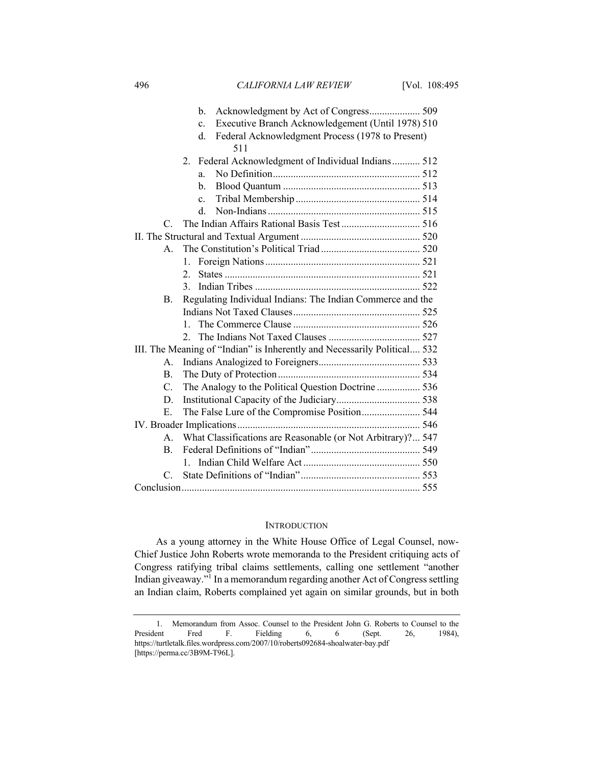496 *CALIFORNIA LAW REVIEW* [Vol. 108:495

|                | Acknowledgment by Act of Congress 509<br>h.                              |  |
|----------------|--------------------------------------------------------------------------|--|
|                | Executive Branch Acknowledgement (Until 1978) 510<br>$\mathbf{c}$ .      |  |
|                | Federal Acknowledgment Process (1978 to Present)<br>d.                   |  |
|                | 511                                                                      |  |
|                | Federal Acknowledgment of Individual Indians 512<br>2.                   |  |
|                | a.                                                                       |  |
|                | $\mathbf{b}$ .                                                           |  |
|                | $\mathbf{c}$ .                                                           |  |
|                | d.                                                                       |  |
| $\mathbf{C}$   |                                                                          |  |
|                |                                                                          |  |
| $\mathbf{A}$   |                                                                          |  |
|                | $\mathbf{1}$ .                                                           |  |
|                | 2.                                                                       |  |
|                | $\mathbf{3}_{-}$                                                         |  |
| B.             | Regulating Individual Indians: The Indian Commerce and the               |  |
|                |                                                                          |  |
|                | 1                                                                        |  |
|                | 2 <sup>1</sup>                                                           |  |
|                | III. The Meaning of "Indian" is Inherently and Necessarily Political 532 |  |
| $\mathsf{A}$ . |                                                                          |  |
| $\mathbf{B}$ . |                                                                          |  |
| $C_{\cdot}$    | The Analogy to the Political Question Doctrine  536                      |  |
| D.             |                                                                          |  |
| Е.             | The False Lure of the Compromise Position 544                            |  |
|                |                                                                          |  |
| $\mathsf{A}$ . | What Classifications are Reasonable (or Not Arbitrary)? 547              |  |
| B.             |                                                                          |  |
|                | $1 \quad$                                                                |  |
| C.             |                                                                          |  |
|                |                                                                          |  |

# INTRODUCTION

As a young attorney in the White House Office of Legal Counsel, now-Chief Justice John Roberts wrote memoranda to the President critiquing acts of Congress ratifying tribal claims settlements, calling one settlement "another Indian giveaway."1 In a memorandum regarding another Act of Congress settling an Indian claim, Roberts complained yet again on similar grounds, but in both

<sup>1.</sup> Memorandum from Assoc. Counsel to the President John G. Roberts to Counsel to the President Fred F. Fielding 6, 6 (Sept. 26, 1984), President Fred F. Fielding 6, 6 (Sept. 26, 1984), https://turtletalk.files.wordpress.com/2007/10/roberts092684-shoalwater-bay.pdf [https://perma.cc/3B9M-T96L].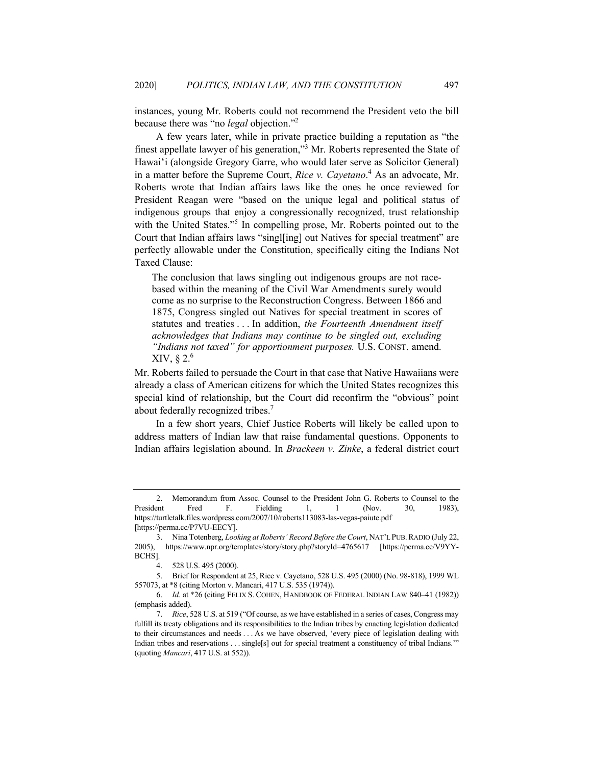instances, young Mr. Roberts could not recommend the President veto the bill because there was "no *legal* objection."2

A few years later, while in private practice building a reputation as "the finest appellate lawyer of his generation,"3 Mr. Roberts represented the State of Hawai'i (alongside Gregory Garre, who would later serve as Solicitor General) in a matter before the Supreme Court, *Rice v. Cayetano*. <sup>4</sup> As an advocate, Mr. Roberts wrote that Indian affairs laws like the ones he once reviewed for President Reagan were "based on the unique legal and political status of indigenous groups that enjoy a congressionally recognized, trust relationship with the United States."<sup>5</sup> In compelling prose, Mr. Roberts pointed out to the Court that Indian affairs laws "singl[ing] out Natives for special treatment" are perfectly allowable under the Constitution, specifically citing the Indians Not Taxed Clause:

The conclusion that laws singling out indigenous groups are not racebased within the meaning of the Civil War Amendments surely would come as no surprise to the Reconstruction Congress. Between 1866 and 1875, Congress singled out Natives for special treatment in scores of statutes and treaties . . . In addition, *the Fourteenth Amendment itself acknowledges that Indians may continue to be singled out, excluding "Indians not taxed" for apportionment purposes.* U.S. CONST. amend.  $XIV, § 2.6$ 

Mr. Roberts failed to persuade the Court in that case that Native Hawaiians were already a class of American citizens for which the United States recognizes this special kind of relationship, but the Court did reconfirm the "obvious" point about federally recognized tribes.<sup>7</sup>

In a few short years, Chief Justice Roberts will likely be called upon to address matters of Indian law that raise fundamental questions. Opponents to Indian affairs legislation abound. In *Brackeen v. Zinke*, a federal district court

<sup>2.</sup> Memorandum from Assoc. Counsel to the President John G. Roberts to Counsel to the President Fred F. Fielding 1, 1 (Nov. 30, 1983), https://turtletalk.files.wordpress.com/2007/10/roberts113083-las-vegas-paiute.pdf

<sup>[</sup>https://perma.cc/P7VU-EECY].

<sup>3.</sup> Nina Totenberg, *Looking at Roberts' Record Before the Court*, NAT'L PUB.RADIO (July 22, 2005), https://www.npr.org/templates/story/story.php?storyId=4765617 [https://perma.cc/V9YY-BCHS].

<sup>4.</sup> 528 U.S. 495 (2000).

<sup>5.</sup> Brief for Respondent at 25, Rice v. Cayetano, 528 U.S. 495 (2000) (No. 98-818), 1999 WL 557073, at \*8 (citing Morton v. Mancari, 417 U.S. 535 (1974)).

<sup>6.</sup> *Id.* at \*26 (citing FELIX S. COHEN, HANDBOOK OF FEDERAL INDIAN LAW 840–41 (1982)) (emphasis added).

<sup>7.</sup> *Rice*, 528 U.S. at 519 ("Of course, as we have established in a series of cases, Congress may fulfill its treaty obligations and its responsibilities to the Indian tribes by enacting legislation dedicated to their circumstances and needs . . . As we have observed, 'every piece of legislation dealing with Indian tribes and reservations . . . single[s] out for special treatment a constituency of tribal Indians.'" (quoting *Mancari*, 417 U.S. at 552)).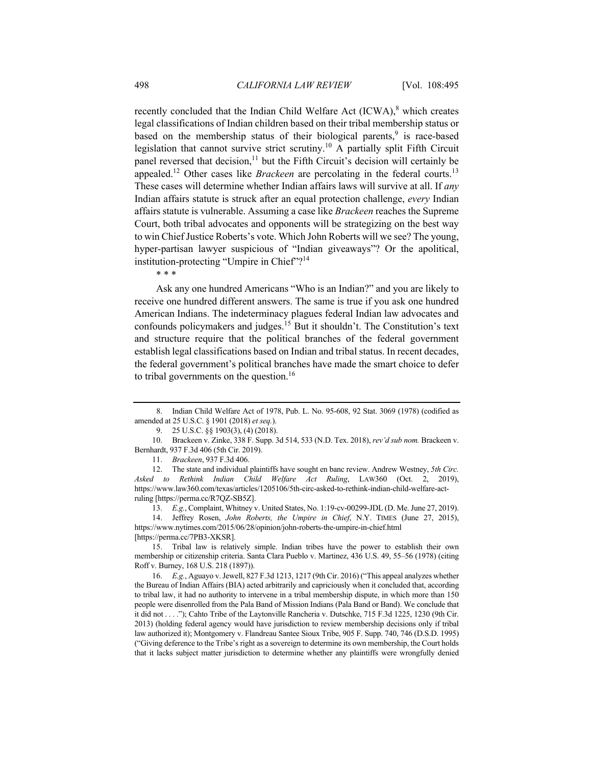recently concluded that the Indian Child Welfare Act (ICWA), <sup>8</sup> which creates legal classifications of Indian children based on their tribal membership status or based on the membership status of their biological parents,  $9$  is race-based legislation that cannot survive strict scrutiny.<sup>10</sup> A partially split Fifth Circuit panel reversed that decision, $11$  but the Fifth Circuit's decision will certainly be appealed.<sup>12</sup> Other cases like *Brackeen* are percolating in the federal courts.<sup>13</sup> These cases will determine whether Indian affairs laws will survive at all. If *any* Indian affairs statute is struck after an equal protection challenge, *every* Indian affairs statute is vulnerable. Assuming a case like *Brackeen* reaches the Supreme Court, both tribal advocates and opponents will be strategizing on the best way to win Chief Justice Roberts's vote. Which John Roberts will we see? The young, hyper-partisan lawyer suspicious of "Indian giveaways"? Or the apolitical, institution-protecting "Umpire in Chief"?<sup>14</sup>

\* \* \*

Ask any one hundred Americans "Who is an Indian?" and you are likely to receive one hundred different answers. The same is true if you ask one hundred American Indians. The indeterminacy plagues federal Indian law advocates and confounds policymakers and judges.<sup>15</sup> But it shouldn't. The Constitution's text and structure require that the political branches of the federal government establish legal classifications based on Indian and tribal status. In recent decades, the federal government's political branches have made the smart choice to defer to tribal governments on the question.<sup>16</sup>

11. *Brackeen*, 937 F.3d 406.

14. Jeffrey Rosen, *John Roberts, the Umpire in Chief*, N.Y. TIMES (June 27, 2015), https://www.nytimes.com/2015/06/28/opinion/john-roberts-the-umpire-in-chief.html [https://perma.cc/7PB3-XKSR].

15. Tribal law is relatively simple. Indian tribes have the power to establish their own membership or citizenship criteria. Santa Clara Pueblo v. Martinez, 436 U.S. 49, 55–56 (1978) (citing Roff v. Burney, 168 U.S. 218 (1897)).

16. *E.g.*, Aguayo v. Jewell, 827 F.3d 1213, 1217 (9th Cir. 2016) ("This appeal analyzes whether the Bureau of Indian Affairs (BIA) acted arbitrarily and capriciously when it concluded that, according to tribal law, it had no authority to intervene in a tribal membership dispute, in which more than 150 people were disenrolled from the Pala Band of Mission Indians (Pala Band or Band). We conclude that it did not . . . ."); Cahto Tribe of the Laytonville Rancheria v. Dutschke, 715 F.3d 1225, 1230 (9th Cir. 2013) (holding federal agency would have jurisdiction to review membership decisions only if tribal law authorized it); Montgomery v. Flandreau Santee Sioux Tribe, 905 F. Supp. 740, 746 (D.S.D. 1995) ("Giving deference to the Tribe's right as a sovereign to determine its own membership, the Court holds that it lacks subject matter jurisdiction to determine whether any plaintiffs were wrongfully denied

<sup>8.</sup> Indian Child Welfare Act of 1978, Pub. L. No. 95-608, 92 Stat. 3069 (1978) (codified as amended at 25 U.S.C. § 1901 (2018) *et seq.*).

<sup>9.</sup> 25 U.S.C. §§ 1903(3), (4) (2018).

<sup>10.</sup> Brackeen v. Zinke, 338 F. Supp. 3d 514, 533 (N.D. Tex. 2018), *rev'd sub nom.* Brackeen v. Bernhardt, 937 F.3d 406 (5th Cir. 2019).

<sup>12.</sup> The state and individual plaintiffs have sought en banc review. Andrew Westney, *5th Circ. Asked to Rethink Indian Child Welfare Act Ruling*, LAW360 (Oct. 2, 2019), https://www.law360.com/texas/articles/1205106/5th-circ-asked-to-rethink-indian-child-welfare-actruling [https://perma.cc/R7QZ-SB5Z].

<sup>13.</sup> *E.g.*, Complaint, Whitney v. United States, No. 1:19-cv-00299-JDL (D. Me. June 27, 2019).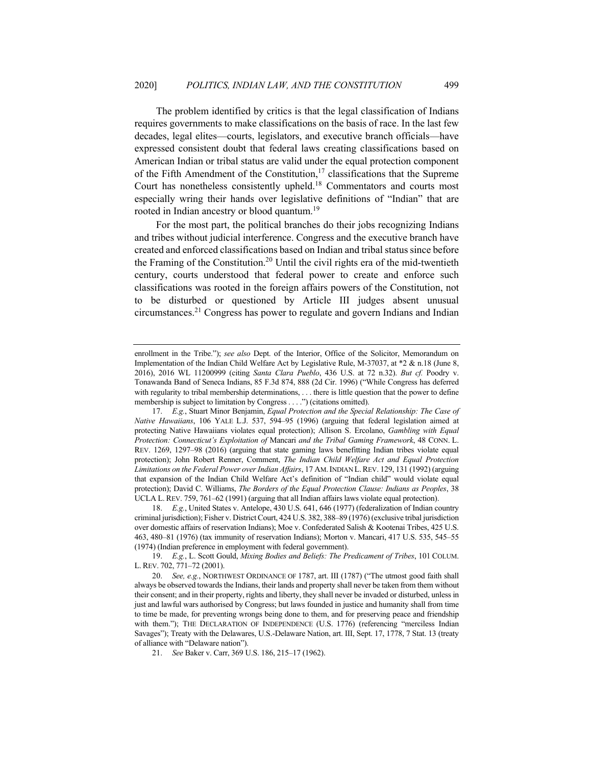The problem identified by critics is that the legal classification of Indians requires governments to make classifications on the basis of race. In the last few decades, legal elites—courts, legislators, and executive branch officials—have expressed consistent doubt that federal laws creating classifications based on American Indian or tribal status are valid under the equal protection component of the Fifth Amendment of the Constitution,<sup>17</sup> classifications that the Supreme Court has nonetheless consistently upheld.18 Commentators and courts most especially wring their hands over legislative definitions of "Indian" that are rooted in Indian ancestry or blood quantum.<sup>19</sup>

For the most part, the political branches do their jobs recognizing Indians and tribes without judicial interference. Congress and the executive branch have created and enforced classifications based on Indian and tribal status since before the Framing of the Constitution.<sup>20</sup> Until the civil rights era of the mid-twentieth century, courts understood that federal power to create and enforce such classifications was rooted in the foreign affairs powers of the Constitution, not to be disturbed or questioned by Article III judges absent unusual circumstances.<sup>21</sup> Congress has power to regulate and govern Indians and Indian

enrollment in the Tribe."); *see also* Dept. of the Interior, Office of the Solicitor, Memorandum on Implementation of the Indian Child Welfare Act by Legislative Rule, M-37037, at \*2 & n.18 (June 8, 2016), 2016 WL 11200999 (citing *Santa Clara Pueblo*, 436 U.S. at 72 n.32). *But cf.* Poodry v. Tonawanda Band of Seneca Indians, 85 F.3d 874, 888 (2d Cir. 1996) ("While Congress has deferred with regularity to tribal membership determinations, . . . there is little question that the power to define membership is subject to limitation by Congress . . . .") (citations omitted).

<sup>17.</sup> *E.g.*, Stuart Minor Benjamin, *Equal Protection and the Special Relationship: The Case of Native Hawaiians*, 106 YALE L.J. 537, 594–95 (1996) (arguing that federal legislation aimed at protecting Native Hawaiians violates equal protection); Allison S. Ercolano, *Gambling with Equal Protection: Connecticut's Exploitation of* Mancari *and the Tribal Gaming Framework*, 48 CONN. L. REV. 1269, 1297–98 (2016) (arguing that state gaming laws benefitting Indian tribes violate equal protection); John Robert Renner, Comment, *The Indian Child Welfare Act and Equal Protection Limitations on the Federal Power over Indian Affairs*, 17 AM.INDIAN L.REV. 129, 131 (1992) (arguing that expansion of the Indian Child Welfare Act's definition of "Indian child" would violate equal protection); David C. Williams, *The Borders of the Equal Protection Clause: Indians as Peoples*, 38 UCLA L. REV. 759, 761–62 (1991) (arguing that all Indian affairs laws violate equal protection).

<sup>18.</sup> *E.g.*, United States v. Antelope, 430 U.S. 641, 646 (1977) (federalization of Indian country criminal jurisdiction); Fisher v. District Court, 424 U.S. 382, 388–89 (1976) (exclusive tribal jurisdiction over domestic affairs of reservation Indians); Moe v. Confederated Salish & Kootenai Tribes, 425 U.S. 463, 480–81 (1976) (tax immunity of reservation Indians); Morton v. Mancari, 417 U.S. 535, 545–55 (1974) (Indian preference in employment with federal government).

<sup>19.</sup> *E.g.*, L. Scott Gould, *Mixing Bodies and Beliefs: The Predicament of Tribes*, 101 COLUM. L. REV. 702, 771–72 (2001).

<sup>20.</sup> *See, e.g.*, NORTHWEST ORDINANCE OF 1787, art. III (1787) ("The utmost good faith shall always be observed towards the Indians, their lands and property shall never be taken from them without their consent; and in their property, rights and liberty, they shall never be invaded or disturbed, unless in just and lawful wars authorised by Congress; but laws founded in justice and humanity shall from time to time be made, for preventing wrongs being done to them, and for preserving peace and friendship with them."); THE DECLARATION OF INDEPENDENCE (U.S. 1776) (referencing "merciless Indian Savages"); Treaty with the Delawares, U.S.-Delaware Nation, art. III, Sept. 17, 1778, 7 Stat. 13 (treaty of alliance with "Delaware nation").

<sup>21.</sup> *See* Baker v. Carr, 369 U.S. 186, 215–17 (1962).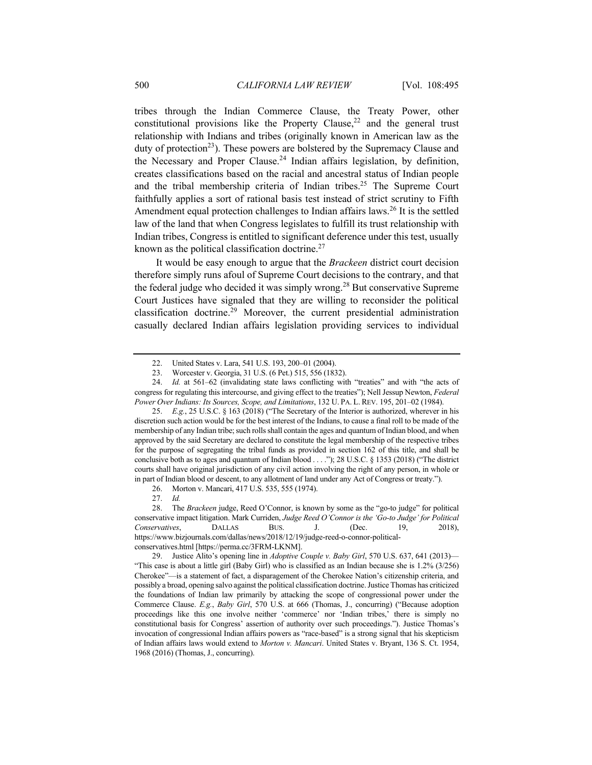tribes through the Indian Commerce Clause, the Treaty Power, other constitutional provisions like the Property Clause,  $2^2$  and the general trust relationship with Indians and tribes (originally known in American law as the duty of protection<sup>23</sup>). These powers are bolstered by the Supremacy Clause and the Necessary and Proper Clause.<sup>24</sup> Indian affairs legislation, by definition, creates classifications based on the racial and ancestral status of Indian people and the tribal membership criteria of Indian tribes.<sup>25</sup> The Supreme Court faithfully applies a sort of rational basis test instead of strict scrutiny to Fifth Amendment equal protection challenges to Indian affairs laws.<sup>26</sup> It is the settled law of the land that when Congress legislates to fulfill its trust relationship with Indian tribes, Congress is entitled to significant deference under this test, usually known as the political classification doctrine. $27$ 

It would be easy enough to argue that the *Brackeen* district court decision therefore simply runs afoul of Supreme Court decisions to the contrary, and that the federal judge who decided it was simply wrong.<sup>28</sup> But conservative Supreme Court Justices have signaled that they are willing to reconsider the political classification doctrine.<sup>29</sup> Moreover, the current presidential administration casually declared Indian affairs legislation providing services to individual

25. *E.g.*, 25 U.S.C. § 163 (2018) ("The Secretary of the Interior is authorized, wherever in his discretion such action would be for the best interest of the Indians, to cause a final roll to be made of the membership of any Indian tribe; such rolls shall contain the ages and quantum of Indian blood, and when approved by the said Secretary are declared to constitute the legal membership of the respective tribes for the purpose of segregating the tribal funds as provided in section 162 of this title, and shall be conclusive both as to ages and quantum of Indian blood . . . ."); 28 U.S.C. § 1353 (2018) ("The district courts shall have original jurisdiction of any civil action involving the right of any person, in whole or in part of Indian blood or descent, to any allotment of land under any Act of Congress or treaty.").

26. Morton v. Mancari, 417 U.S. 535, 555 (1974).

<sup>22.</sup> United States v. Lara, 541 U.S. 193, 200–01 (2004).

<sup>23.</sup> Worcester v. Georgia, 31 U.S. (6 Pet.) 515, 556 (1832).

<sup>24.</sup> *Id.* at 561–62 (invalidating state laws conflicting with "treaties" and with "the acts of congress for regulating this intercourse, and giving effect to the treaties"); Nell Jessup Newton, *Federal Power Over Indians: Its Sources, Scope, and Limitations*, 132 U. PA. L. REV. 195, 201–02 (1984).

<sup>27.</sup> *Id.*

<sup>28.</sup> The *Brackeen* judge, Reed O'Connor, is known by some as the "go-to judge" for political conservative impact litigation. Mark Curriden, *Judge Reed O'Connor is the 'Go-to Judge' for Political Conservatives*, DALLAS BUS. J. (Dec. 19, 2018), https://www.bizjournals.com/dallas/news/2018/12/19/judge-reed-o-connor-politicalconservatives.html [https://perma.cc/3FRM-LKNM].

<sup>29.</sup> Justice Alito's opening line in *Adoptive Couple v. Baby Girl*, 570 U.S. 637, 641 (2013)— "This case is about a little girl (Baby Girl) who is classified as an Indian because she is 1.2% (3/256) Cherokee"—is a statement of fact, a disparagement of the Cherokee Nation's citizenship criteria, and possibly a broad, opening salvo against the political classification doctrine. Justice Thomas has criticized the foundations of Indian law primarily by attacking the scope of congressional power under the Commerce Clause. *E.g.*, *Baby Girl*, 570 U.S. at 666 (Thomas, J., concurring) ("Because adoption proceedings like this one involve neither 'commerce' nor 'Indian tribes,' there is simply no constitutional basis for Congress' assertion of authority over such proceedings."). Justice Thomas's invocation of congressional Indian affairs powers as "race-based" is a strong signal that his skepticism of Indian affairs laws would extend to *Morton v. Mancari*. United States v. Bryant, 136 S. Ct. 1954, 1968 (2016) (Thomas, J., concurring).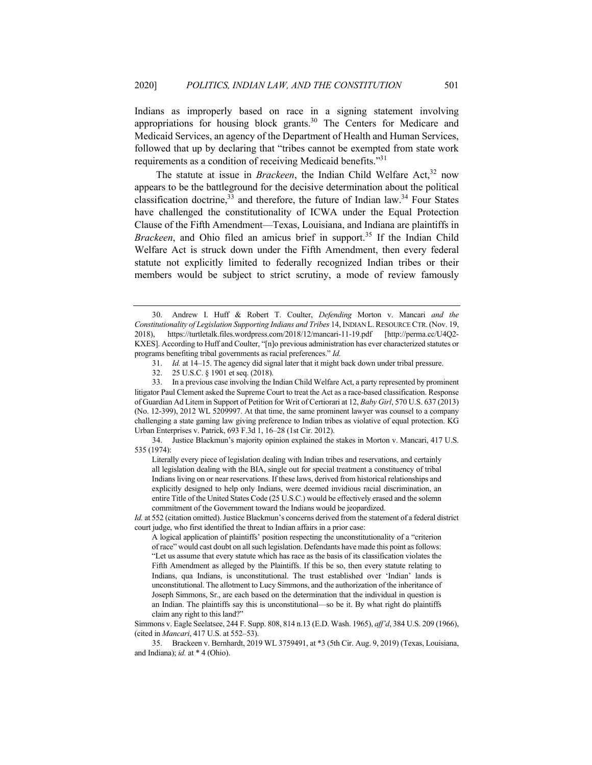Indians as improperly based on race in a signing statement involving appropriations for housing block grants.<sup>30</sup> The Centers for Medicare and Medicaid Services, an agency of the Department of Health and Human Services, followed that up by declaring that "tribes cannot be exempted from state work requirements as a condition of receiving Medicaid benefits."<sup>31</sup>

The statute at issue in *Brackeen*, the Indian Child Welfare Act,<sup>32</sup> now appears to be the battleground for the decisive determination about the political classification doctrine,  $33$  and therefore, the future of Indian law.  $34$  Four States have challenged the constitutionality of ICWA under the Equal Protection Clause of the Fifth Amendment—Texas, Louisiana, and Indiana are plaintiffs in *Brackeen*, and Ohio filed an amicus brief in support.<sup>35</sup> If the Indian Child Welfare Act is struck down under the Fifth Amendment, then every federal statute not explicitly limited to federally recognized Indian tribes or their members would be subject to strict scrutiny, a mode of review famously

34. Justice Blackmun's majority opinion explained the stakes in Morton v. Mancari, 417 U.S. 535 (1974):

Literally every piece of legislation dealing with Indian tribes and reservations, and certainly all legislation dealing with the BIA, single out for special treatment a constituency of tribal Indians living on or near reservations. If these laws, derived from historical relationships and explicitly designed to help only Indians, were deemed invidious racial discrimination, an entire Title of the United States Code (25 U.S.C.) would be effectively erased and the solemn commitment of the Government toward the Indians would be jeopardized.

Simmons v. Eagle Seelatsee, 244 F. Supp. 808, 814 n.13 (E.D. Wash. 1965), *aff'd*, 384 U.S. 209 (1966), (cited in *Mancari*, 417 U.S. at 552–53).

35. Brackeen v. Bernhardt, 2019 WL 3759491, at \*3 (5th Cir. Aug. 9, 2019) (Texas, Louisiana, and Indiana); *id.* at \* 4 (Ohio).

<sup>30.</sup> Andrew I. Huff & Robert T. Coulter, *Defending* Morton v. Mancari *and the Constitutionality of Legislation Supporting Indians and Tribes* 14, INDIAN L.RESOURCE CTR.(Nov. 19, 2018), https://turtletalk.files.wordpress.com/2018/12/mancari-11-19.pdf [http://perma.cc/U4Q2- KXES]. According to Huff and Coulter, "[n]o previous administration has ever characterized statutes or programs benefiting tribal governments as racial preferences." *Id.*

<sup>31.</sup> *Id.* at 14–15. The agency did signal later that it might back down under tribal pressure.

<sup>32.</sup> 25 U.S.C. § 1901 et seq. (2018).

<sup>33.</sup> In a previous case involving the Indian Child Welfare Act, a party represented by prominent litigator Paul Clement asked the Supreme Court to treat the Act as a race-based classification. Response of Guardian Ad Litem in Support of Petition for Writ of Certiorari at 12, *Baby Girl*, 570 U.S. 637 (2013) (No. 12-399), 2012 WL 5209997. At that time, the same prominent lawyer was counsel to a company challenging a state gaming law giving preference to Indian tribes as violative of equal protection. KG Urban Enterprises v. Patrick, 693 F.3d 1, 16–28 (1st Cir. 2012).

*Id.* at 552 (citation omitted). Justice Blackmun's concerns derived from the statement of a federal district court judge, who first identified the threat to Indian affairs in a prior case:

A logical application of plaintiffs' position respecting the unconstitutionality of a "criterion of race" would cast doubt on all such legislation. Defendants have made this point as follows: "Let us assume that every statute which has race as the basis of its classification violates the Fifth Amendment as alleged by the Plaintiffs. If this be so, then every statute relating to Indians, qua Indians, is unconstitutional. The trust established over 'Indian' lands is unconstitutional. The allotment to Lucy Simmons, and the authorization of the inheritance of Joseph Simmons, Sr., are each based on the determination that the individual in question is an Indian. The plaintiffs say this is unconstitutional—so be it. By what right do plaintiffs claim any right to this land?"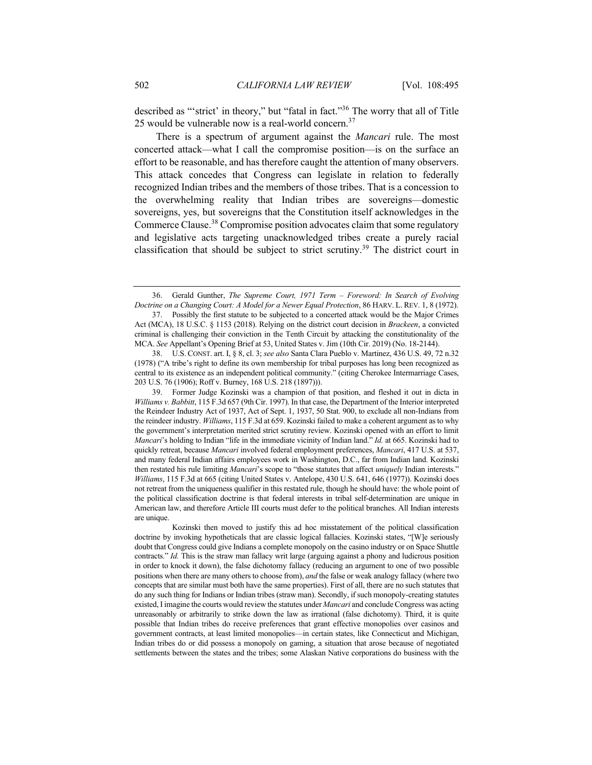described as "'strict' in theory," but "fatal in fact."36 The worry that all of Title 25 would be vulnerable now is a real-world concern.<sup>37</sup>

There is a spectrum of argument against the *Mancari* rule. The most concerted attack—what I call the compromise position—is on the surface an effort to be reasonable, and has therefore caught the attention of many observers. This attack concedes that Congress can legislate in relation to federally recognized Indian tribes and the members of those tribes. That is a concession to the overwhelming reality that Indian tribes are sovereigns—domestic sovereigns, yes, but sovereigns that the Constitution itself acknowledges in the Commerce Clause.<sup>38</sup> Compromise position advocates claim that some regulatory and legislative acts targeting unacknowledged tribes create a purely racial classification that should be subject to strict scrutiny.<sup>39</sup> The district court in

<sup>36.</sup> Gerald Gunther, *The Supreme Court, 1971 Term – Foreword: In Search of Evolving Doctrine on a Changing Court: A Model for a Newer Equal Protection*, 86 HARV. L. REV. 1, 8 (1972).

<sup>37.</sup> Possibly the first statute to be subjected to a concerted attack would be the Major Crimes Act (MCA), 18 U.S.C. § 1153 (2018). Relying on the district court decision in *Brackeen*, a convicted criminal is challenging their conviction in the Tenth Circuit by attacking the constitutionality of the MCA. *See* Appellant's Opening Brief at 53, United States v. Jim (10th Cir. 2019) (No. 18-2144).

<sup>38.</sup> U.S. CONST. art. I, § 8, cl. 3; *see also* Santa Clara Pueblo v. Martinez, 436 U.S. 49, 72 n.32 (1978) ("A tribe's right to define its own membership for tribal purposes has long been recognized as central to its existence as an independent political community." (citing Cherokee Intermarriage Cases, 203 U.S. 76 (1906); Roff v. Burney, 168 U.S. 218 (1897))).

<sup>39.</sup> Former Judge Kozinski was a champion of that position, and fleshed it out in dicta in *Williams v. Babbitt*, 115 F.3d 657 (9th Cir. 1997). In that case, the Department of the Interior interpreted the Reindeer Industry Act of 1937, Act of Sept. 1, 1937, 50 Stat. 900, to exclude all non-Indians from the reindeer industry. *Williams*, 115 F.3d at 659. Kozinski failed to make a coherent argument as to why the government's interpretation merited strict scrutiny review. Kozinski opened with an effort to limit *Mancari*'s holding to Indian "life in the immediate vicinity of Indian land." *Id.* at 665. Kozinski had to quickly retreat, because *Mancari* involved federal employment preferences, *Mancari*, 417 U.S. at 537, and many federal Indian affairs employees work in Washington, D.C., far from Indian land. Kozinski then restated his rule limiting *Mancari*'s scope to "those statutes that affect *uniquely* Indian interests." *Williams*, 115 F.3d at 665 (citing United States v. Antelope, 430 U.S. 641, 646 (1977)). Kozinski does not retreat from the uniqueness qualifier in this restated rule, though he should have: the whole point of the political classification doctrine is that federal interests in tribal self-determination are unique in American law, and therefore Article III courts must defer to the political branches. All Indian interests are unique.

Kozinski then moved to justify this ad hoc misstatement of the political classification doctrine by invoking hypotheticals that are classic logical fallacies. Kozinski states, "[W]e seriously doubt that Congress could give Indians a complete monopoly on the casino industry or on Space Shuttle contracts." *Id.* This is the straw man fallacy writ large (arguing against a phony and ludicrous position in order to knock it down), the false dichotomy fallacy (reducing an argument to one of two possible positions when there are many others to choose from), *and* the false or weak analogy fallacy (where two concepts that are similar must both have the same properties). First of all, there are no such statutes that do any such thing for Indians or Indian tribes (straw man). Secondly, if such monopoly-creating statutes existed, I imagine the courts would review the statutes under *Mancari* and conclude Congress was acting unreasonably or arbitrarily to strike down the law as irrational (false dichotomy). Third, it is quite possible that Indian tribes do receive preferences that grant effective monopolies over casinos and government contracts, at least limited monopolies—in certain states, like Connecticut and Michigan, Indian tribes do or did possess a monopoly on gaming, a situation that arose because of negotiated settlements between the states and the tribes; some Alaskan Native corporations do business with the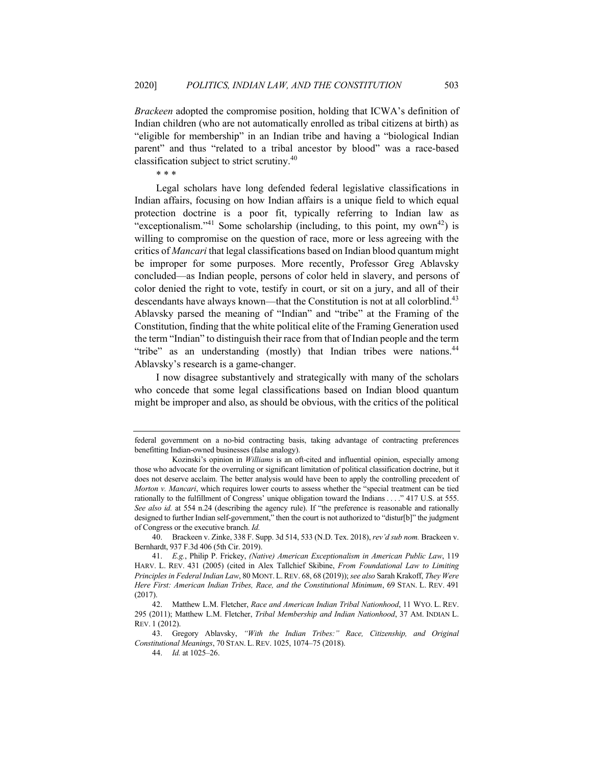*Brackeen* adopted the compromise position, holding that ICWA's definition of Indian children (who are not automatically enrolled as tribal citizens at birth) as "eligible for membership" in an Indian tribe and having a "biological Indian parent" and thus "related to a tribal ancestor by blood" was a race-based classification subject to strict scrutiny.40

Legal scholars have long defended federal legislative classifications in Indian affairs, focusing on how Indian affairs is a unique field to which equal protection doctrine is a poor fit, typically referring to Indian law as "exceptionalism."<sup>41</sup> Some scholarship (including, to this point, my own<sup>42</sup>) is willing to compromise on the question of race, more or less agreeing with the critics of *Mancari* that legal classifications based on Indian blood quantum might be improper for some purposes. More recently, Professor Greg Ablavsky concluded—as Indian people, persons of color held in slavery, and persons of color denied the right to vote, testify in court, or sit on a jury, and all of their descendants have always known—that the Constitution is not at all colorblind.<sup>43</sup> Ablavsky parsed the meaning of "Indian" and "tribe" at the Framing of the Constitution, finding that the white political elite of the Framing Generation used the term "Indian" to distinguish their race from that of Indian people and the term "tribe" as an understanding (mostly) that Indian tribes were nations.<sup>44</sup> Ablavsky's research is a game-changer.

I now disagree substantively and strategically with many of the scholars who concede that some legal classifications based on Indian blood quantum might be improper and also, as should be obvious, with the critics of the political

40. Brackeen v. Zinke, 338 F. Supp. 3d 514, 533 (N.D. Tex. 2018), *rev'd sub nom.* Brackeen v. Bernhardt, 937 F.3d 406 (5th Cir. 2019).

\* \* \*

federal government on a no-bid contracting basis, taking advantage of contracting preferences benefitting Indian-owned businesses (false analogy).

Kozinski's opinion in *Williams* is an oft-cited and influential opinion, especially among those who advocate for the overruling or significant limitation of political classification doctrine, but it does not deserve acclaim. The better analysis would have been to apply the controlling precedent of *Morton v. Mancari*, which requires lower courts to assess whether the "special treatment can be tied rationally to the fulfillment of Congress' unique obligation toward the Indians . . . ." 417 U.S. at 555. *See also id.* at 554 n.24 (describing the agency rule). If "the preference is reasonable and rationally designed to further Indian self-government," then the court is not authorized to "distur[b]" the judgment of Congress or the executive branch. *Id.*

<sup>41.</sup> *E.g.*, Philip P. Frickey, *(Native) American Exceptionalism in American Public Law*, 119 HARV. L. REV. 431 (2005) (cited in Alex Tallchief Skibine, *From Foundational Law to Limiting Principles in Federal Indian Law*, 80 MONT.L.REV. 68, 68 (2019)); *see also* Sarah Krakoff, *They Were Here First: American Indian Tribes, Race, and the Constitutional Minimum*, 69 STAN. L. REV. 491 (2017).

<sup>42.</sup> Matthew L.M. Fletcher, *Race and American Indian Tribal Nationhood*, 11 WYO. L. REV. 295 (2011); Matthew L.M. Fletcher, *Tribal Membership and Indian Nationhood*, 37 AM. INDIAN L. REV. 1 (2012).

<sup>43.</sup> Gregory Ablavsky, *"With the Indian Tribes:" Race, Citizenship, and Original Constitutional Meanings*, 70 STAN. L. REV. 1025, 1074–75 (2018).

<sup>44.</sup> *Id.* at 1025–26.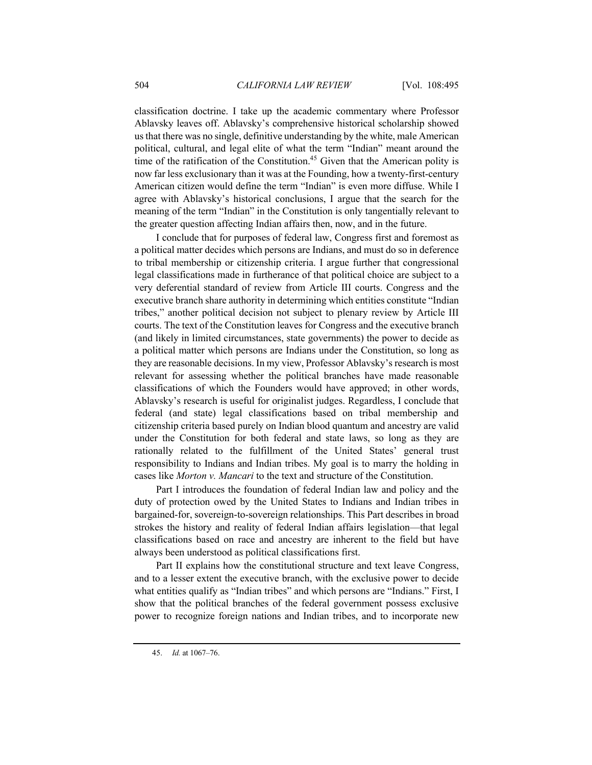classification doctrine. I take up the academic commentary where Professor Ablavsky leaves off. Ablavsky's comprehensive historical scholarship showed us that there was no single, definitive understanding by the white, male American political, cultural, and legal elite of what the term "Indian" meant around the time of the ratification of the Constitution.<sup>45</sup> Given that the American polity is now far less exclusionary than it was at the Founding, how a twenty-first-century American citizen would define the term "Indian" is even more diffuse. While I agree with Ablavsky's historical conclusions, I argue that the search for the meaning of the term "Indian" in the Constitution is only tangentially relevant to the greater question affecting Indian affairs then, now, and in the future.

I conclude that for purposes of federal law, Congress first and foremost as a political matter decides which persons are Indians, and must do so in deference to tribal membership or citizenship criteria. I argue further that congressional legal classifications made in furtherance of that political choice are subject to a very deferential standard of review from Article III courts. Congress and the executive branch share authority in determining which entities constitute "Indian tribes," another political decision not subject to plenary review by Article III courts. The text of the Constitution leaves for Congress and the executive branch (and likely in limited circumstances, state governments) the power to decide as a political matter which persons are Indians under the Constitution, so long as they are reasonable decisions. In my view, Professor Ablavsky's research is most relevant for assessing whether the political branches have made reasonable classifications of which the Founders would have approved; in other words, Ablavsky's research is useful for originalist judges. Regardless, I conclude that federal (and state) legal classifications based on tribal membership and citizenship criteria based purely on Indian blood quantum and ancestry are valid under the Constitution for both federal and state laws, so long as they are rationally related to the fulfillment of the United States' general trust responsibility to Indians and Indian tribes. My goal is to marry the holding in cases like *Morton v. Mancari* to the text and structure of the Constitution.

Part I introduces the foundation of federal Indian law and policy and the duty of protection owed by the United States to Indians and Indian tribes in bargained-for, sovereign-to-sovereign relationships. This Part describes in broad strokes the history and reality of federal Indian affairs legislation—that legal classifications based on race and ancestry are inherent to the field but have always been understood as political classifications first.

Part II explains how the constitutional structure and text leave Congress, and to a lesser extent the executive branch, with the exclusive power to decide what entities qualify as "Indian tribes" and which persons are "Indians." First, I show that the political branches of the federal government possess exclusive power to recognize foreign nations and Indian tribes, and to incorporate new

<sup>45.</sup> *Id.* at 1067–76.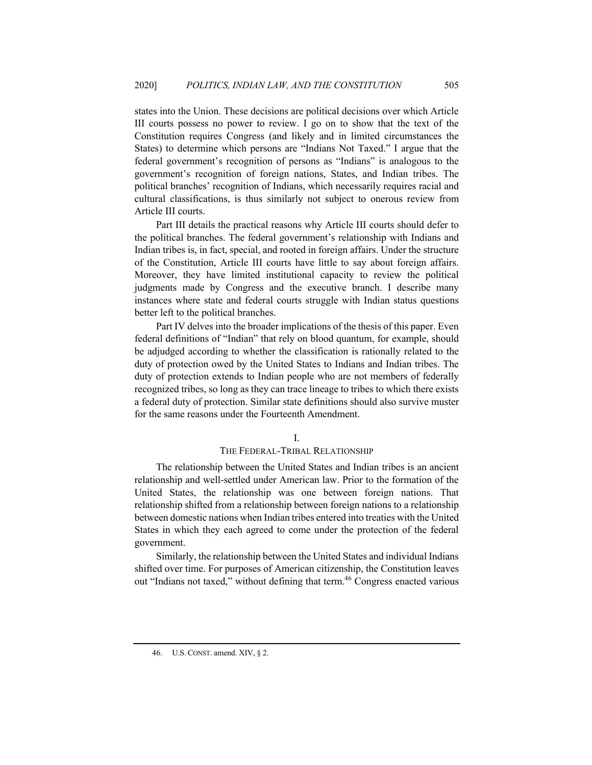states into the Union. These decisions are political decisions over which Article III courts possess no power to review. I go on to show that the text of the Constitution requires Congress (and likely and in limited circumstances the States) to determine which persons are "Indians Not Taxed." I argue that the federal government's recognition of persons as "Indians" is analogous to the government's recognition of foreign nations, States, and Indian tribes. The political branches' recognition of Indians, which necessarily requires racial and cultural classifications, is thus similarly not subject to onerous review from Article III courts.

Part III details the practical reasons why Article III courts should defer to the political branches. The federal government's relationship with Indians and Indian tribes is, in fact, special, and rooted in foreign affairs. Under the structure of the Constitution, Article III courts have little to say about foreign affairs. Moreover, they have limited institutional capacity to review the political judgments made by Congress and the executive branch. I describe many instances where state and federal courts struggle with Indian status questions better left to the political branches.

Part IV delves into the broader implications of the thesis of this paper. Even federal definitions of "Indian" that rely on blood quantum, for example, should be adjudged according to whether the classification is rationally related to the duty of protection owed by the United States to Indians and Indian tribes. The duty of protection extends to Indian people who are not members of federally recognized tribes, so long as they can trace lineage to tribes to which there exists a federal duty of protection. Similar state definitions should also survive muster for the same reasons under the Fourteenth Amendment.

#### I.

# THE FEDERAL-TRIBAL RELATIONSHIP

The relationship between the United States and Indian tribes is an ancient relationship and well-settled under American law. Prior to the formation of the United States, the relationship was one between foreign nations. That relationship shifted from a relationship between foreign nations to a relationship between domestic nations when Indian tribes entered into treaties with the United States in which they each agreed to come under the protection of the federal government.

Similarly, the relationship between the United States and individual Indians shifted over time. For purposes of American citizenship, the Constitution leaves out "Indians not taxed," without defining that term.<sup>46</sup> Congress enacted various

<sup>46.</sup> U.S. CONST. amend. XIV, § 2.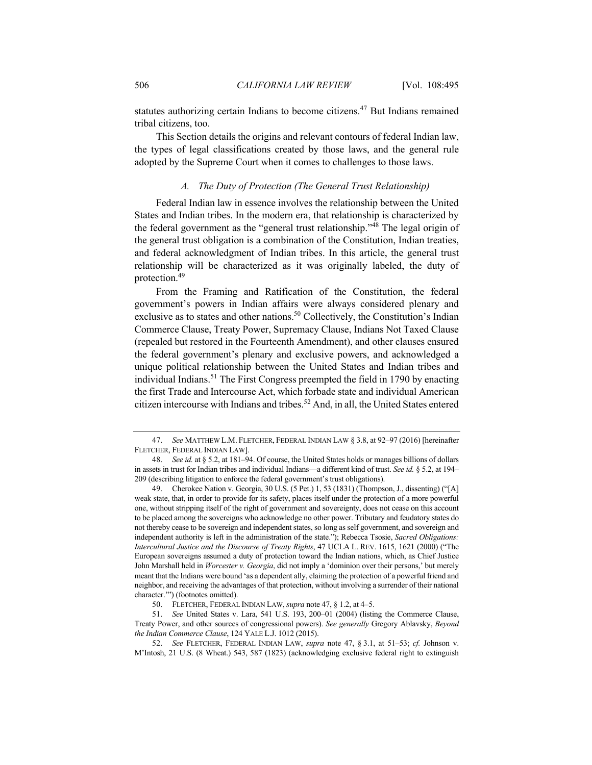statutes authorizing certain Indians to become citizens.<sup>47</sup> But Indians remained tribal citizens, too.

This Section details the origins and relevant contours of federal Indian law, the types of legal classifications created by those laws, and the general rule adopted by the Supreme Court when it comes to challenges to those laws.

# *A. The Duty of Protection (The General Trust Relationship)*

Federal Indian law in essence involves the relationship between the United States and Indian tribes. In the modern era, that relationship is characterized by the federal government as the "general trust relationship."48 The legal origin of the general trust obligation is a combination of the Constitution, Indian treaties, and federal acknowledgment of Indian tribes. In this article, the general trust relationship will be characterized as it was originally labeled, the duty of protection.49

From the Framing and Ratification of the Constitution, the federal government's powers in Indian affairs were always considered plenary and exclusive as to states and other nations.<sup>50</sup> Collectively, the Constitution's Indian Commerce Clause, Treaty Power, Supremacy Clause, Indians Not Taxed Clause (repealed but restored in the Fourteenth Amendment), and other clauses ensured the federal government's plenary and exclusive powers, and acknowledged a unique political relationship between the United States and Indian tribes and individual Indians.<sup>51</sup> The First Congress preempted the field in 1790 by enacting the first Trade and Intercourse Act, which forbade state and individual American citizen intercourse with Indians and tribes.52 And, in all, the United States entered

<sup>47.</sup> *See* MATTHEW L.M. FLETCHER, FEDERAL INDIAN LAW § 3.8, at 92–97 (2016) [hereinafter FLETCHER, FEDERAL INDIAN LAW].

<sup>48.</sup> *See id.* at § 5.2, at 181–94. Of course, the United States holds or manages billions of dollars in assets in trust for Indian tribes and individual Indians—a different kind of trust. *See id.* § 5.2, at 194– 209 (describing litigation to enforce the federal government's trust obligations).

<sup>49.</sup> Cherokee Nation v. Georgia, 30 U.S. (5 Pet.) 1, 53 (1831) (Thompson, J., dissenting) ("[A] weak state, that, in order to provide for its safety, places itself under the protection of a more powerful one, without stripping itself of the right of government and sovereignty, does not cease on this account to be placed among the sovereigns who acknowledge no other power. Tributary and feudatory states do not thereby cease to be sovereign and independent states, so long as self government, and sovereign and independent authority is left in the administration of the state."); Rebecca Tsosie, *Sacred Obligations: Intercultural Justice and the Discourse of Treaty Rights*, 47 UCLA L. REV. 1615, 1621 (2000) ("The European sovereigns assumed a duty of protection toward the Indian nations, which, as Chief Justice John Marshall held in *Worcester v. Georgia*, did not imply a 'dominion over their persons,' but merely meant that the Indians were bound 'as a dependent ally, claiming the protection of a powerful friend and neighbor, and receiving the advantages of that protection, without involving a surrender of their national character.'") (footnotes omitted).

<sup>50.</sup> FLETCHER, FEDERAL INDIAN LAW, *supra* note 47, § 1.2, at 4–5.

<sup>51.</sup> *See* United States v. Lara, 541 U.S. 193, 200–01 (2004) (listing the Commerce Clause, Treaty Power, and other sources of congressional powers). *See generally* Gregory Ablavsky, *Beyond the Indian Commerce Clause*, 124 YALE L.J. 1012 (2015).

<sup>52.</sup> *See* FLETCHER, FEDERAL INDIAN LAW, *supra* note 47, § 3.1, at 51–53; *cf.* Johnson v. M'Intosh, 21 U.S. (8 Wheat.) 543, 587 (1823) (acknowledging exclusive federal right to extinguish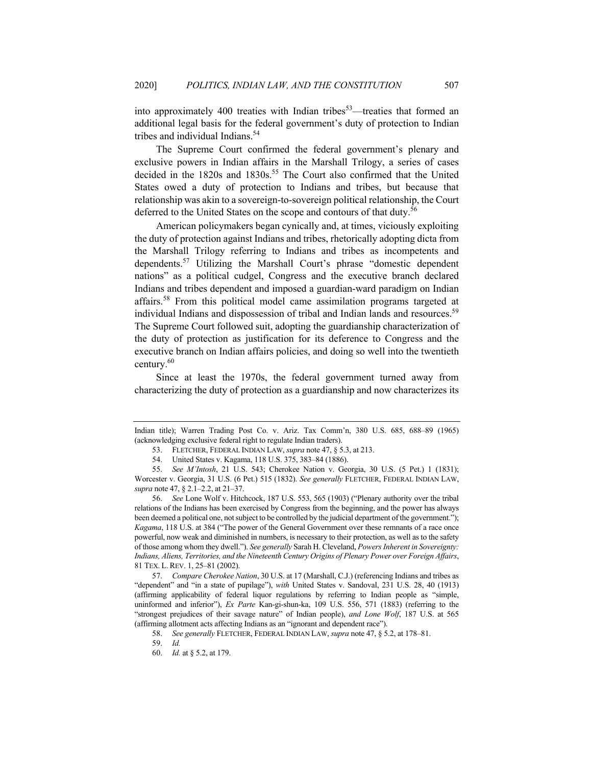into approximately 400 treaties with Indian tribes<sup>53</sup>—treaties that formed an additional legal basis for the federal government's duty of protection to Indian tribes and individual Indians.<sup>54</sup>

The Supreme Court confirmed the federal government's plenary and exclusive powers in Indian affairs in the Marshall Trilogy, a series of cases decided in the 1820s and 1830s.<sup>55</sup> The Court also confirmed that the United States owed a duty of protection to Indians and tribes, but because that relationship was akin to a sovereign-to-sovereign political relationship, the Court deferred to the United States on the scope and contours of that duty.<sup>56</sup>

American policymakers began cynically and, at times, viciously exploiting the duty of protection against Indians and tribes, rhetorically adopting dicta from the Marshall Trilogy referring to Indians and tribes as incompetents and dependents.<sup>57</sup> Utilizing the Marshall Court's phrase "domestic dependent nations" as a political cudgel, Congress and the executive branch declared Indians and tribes dependent and imposed a guardian-ward paradigm on Indian affairs.<sup>58</sup> From this political model came assimilation programs targeted at individual Indians and dispossession of tribal and Indian lands and resources.<sup>59</sup> The Supreme Court followed suit, adopting the guardianship characterization of the duty of protection as justification for its deference to Congress and the executive branch on Indian affairs policies, and doing so well into the twentieth century.<sup>60</sup>

Since at least the 1970s, the federal government turned away from characterizing the duty of protection as a guardianship and now characterizes its

Indian title); Warren Trading Post Co. v. Ariz. Tax Comm'n, 380 U.S. 685, 688–89 (1965) (acknowledging exclusive federal right to regulate Indian traders).

<sup>53.</sup> FLETCHER, FEDERAL INDIAN LAW, *supra* note 47, § 5.3, at 213.

<sup>54.</sup> United States v. Kagama, 118 U.S. 375, 383–84 (1886).

<sup>55.</sup> *See M'Intosh*, 21 U.S. 543; Cherokee Nation v. Georgia, 30 U.S. (5 Pet.) 1 (1831); Worcester v. Georgia, 31 U.S. (6 Pet.) 515 (1832). *See generally* FLETCHER, FEDERAL INDIAN LAW, *supra* note 47, § 2.1–2.2, at 21–37.

<sup>56.</sup> *See* Lone Wolf v. Hitchcock, 187 U.S. 553, 565 (1903) ("Plenary authority over the tribal relations of the Indians has been exercised by Congress from the beginning, and the power has always been deemed a political one, not subject to be controlled by the judicial department of the government."); *Kagama*, 118 U.S. at 384 ("The power of the General Government over these remnants of a race once powerful, now weak and diminished in numbers, is necessary to their protection, as well as to the safety of those among whom they dwell."). *See generally* Sarah H. Cleveland, *Powers Inherent in Sovereignty: Indians, Aliens, Territories, and the Nineteenth Century Origins of Plenary Power over Foreign Affairs*, 81 TEX. L. REV. 1, 25–81 (2002).

<sup>57.</sup> *Compare Cherokee Nation*, 30 U.S. at 17 (Marshall, C.J.) (referencing Indians and tribes as "dependent" and "in a state of pupilage"), *with* United States v. Sandoval, 231 U.S. 28, 40 (1913) (affirming applicability of federal liquor regulations by referring to Indian people as "simple, uninformed and inferior"), *Ex Parte* Kan-gi-shun-ka, 109 U.S. 556, 571 (1883) (referring to the "strongest prejudices of their savage nature" of Indian people), *and Lone Wolf*, 187 U.S. at 565 (affirming allotment acts affecting Indians as an "ignorant and dependent race").

<sup>58.</sup> *See generally* FLETCHER, FEDERAL INDIAN LAW, *supra* note 47, § 5.2, at 178–81.

<sup>59.</sup> *Id.*

<sup>60.</sup> *Id.* at § 5.2, at 179.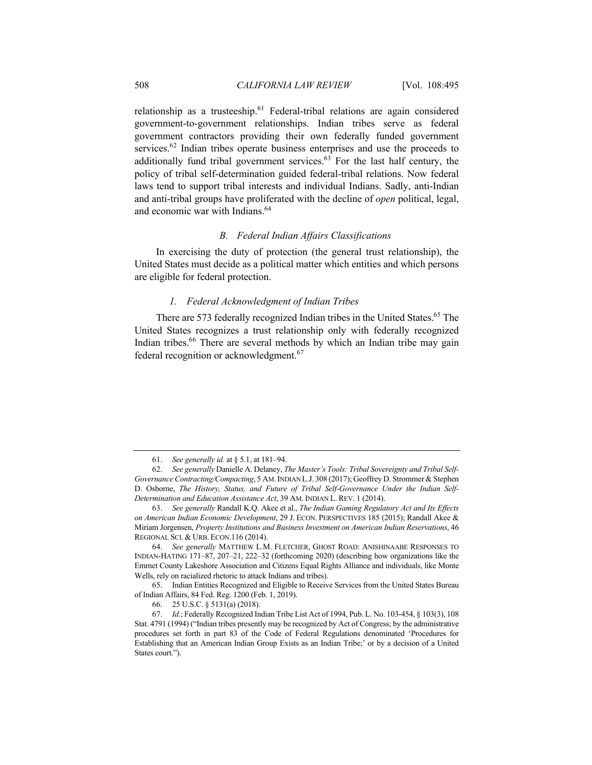relationship as a trusteeship.<sup>61</sup> Federal-tribal relations are again considered government-to-government relationships. Indian tribes serve as federal government contractors providing their own federally funded government services.<sup>62</sup> Indian tribes operate business enterprises and use the proceeds to additionally fund tribal government services. $63$  For the last half century, the policy of tribal self-determination guided federal-tribal relations. Now federal laws tend to support tribal interests and individual Indians. Sadly, anti-Indian and anti-tribal groups have proliferated with the decline of *open* political, legal, and economic war with Indians.<sup>64</sup>

# *B. Federal Indian Affairs Classifications*

In exercising the duty of protection (the general trust relationship), the United States must decide as a political matter which entities and which persons are eligible for federal protection.

#### *1. Federal Acknowledgment of Indian Tribes*

There are 573 federally recognized Indian tribes in the United States.<sup>65</sup> The United States recognizes a trust relationship only with federally recognized Indian tribes.<sup>66</sup> There are several methods by which an Indian tribe may gain federal recognition or acknowledgment.<sup>67</sup>

<sup>61.</sup> *See generally id.* at § 5.1, at 181–94.

<sup>62.</sup> *See generally* Danielle A. Delaney, *The Master's Tools: Tribal Sovereignty and Tribal Self-Governance Contracting/Compacting*, 5 AM.INDIAN L.J. 308 (2017); Geoffrey D. Strommer & Stephen D. Osborne, *The History, Status, and Future of Tribal Self-Governance Under the Indian Self-Determination and Education Assistance Act*, 39 AM. INDIAN L. REV. 1 (2014).

<sup>63.</sup> *See generally* Randall K.Q. Akee et al., *The Indian Gaming Regulatory Act and Its Effects on American Indian Economic Development*, 29 J. ECON. PERSPECTIVES 185 (2015); Randall Akee & Miriam Jorgensen, *Property Institutions and Business Investment on American Indian Reservations*, 46 REGIONAL SCI. & URB. ECON.116 (2014).

<sup>64.</sup> *See generally* MATTHEW L.M. FLETCHER, GHOST ROAD: ANISHINAABE RESPONSES TO INDIAN-HATING 171–87, 207–21, 222–32 (forthcoming 2020) (describing how organizations like the Emmet County Lakeshore Association and Citizens Equal Rights Alliance and individuals, like Monte Wells, rely on racialized rhetoric to attack Indians and tribes).

<sup>65.</sup> Indian Entities Recognized and Eligible to Receive Services from the United States Bureau of Indian Affairs, 84 Fed. Reg. 1200 (Feb. 1, 2019).

<sup>66.</sup> 25 U.S.C. § 5131(a) (2018).

<sup>67.</sup> *Id.*; Federally Recognized Indian Tribe List Act of 1994, Pub. L. No. 103-454, § 103(3), 108 Stat. 4791 (1994) ("Indian tribes presently may be recognized by Act of Congress; by the administrative procedures set forth in part 83 of the Code of Federal Regulations denominated 'Procedures for Establishing that an American Indian Group Exists as an Indian Tribe;' or by a decision of a United States court.").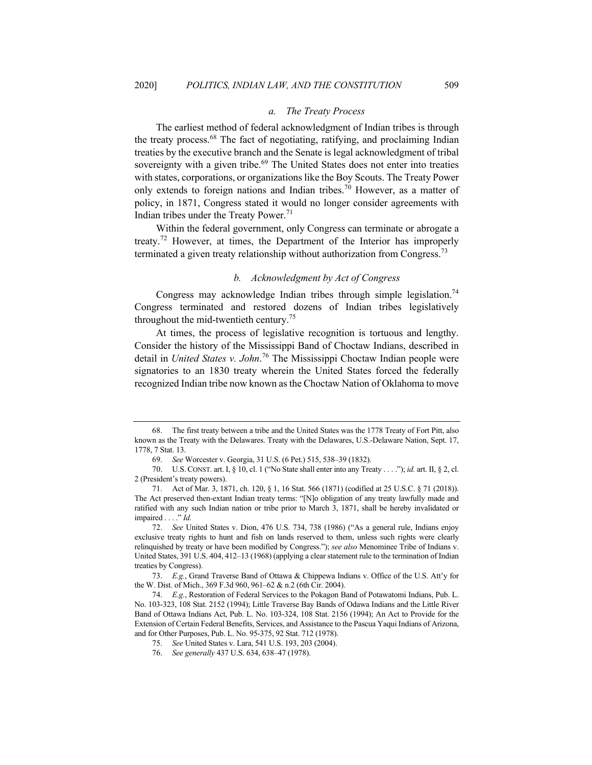# *a. The Treaty Process*

The earliest method of federal acknowledgment of Indian tribes is through the treaty process.<sup>68</sup> The fact of negotiating, ratifying, and proclaiming Indian treaties by the executive branch and the Senate is legal acknowledgment of tribal sovereignty with a given tribe.<sup>69</sup> The United States does not enter into treaties with states, corporations, or organizations like the Boy Scouts. The Treaty Power only extends to foreign nations and Indian tribes.<sup>70</sup> However, as a matter of policy, in 1871, Congress stated it would no longer consider agreements with Indian tribes under the Treaty Power.<sup>71</sup>

Within the federal government, only Congress can terminate or abrogate a treaty.<sup>72</sup> However, at times, the Department of the Interior has improperly terminated a given treaty relationship without authorization from Congress.<sup>73</sup>

#### *b. Acknowledgment by Act of Congress*

Congress may acknowledge Indian tribes through simple legislation.<sup>74</sup> Congress terminated and restored dozens of Indian tribes legislatively throughout the mid-twentieth century.<sup>75</sup>

At times, the process of legislative recognition is tortuous and lengthy. Consider the history of the Mississippi Band of Choctaw Indians, described in detail in *United States v. John*. <sup>76</sup> The Mississippi Choctaw Indian people were signatories to an 1830 treaty wherein the United States forced the federally recognized Indian tribe now known as the Choctaw Nation of Oklahoma to move

<sup>68.</sup> The first treaty between a tribe and the United States was the 1778 Treaty of Fort Pitt, also known as the Treaty with the Delawares. Treaty with the Delawares, U.S.-Delaware Nation, Sept. 17, 1778, 7 Stat. 13.

<sup>69.</sup> *See* Worcester v. Georgia, 31 U.S. (6 Pet.) 515, 538–39 (1832).

<sup>70.</sup> U.S.CONST. art. I, § 10, cl. 1 ("No State shall enter into any Treaty . . . ."); *id.* art. II, § 2, cl. 2 (President's treaty powers).

<sup>71.</sup> Act of Mar. 3, 1871, ch. 120, § 1, 16 Stat. 566 (1871) (codified at 25 U.S.C. § 71 (2018)). The Act preserved then-extant Indian treaty terms: "[N]o obligation of any treaty lawfully made and ratified with any such Indian nation or tribe prior to March 3, 1871, shall be hereby invalidated or impaired . . . ." *Id.*

<sup>72.</sup> *See* United States v. Dion, 476 U.S. 734, 738 (1986) ("As a general rule, Indians enjoy exclusive treaty rights to hunt and fish on lands reserved to them, unless such rights were clearly relinquished by treaty or have been modified by Congress."); *see also* Menominee Tribe of Indians v. United States, 391 U.S. 404, 412–13 (1968) (applying a clear statement rule to the termination of Indian treaties by Congress).

<sup>73.</sup> *E.g.*, Grand Traverse Band of Ottawa & Chippewa Indians v. Office of the U.S. Att'y for the W. Dist. of Mich., 369 F.3d 960, 961–62 & n.2 (6th Cir. 2004).

<sup>74.</sup> *E.g.*, Restoration of Federal Services to the Pokagon Band of Potawatomi Indians, Pub. L. No. 103-323, 108 Stat. 2152 (1994); Little Traverse Bay Bands of Odawa Indians and the Little River Band of Ottawa Indians Act, Pub. L. No. 103-324, 108 Stat. 2156 (1994); An Act to Provide for the Extension of Certain Federal Benefits, Services, and Assistance to the Pascua Yaqui Indians of Arizona, and for Other Purposes, Pub. L. No. 95-375, 92 Stat. 712 (1978).

<sup>75.</sup> *See* United States v. Lara, 541 U.S. 193, 203 (2004).

<sup>76.</sup> *See generally* 437 U.S. 634, 638–47 (1978).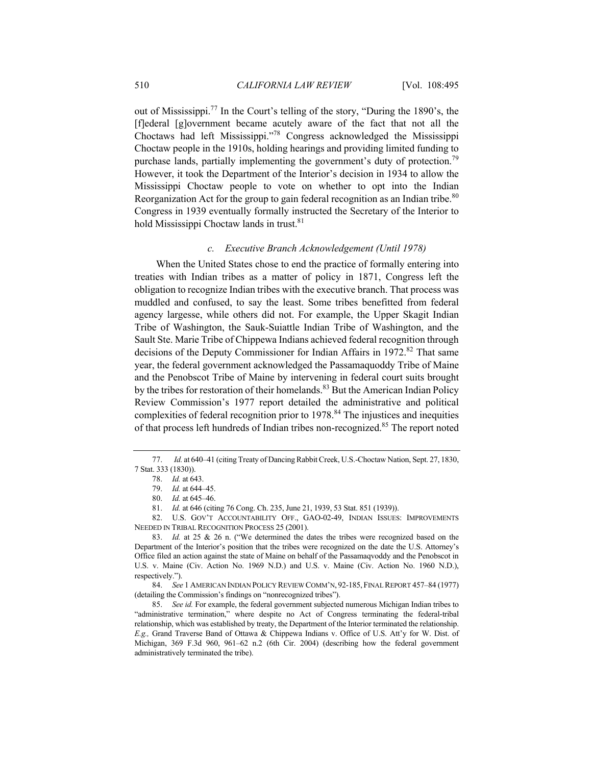out of Mississippi.<sup>77</sup> In the Court's telling of the story, "During the 1890's, the [f]ederal [g]overnment became acutely aware of the fact that not all the Choctaws had left Mississippi."78 Congress acknowledged the Mississippi Choctaw people in the 1910s, holding hearings and providing limited funding to purchase lands, partially implementing the government's duty of protection.<sup>79</sup> However, it took the Department of the Interior's decision in 1934 to allow the Mississippi Choctaw people to vote on whether to opt into the Indian Reorganization Act for the group to gain federal recognition as an Indian tribe.<sup>80</sup> Congress in 1939 eventually formally instructed the Secretary of the Interior to hold Mississippi Choctaw lands in trust.<sup>81</sup>

# *c. Executive Branch Acknowledgement (Until 1978)*

When the United States chose to end the practice of formally entering into treaties with Indian tribes as a matter of policy in 1871, Congress left the obligation to recognize Indian tribes with the executive branch. That process was muddled and confused, to say the least. Some tribes benefitted from federal agency largesse, while others did not. For example, the Upper Skagit Indian Tribe of Washington, the Sauk-Suiattle Indian Tribe of Washington, and the Sault Ste. Marie Tribe of Chippewa Indians achieved federal recognition through decisions of the Deputy Commissioner for Indian Affairs in 1972.<sup>82</sup> That same year, the federal government acknowledged the Passamaquoddy Tribe of Maine and the Penobscot Tribe of Maine by intervening in federal court suits brought by the tribes for restoration of their homelands.<sup>83</sup> But the American Indian Policy Review Commission's 1977 report detailed the administrative and political complexities of federal recognition prior to  $1978<sup>84</sup>$  The injustices and inequities of that process left hundreds of Indian tribes non-recognized.<sup>85</sup> The report noted

84. *See* 1 AMERICAN INDIAN POLICY REVIEW COMM'N, 92-185, FINAL REPORT 457–84 (1977) (detailing the Commission's findings on "nonrecognized tribes").

85. *See id.* For example, the federal government subjected numerous Michigan Indian tribes to "administrative termination," where despite no Act of Congress terminating the federal-tribal relationship, which was established by treaty, the Department of the Interior terminated the relationship. *E.g.,* Grand Traverse Band of Ottawa & Chippewa Indians v. Office of U.S. Att'y for W. Dist. of Michigan, 369 F.3d 960, 961–62 n.2 (6th Cir. 2004) (describing how the federal government administratively terminated the tribe).

<sup>77.</sup> *Id.* at 640–41 (citing Treaty of Dancing Rabbit Creek, U.S.-Choctaw Nation, Sept. 27, 1830, 7 Stat. 333 (1830)).

<sup>78.</sup> *Id.* at 643.

<sup>79.</sup> *Id.* at 644–45.

<sup>80.</sup> *Id.* at 645–46.

<sup>81.</sup> *Id.* at 646 (citing 76 Cong. Ch. 235, June 21, 1939, 53 Stat. 851 (1939)).

<sup>82.</sup> U.S. GOV'T ACCOUNTABILITY OFF., GAO-02-49, INDIAN ISSUES: IMPROVEMENTS NEEDED IN TRIBAL RECOGNITION PROCESS 25 (2001).

<sup>83.</sup> *Id.* at 25 & 26 n. ("We determined the dates the tribes were recognized based on the Department of the Interior's position that the tribes were recognized on the date the U.S. Attorney's Office filed an action against the state of Maine on behalf of the Passamaqvoddy and the Penobscot in U.S. v. Maine (Civ. Action No. 1969 N.D.) and U.S. v. Maine (Civ. Action No. 1960 N.D.), respectively.").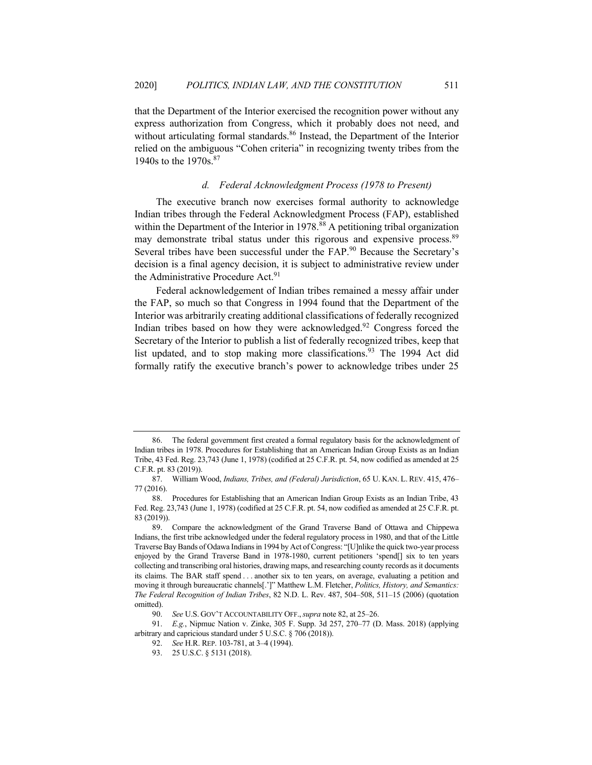that the Department of the Interior exercised the recognition power without any express authorization from Congress, which it probably does not need, and without articulating formal standards.<sup>86</sup> Instead, the Department of the Interior relied on the ambiguous "Cohen criteria" in recognizing twenty tribes from the 1940s to the 1970s.<sup>87</sup>

# *d. Federal Acknowledgment Process (1978 to Present)*

The executive branch now exercises formal authority to acknowledge Indian tribes through the Federal Acknowledgment Process (FAP), established within the Department of the Interior in 1978.<sup>88</sup> A petitioning tribal organization may demonstrate tribal status under this rigorous and expensive process.<sup>89</sup> Several tribes have been successful under the FAP.<sup>90</sup> Because the Secretary's decision is a final agency decision, it is subject to administrative review under the Administrative Procedure Act.<sup>91</sup>

Federal acknowledgement of Indian tribes remained a messy affair under the FAP, so much so that Congress in 1994 found that the Department of the Interior was arbitrarily creating additional classifications of federally recognized Indian tribes based on how they were acknowledged.<sup>92</sup> Congress forced the Secretary of the Interior to publish a list of federally recognized tribes, keep that list updated, and to stop making more classifications.<sup>93</sup> The 1994 Act did formally ratify the executive branch's power to acknowledge tribes under 25

<sup>86.</sup> The federal government first created a formal regulatory basis for the acknowledgment of Indian tribes in 1978. Procedures for Establishing that an American Indian Group Exists as an Indian Tribe, 43 Fed. Reg. 23,743 (June 1, 1978) (codified at 25 C.F.R. pt. 54, now codified as amended at 25 C.F.R. pt. 83 (2019)).

<sup>87.</sup> William Wood, *Indians, Tribes, and (Federal) Jurisdiction*, 65 U. KAN. L. REV. 415, 476– 77 (2016).

<sup>88.</sup> Procedures for Establishing that an American Indian Group Exists as an Indian Tribe, 43 Fed. Reg. 23,743 (June 1, 1978) (codified at 25 C.F.R. pt. 54, now codified as amended at 25 C.F.R. pt. 83 (2019)).

<sup>89.</sup> Compare the acknowledgment of the Grand Traverse Band of Ottawa and Chippewa Indians, the first tribe acknowledged under the federal regulatory process in 1980, and that of the Little Traverse Bay Bands of Odawa Indians in 1994 by Act of Congress: "[U]nlike the quick two-year process enjoyed by the Grand Traverse Band in 1978-1980, current petitioners 'spend[] six to ten years collecting and transcribing oral histories, drawing maps, and researching county records as it documents its claims. The BAR staff spend . . . another six to ten years, on average, evaluating a petition and moving it through bureaucratic channels[.']" Matthew L.M. Fletcher, *Politics, History, and Semantics: The Federal Recognition of Indian Tribes*, 82 N.D. L. Rev. 487, 504–508, 511–15 (2006) (quotation omitted).

<sup>90.</sup> *See* U.S. GOV'T ACCOUNTABILITY OFF.,*supra* note 82, at 25–26.

<sup>91.</sup> *E.g.*, Nipmuc Nation v. Zinke, 305 F. Supp. 3d 257, 270–77 (D. Mass. 2018) (applying arbitrary and capricious standard under 5 U.S.C. § 706 (2018)).

<sup>92.</sup> *See* H.R. REP. 103-781, at 3–4 (1994).

<sup>93.</sup> 25 U.S.C. § 5131 (2018).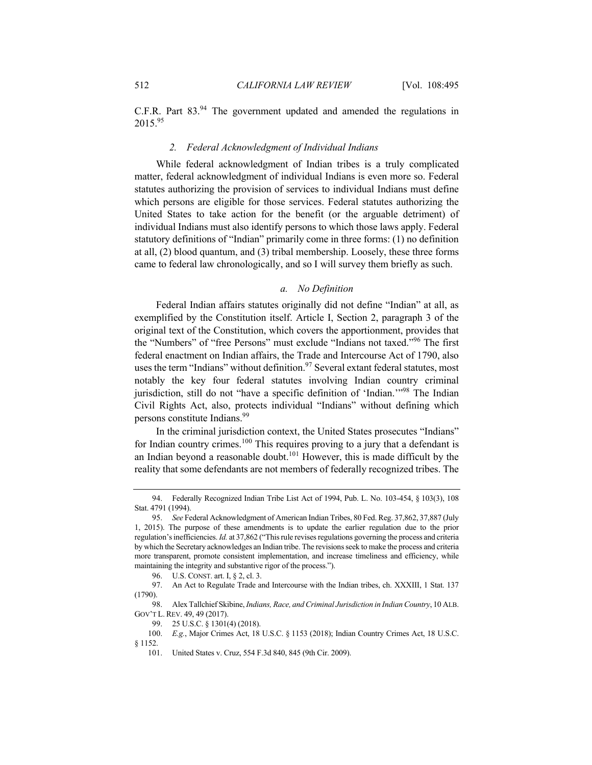C.F.R. Part 83.94 The government updated and amended the regulations in 2015.95

#### *2. Federal Acknowledgment of Individual Indians*

While federal acknowledgment of Indian tribes is a truly complicated matter, federal acknowledgment of individual Indians is even more so. Federal statutes authorizing the provision of services to individual Indians must define which persons are eligible for those services. Federal statutes authorizing the United States to take action for the benefit (or the arguable detriment) of individual Indians must also identify persons to which those laws apply. Federal statutory definitions of "Indian" primarily come in three forms: (1) no definition at all, (2) blood quantum, and (3) tribal membership. Loosely, these three forms came to federal law chronologically, and so I will survey them briefly as such.

# *a. No Definition*

Federal Indian affairs statutes originally did not define "Indian" at all, as exemplified by the Constitution itself. Article I, Section 2, paragraph 3 of the original text of the Constitution, which covers the apportionment, provides that the "Numbers" of "free Persons" must exclude "Indians not taxed."<sup>96</sup> The first federal enactment on Indian affairs, the Trade and Intercourse Act of 1790, also uses the term "Indians" without definition.<sup>97</sup> Several extant federal statutes, most notably the key four federal statutes involving Indian country criminal jurisdiction, still do not "have a specific definition of 'Indian."<sup>98</sup> The Indian Civil Rights Act, also, protects individual "Indians" without defining which persons constitute Indians.99

In the criminal jurisdiction context, the United States prosecutes "Indians" for Indian country crimes.<sup>100</sup> This requires proving to a jury that a defendant is an Indian beyond a reasonable doubt. $101$  However, this is made difficult by the reality that some defendants are not members of federally recognized tribes. The

<sup>94.</sup> Federally Recognized Indian Tribe List Act of 1994, Pub. L. No. 103-454, § 103(3), 108 Stat. 4791 (1994).

<sup>95.</sup> *See* Federal Acknowledgment of American Indian Tribes, 80 Fed. Reg. 37,862, 37,887 (July 1, 2015). The purpose of these amendments is to update the earlier regulation due to the prior regulation's inefficiencies. *Id.* at 37,862 ("This rule revises regulations governing the process and criteria by which the Secretary acknowledges an Indian tribe. The revisions seek to make the process and criteria more transparent, promote consistent implementation, and increase timeliness and efficiency, while maintaining the integrity and substantive rigor of the process.").

<sup>96.</sup> U.S. CONST. art. I, § 2, cl. 3.

<sup>97.</sup> An Act to Regulate Trade and Intercourse with the Indian tribes, ch. XXXIII, 1 Stat. 137 (1790).

<sup>98.</sup> Alex Tallchief Skibine, *Indians, Race, and Criminal Jurisdiction in Indian Country*, 10 ALB. GOV'T L. REV. 49, 49 (2017).

<sup>99.</sup> 25 U.S.C. § 1301(4) (2018).

<sup>100.</sup> *E.g.*, Major Crimes Act, 18 U.S.C. § 1153 (2018); Indian Country Crimes Act, 18 U.S.C. § 1152.

<sup>101.</sup> United States v. Cruz, 554 F.3d 840, 845 (9th Cir. 2009).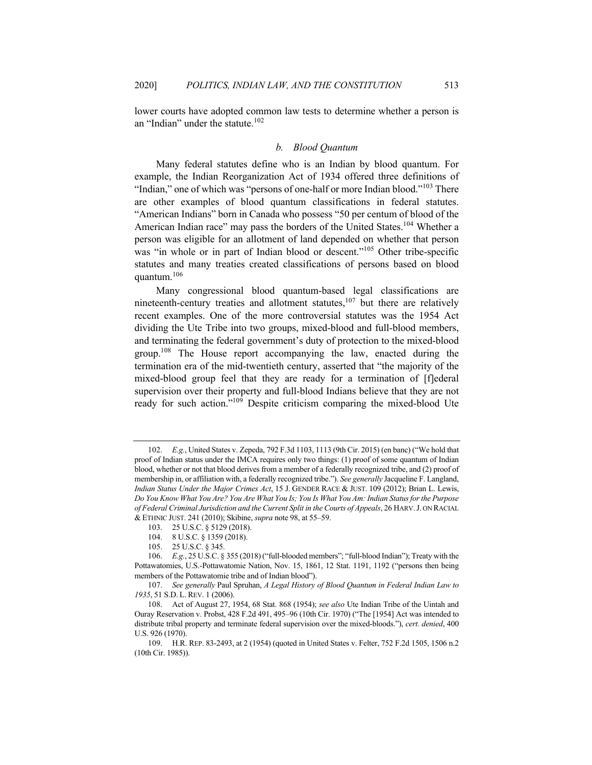lower courts have adopted common law tests to determine whether a person is an "Indian" under the statute.<sup>102</sup>

#### *b. Blood Quantum*

Many federal statutes define who is an Indian by blood quantum. For example, the Indian Reorganization Act of 1934 offered three definitions of "Indian," one of which was "persons of one-half or more Indian blood."<sup>103</sup> There are other examples of blood quantum classifications in federal statutes. "American Indians" born in Canada who possess "50 per centum of blood of the American Indian race" may pass the borders of the United States.<sup>104</sup> Whether a person was eligible for an allotment of land depended on whether that person was "in whole or in part of Indian blood or descent."<sup>105</sup> Other tribe-specific statutes and many treaties created classifications of persons based on blood quantum.106

Many congressional blood quantum-based legal classifications are nineteenth-century treaties and allotment statutes, $107$  but there are relatively recent examples. One of the more controversial statutes was the 1954 Act dividing the Ute Tribe into two groups, mixed-blood and full-blood members, and terminating the federal government's duty of protection to the mixed-blood group.<sup>108</sup> The House report accompanying the law, enacted during the termination era of the mid-twentieth century, asserted that "the majority of the mixed-blood group feel that they are ready for a termination of [f]ederal supervision over their property and full-blood Indians believe that they are not ready for such action."<sup>109</sup> Despite criticism comparing the mixed-blood Ute

<sup>102.</sup> *E.g.*, United States v. Zepeda, 792 F.3d 1103, 1113 (9th Cir. 2015) (en banc) ("We hold that proof of Indian status under the IMCA requires only two things: (1) proof of some quantum of Indian blood, whether or not that blood derives from a member of a federally recognized tribe, and (2) proof of membership in, or affiliation with, a federally recognized tribe."). *See generally* Jacqueline F. Langland, *Indian Status Under the Major Crimes Act*, 15 J. GENDER RACE & JUST. 109 (2012); Brian L. Lewis, *Do You Know What You Are? You Are What You Is; You Is What You Am: Indian Status for the Purpose of Federal Criminal Jurisdiction and the Current Split in the Courts of Appeals*, 26 HARV.J. ON RACIAL & ETHNIC JUST. 241 (2010); Skibine, *supra* note 98, at 55–59.

<sup>103.</sup> 25 U.S.C. § 5129 (2018).

<sup>104.</sup> 8 U.S.C. § 1359 (2018).

<sup>105.</sup> 25 U.S.C. § 345.

<sup>106.</sup> *E.g.*, 25 U.S.C. § 355 (2018) ("full-blooded members"; "full-blood Indian"); Treaty with the Pottawatomies, U.S.-Pottawatomie Nation, Nov. 15, 1861, 12 Stat. 1191, 1192 ("persons then being members of the Pottawatomie tribe and of Indian blood").

<sup>107.</sup> *See generally* Paul Spruhan, *A Legal History of Blood Quantum in Federal Indian Law to 1935*, 51 S.D. L. REV. 1 (2006).

<sup>108.</sup> Act of August 27, 1954, 68 Stat. 868 (1954); *see also* Ute Indian Tribe of the Uintah and Ouray Reservation v. Probst, 428 F.2d 491, 495–96 (10th Cir. 1970) ("The [1954] Act was intended to distribute tribal property and terminate federal supervision over the mixed-bloods."), *cert. denied*, 400 U.S. 926 (1970).

<sup>109.</sup> H.R. REP. 83-2493, at 2 (1954) (quoted in United States v. Felter, 752 F.2d 1505, 1506 n.2 (10th Cir. 1985)).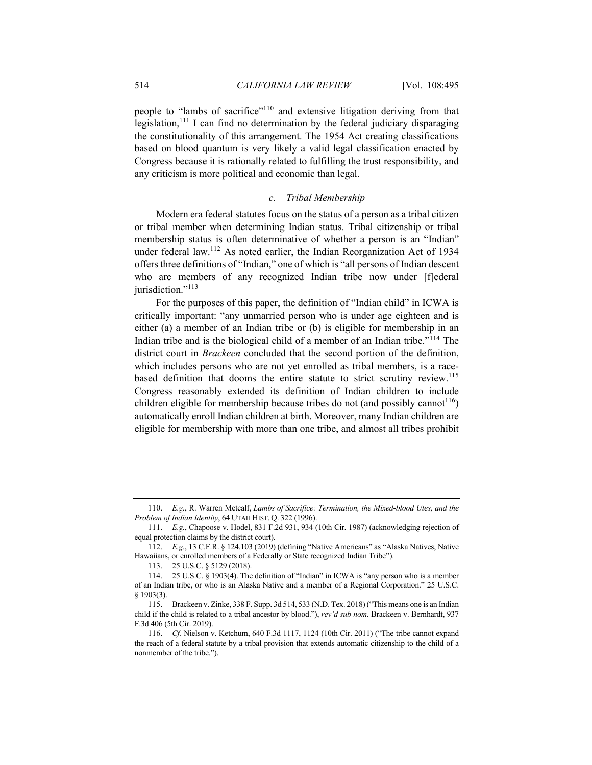people to "lambs of sacrifice"<sup>110</sup> and extensive litigation deriving from that legislation,<sup>111</sup> I can find no determination by the federal judiciary disparaging the constitutionality of this arrangement. The 1954 Act creating classifications based on blood quantum is very likely a valid legal classification enacted by Congress because it is rationally related to fulfilling the trust responsibility, and any criticism is more political and economic than legal.

# *c. Tribal Membership*

Modern era federal statutes focus on the status of a person as a tribal citizen or tribal member when determining Indian status. Tribal citizenship or tribal membership status is often determinative of whether a person is an "Indian" under federal law.<sup>112</sup> As noted earlier, the Indian Reorganization Act of 1934 offers three definitions of "Indian," one of which is "all persons of Indian descent who are members of any recognized Indian tribe now under [f]ederal jurisdiction."<sup>113</sup>

For the purposes of this paper, the definition of "Indian child" in ICWA is critically important: "any unmarried person who is under age eighteen and is either (a) a member of an Indian tribe or (b) is eligible for membership in an Indian tribe and is the biological child of a member of an Indian tribe."<sup>114</sup> The district court in *Brackeen* concluded that the second portion of the definition, which includes persons who are not yet enrolled as tribal members, is a racebased definition that dooms the entire statute to strict scrutiny review.<sup>115</sup> Congress reasonably extended its definition of Indian children to include children eligible for membership because tribes do not (and possibly cannot<sup>116</sup>) automatically enroll Indian children at birth. Moreover, many Indian children are eligible for membership with more than one tribe, and almost all tribes prohibit

113. 25 U.S.C. § 5129 (2018).

<sup>110.</sup> *E.g.*, R. Warren Metcalf, *Lambs of Sacrifice: Termination, the Mixed-blood Utes, and the Problem of Indian Identity*, 64 UTAH HIST. Q. 322 (1996).

<sup>111.</sup> *E.g.*, Chapoose v. Hodel, 831 F.2d 931, 934 (10th Cir. 1987) (acknowledging rejection of equal protection claims by the district court).

<sup>112.</sup> *E.g.*, 13 C.F.R. § 124.103 (2019) (defining "Native Americans" as "Alaska Natives, Native Hawaiians, or enrolled members of a Federally or State recognized Indian Tribe").

<sup>114.</sup> 25 U.S.C. § 1903(4). The definition of "Indian" in ICWA is "any person who is a member of an Indian tribe, or who is an Alaska Native and a member of a Regional Corporation." 25 U.S.C. § 1903(3).

<sup>115.</sup> Brackeen v. Zinke, 338 F. Supp. 3d 514, 533 (N.D. Tex. 2018) ("This means one is an Indian child if the child is related to a tribal ancestor by blood."), *rev'd sub nom.* Brackeen v. Bernhardt, 937 F.3d 406 (5th Cir. 2019).

<sup>116.</sup> *Cf.* Nielson v. Ketchum, 640 F.3d 1117, 1124 (10th Cir. 2011) ("The tribe cannot expand the reach of a federal statute by a tribal provision that extends automatic citizenship to the child of a nonmember of the tribe.").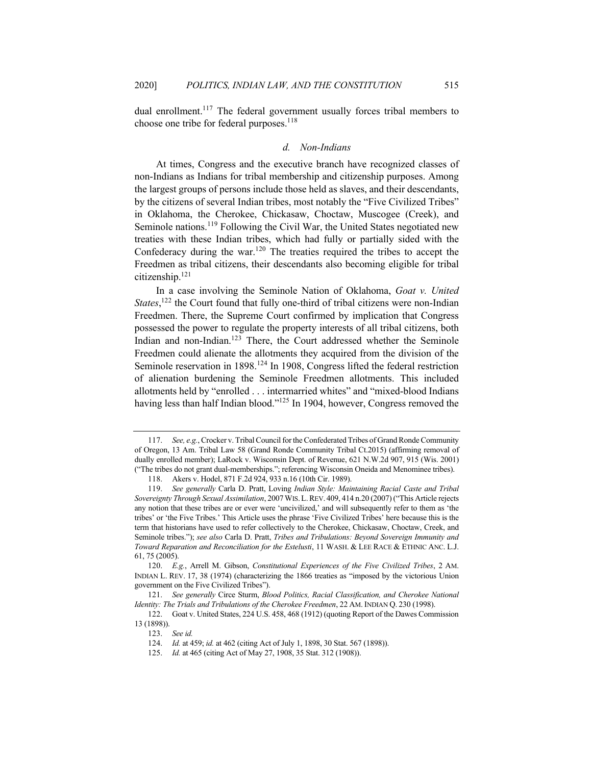dual enrollment.<sup>117</sup> The federal government usually forces tribal members to choose one tribe for federal purposes.<sup>118</sup>

#### *d. Non-Indians*

At times, Congress and the executive branch have recognized classes of non-Indians as Indians for tribal membership and citizenship purposes. Among the largest groups of persons include those held as slaves, and their descendants, by the citizens of several Indian tribes, most notably the "Five Civilized Tribes" in Oklahoma, the Cherokee, Chickasaw, Choctaw, Muscogee (Creek), and Seminole nations.<sup>119</sup> Following the Civil War, the United States negotiated new treaties with these Indian tribes, which had fully or partially sided with the Confederacy during the war.<sup>120</sup> The treaties required the tribes to accept the Freedmen as tribal citizens, their descendants also becoming eligible for tribal citizenship.121

In a case involving the Seminole Nation of Oklahoma, *Goat v. United*  States,<sup>122</sup> the Court found that fully one-third of tribal citizens were non-Indian Freedmen. There, the Supreme Court confirmed by implication that Congress possessed the power to regulate the property interests of all tribal citizens, both Indian and non-Indian.<sup>123</sup> There, the Court addressed whether the Seminole Freedmen could alienate the allotments they acquired from the division of the Seminole reservation in 1898.<sup>124</sup> In 1908, Congress lifted the federal restriction of alienation burdening the Seminole Freedmen allotments. This included allotments held by "enrolled . . . intermarried whites" and "mixed-blood Indians having less than half Indian blood."<sup>125</sup> In 1904, however, Congress removed the

<sup>117.</sup> *See, e.g.*, Crocker v. Tribal Council for the Confederated Tribes of Grand Ronde Community of Oregon, 13 Am. Tribal Law 58 (Grand Ronde Community Tribal Ct.2015) (affirming removal of dually enrolled member); LaRock v. Wisconsin Dept. of Revenue, 621 N.W.2d 907, 915 (Wis. 2001) ("The tribes do not grant dual-memberships."; referencing Wisconsin Oneida and Menominee tribes).

<sup>118.</sup> Akers v. Hodel, 871 F.2d 924, 933 n.16 (10th Cir. 1989).

<sup>119.</sup> *See generally* Carla D. Pratt, Loving *Indian Style: Maintaining Racial Caste and Tribal Sovereignty Through Sexual Assimilation*, 2007WIS.L.REV. 409, 414 n.20 (2007) ("This Article rejects any notion that these tribes are or ever were 'uncivilized,' and will subsequently refer to them as 'the tribes' or 'the Five Tribes.' This Article uses the phrase 'Five Civilized Tribes' here because this is the term that historians have used to refer collectively to the Cherokee, Chickasaw, Choctaw, Creek, and Seminole tribes."); *see also* Carla D. Pratt, *Tribes and Tribulations: Beyond Sovereign Immunity and Toward Reparation and Reconciliation for the Estelusti*, 11 WASH. & LEE RACE & ETHNIC ANC. L.J. 61, 75 (2005).

<sup>120.</sup> *E.g.*, Arrell M. Gibson, *Constitutional Experiences of the Five Civilized Tribes*, 2 AM. INDIAN L. REV. 17, 38 (1974) (characterizing the 1866 treaties as "imposed by the victorious Union government on the Five Civilized Tribes").

<sup>121.</sup> *See generally* Circe Sturm, *Blood Politics, Racial Classification, and Cherokee National Identity: The Trials and Tribulations of the Cherokee Freedmen*, 22 AM. INDIAN Q. 230 (1998).

<sup>122.</sup> Goat v. United States, 224 U.S. 458, 468 (1912) (quoting Report of the Dawes Commission 13 (1898)).

<sup>123.</sup> *See id.*

<sup>124.</sup> *Id.* at 459; *id.* at 462 (citing Act of July 1, 1898, 30 Stat. 567 (1898)).

<sup>125.</sup> *Id.* at 465 (citing Act of May 27, 1908, 35 Stat. 312 (1908)).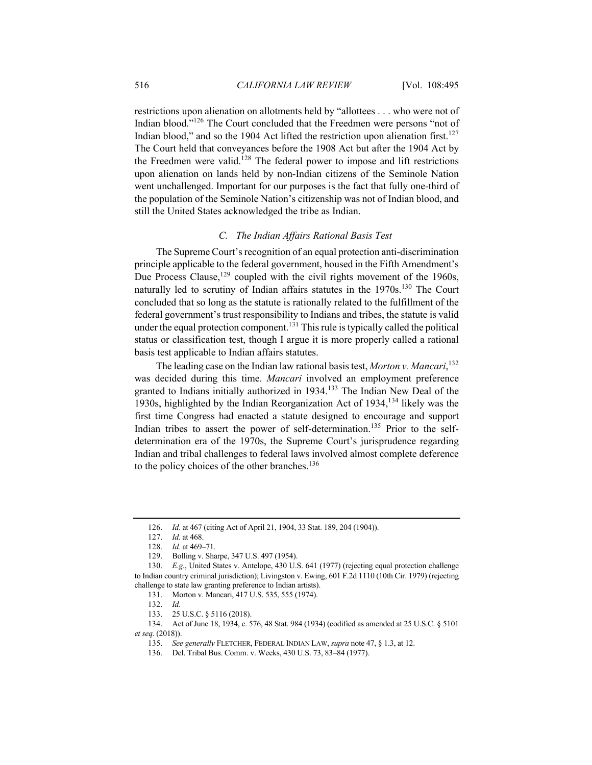restrictions upon alienation on allotments held by "allottees . . . who were not of Indian blood."<sup>126</sup> The Court concluded that the Freedmen were persons "not of Indian blood," and so the 1904 Act lifted the restriction upon alienation first.<sup>127</sup> The Court held that conveyances before the 1908 Act but after the 1904 Act by the Freedmen were valid.<sup>128</sup> The federal power to impose and lift restrictions upon alienation on lands held by non-Indian citizens of the Seminole Nation went unchallenged. Important for our purposes is the fact that fully one-third of the population of the Seminole Nation's citizenship was not of Indian blood, and still the United States acknowledged the tribe as Indian.

# *C. The Indian Affairs Rational Basis Test*

The Supreme Court's recognition of an equal protection anti-discrimination principle applicable to the federal government, housed in the Fifth Amendment's Due Process Clause, $129$  coupled with the civil rights movement of the 1960s, naturally led to scrutiny of Indian affairs statutes in the  $1970s$ .<sup>130</sup> The Court concluded that so long as the statute is rationally related to the fulfillment of the federal government's trust responsibility to Indians and tribes, the statute is valid under the equal protection component.<sup>131</sup> This rule is typically called the political status or classification test, though I argue it is more properly called a rational basis test applicable to Indian affairs statutes.

The leading case on the Indian law rational basis test, *Morton v. Mancari*, 132 was decided during this time. *Mancari* involved an employment preference granted to Indians initially authorized in 1934.<sup>133</sup> The Indian New Deal of the 1930s, highlighted by the Indian Reorganization Act of 1934,<sup>134</sup> likely was the first time Congress had enacted a statute designed to encourage and support Indian tribes to assert the power of self-determination.<sup>135</sup> Prior to the selfdetermination era of the 1970s, the Supreme Court's jurisprudence regarding Indian and tribal challenges to federal laws involved almost complete deference to the policy choices of the other branches.<sup>136</sup>

<sup>126.</sup> *Id.* at 467 (citing Act of April 21, 1904, 33 Stat. 189, 204 (1904)).

<sup>127.</sup> *Id.* at 468.

<sup>128.</sup> *Id.* at 469–71.

<sup>129.</sup> Bolling v. Sharpe, 347 U.S. 497 (1954).

<sup>130.</sup> *E.g.*, United States v. Antelope, 430 U.S. 641 (1977) (rejecting equal protection challenge to Indian country criminal jurisdiction); Livingston v. Ewing, 601 F.2d 1110 (10th Cir. 1979) (rejecting challenge to state law granting preference to Indian artists).

<sup>131.</sup> Morton v. Mancari, 417 U.S. 535, 555 (1974).

<sup>132.</sup> *Id.*

<sup>133.</sup> 25 U.S.C. § 5116 (2018).

<sup>134.</sup> Act of June 18, 1934, c. 576, 48 Stat. 984 (1934) (codified as amended at 25 U.S.C. § 5101 *et seq.* (2018)).

<sup>135.</sup> *See generally* FLETCHER, FEDERAL INDIAN LAW, *supra* note 47, § 1.3, at 12.

<sup>136.</sup> Del. Tribal Bus. Comm. v. Weeks, 430 U.S. 73, 83–84 (1977).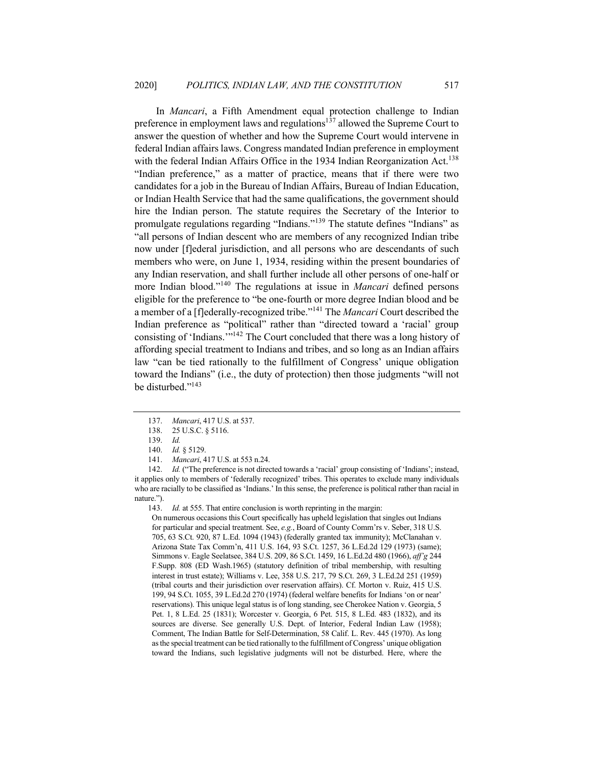In *Mancari*, a Fifth Amendment equal protection challenge to Indian preference in employment laws and regulations<sup>137</sup> allowed the Supreme Court to answer the question of whether and how the Supreme Court would intervene in federal Indian affairs laws. Congress mandated Indian preference in employment with the federal Indian Affairs Office in the 1934 Indian Reorganization Act.<sup>138</sup> "Indian preference," as a matter of practice, means that if there were two candidates for a job in the Bureau of Indian Affairs, Bureau of Indian Education, or Indian Health Service that had the same qualifications, the government should hire the Indian person. The statute requires the Secretary of the Interior to promulgate regulations regarding "Indians."<sup>139</sup> The statute defines "Indians" as "all persons of Indian descent who are members of any recognized Indian tribe now under [f]ederal jurisdiction, and all persons who are descendants of such members who were, on June 1, 1934, residing within the present boundaries of any Indian reservation, and shall further include all other persons of one-half or more Indian blood."<sup>140</sup> The regulations at issue in *Mancari* defined persons eligible for the preference to "be one-fourth or more degree Indian blood and be a member of a [f]ederally-recognized tribe."<sup>141</sup> The *Mancari* Court described the Indian preference as "political" rather than "directed toward a 'racial' group consisting of 'Indians.'"142 The Court concluded that there was a long history of affording special treatment to Indians and tribes, and so long as an Indian affairs law "can be tied rationally to the fulfillment of Congress' unique obligation toward the Indians" (i.e., the duty of protection) then those judgments "will not be disturbed."<sup>143</sup>

141. *Mancari*, 417 U.S. at 553 n.24.

142. *Id.* ("The preference is not directed towards a 'racial' group consisting of 'Indians'; instead, it applies only to members of 'federally recognized' tribes. This operates to exclude many individuals who are racially to be classified as 'Indians.' In this sense, the preference is political rather than racial in nature.").

143. *Id.* at 555. That entire conclusion is worth reprinting in the margin:

On numerous occasions this Court specifically has upheld legislation that singles out Indians for particular and special treatment. See, *e.g.*, Board of County Comm'rs v. Seber, 318 U.S. 705, 63 S.Ct. 920, 87 L.Ed. 1094 (1943) (federally granted tax immunity); McClanahan v. Arizona State Tax Comm'n, 411 U.S. 164, 93 S.Ct. 1257, 36 L.Ed.2d 129 (1973) (same); Simmons v. Eagle Seelatsee, 384 U.S. 209, 86 S.Ct. 1459, 16 L.Ed.2d 480 (1966), *aff'g* 244 F.Supp. 808 (ED Wash.1965) (statutory definition of tribal membership, with resulting interest in trust estate); Williams v. Lee, 358 U.S. 217, 79 S.Ct. 269, 3 L.Ed.2d 251 (1959) (tribal courts and their jurisdiction over reservation affairs). Cf. Morton v. Ruiz, 415 U.S. 199, 94 S.Ct. 1055, 39 L.Ed.2d 270 (1974) (federal welfare benefits for Indians 'on or near' reservations). This unique legal status is of long standing, see Cherokee Nation v. Georgia, 5 Pet. 1, 8 L.Ed. 25 (1831); Worcester v. Georgia, 6 Pet. 515, 8 L.Ed. 483 (1832), and its sources are diverse. See generally U.S. Dept. of Interior, Federal Indian Law (1958); Comment, The Indian Battle for Self-Determination, 58 Calif. L. Rev. 445 (1970). As long as the special treatment can be tied rationally to the fulfillment of Congress' unique obligation toward the Indians, such legislative judgments will not be disturbed. Here, where the

<sup>137.</sup> *Mancari*, 417 U.S. at 537.

<sup>138.</sup> 25 U.S.C. § 5116.

<sup>139.</sup> *Id.*

<sup>140.</sup> *Id.* § 5129.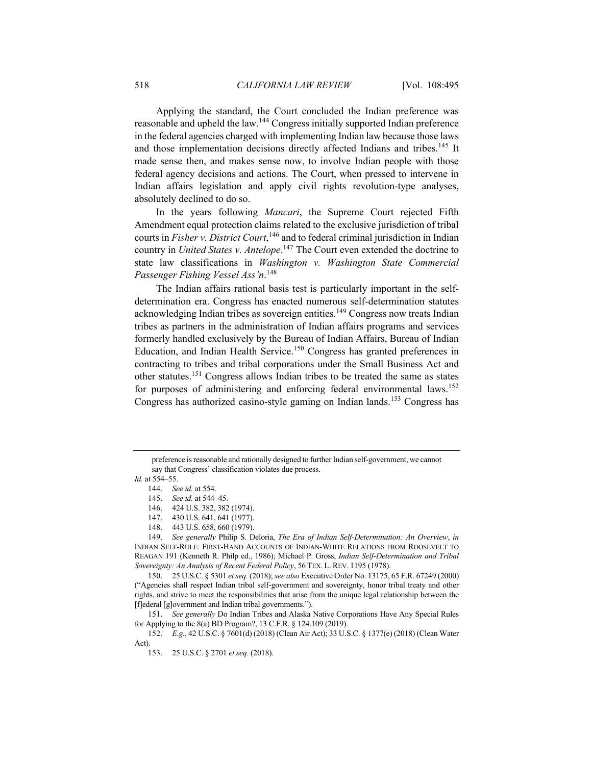Applying the standard, the Court concluded the Indian preference was reasonable and upheld the law.<sup>144</sup> Congress initially supported Indian preference in the federal agencies charged with implementing Indian law because those laws and those implementation decisions directly affected Indians and tribes.<sup>145</sup> It made sense then, and makes sense now, to involve Indian people with those federal agency decisions and actions. The Court, when pressed to intervene in Indian affairs legislation and apply civil rights revolution-type analyses, absolutely declined to do so.

In the years following *Mancari*, the Supreme Court rejected Fifth Amendment equal protection claims related to the exclusive jurisdiction of tribal courts in *Fisher v. District Court*, <sup>146</sup> and to federal criminal jurisdiction in Indian country in *United States v. Antelope*. <sup>147</sup> The Court even extended the doctrine to state law classifications in *Washington v. Washington State Commercial Passenger Fishing Vessel Ass'n*. 148

The Indian affairs rational basis test is particularly important in the selfdetermination era. Congress has enacted numerous self-determination statutes acknowledging Indian tribes as sovereign entities.<sup>149</sup> Congress now treats Indian tribes as partners in the administration of Indian affairs programs and services formerly handled exclusively by the Bureau of Indian Affairs, Bureau of Indian Education, and Indian Health Service.<sup>150</sup> Congress has granted preferences in contracting to tribes and tribal corporations under the Small Business Act and other statutes.<sup>151</sup> Congress allows Indian tribes to be treated the same as states for purposes of administering and enforcing federal environmental laws.<sup>152</sup> Congress has authorized casino-style gaming on Indian lands.<sup>153</sup> Congress has

148. 443 U.S. 658, 660 (1979).

150. 25 U.S.C. § 5301 *et seq.* (2018); *see also* Executive Order No. 13175, 65 F.R. 67249 (2000) ("Agencies shall respect Indian tribal self-government and sovereignty, honor tribal treaty and other rights, and strive to meet the responsibilities that arise from the unique legal relationship between the [f]ederal [g]overnment and Indian tribal governments.").

151. *See generally* Do Indian Tribes and Alaska Native Corporations Have Any Special Rules for Applying to the 8(a) BD Program?, 13 C.F.R. § 124.109 (2019).

152. *E.g.*, 42 U.S.C. § 7601(d) (2018) (Clean Air Act); 33 U.S.C. § 1377(e) (2018) (Clean Water Act).

preference is reasonable and rationally designed to further Indian self-government, we cannot say that Congress' classification violates due process.

*Id.* at 554–55.

<sup>144.</sup> *See id.* at 554.

<sup>145.</sup> *See id.* at 544–45.

<sup>146.</sup> 424 U.S. 382, 382 (1974).

<sup>147.</sup> 430 U.S. 641, 641 (1977).

<sup>149.</sup> *See generally* Philip S. Deloria, *The Era of Indian Self-Determination: An Overview*, *in* INDIAN SELF-RULE: FIRST-HAND ACCOUNTS OF INDIAN-WHITE RELATIONS FROM ROOSEVELT TO REAGAN 191 (Kenneth R. Philp ed., 1986); Michael P. Gross, *Indian Self-Determination and Tribal Sovereignty: An Analysis of Recent Federal Policy*, 56 TEX. L. REV. 1195 (1978).

<sup>153.</sup> 25 U.S.C. § 2701 *et seq.* (2018).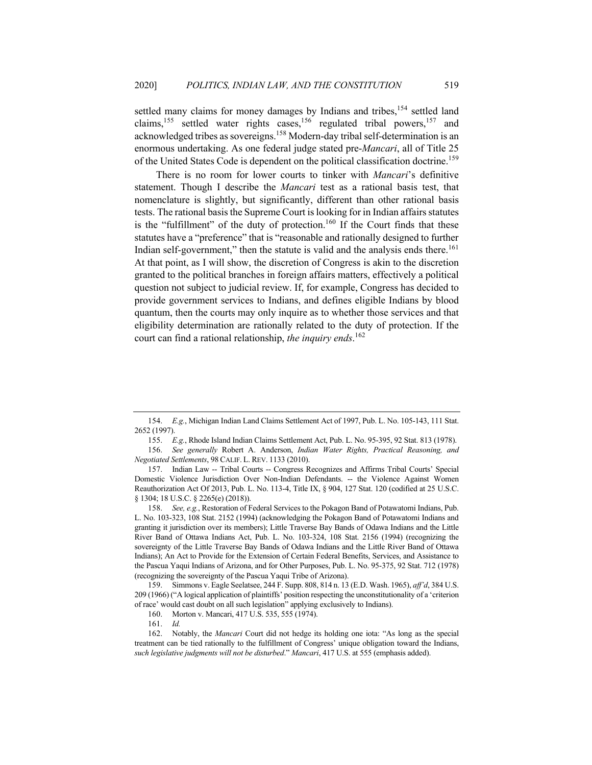settled many claims for money damages by Indians and tribes,<sup>154</sup> settled land claims,<sup>155</sup> settled water rights cases,<sup>156</sup> regulated tribal powers,<sup>157</sup> and acknowledged tribes as sovereigns.158 Modern-day tribal self-determination is an enormous undertaking. As one federal judge stated pre-*Mancari*, all of Title 25 of the United States Code is dependent on the political classification doctrine.<sup>159</sup>

There is no room for lower courts to tinker with *Mancari*'s definitive statement. Though I describe the *Mancari* test as a rational basis test, that nomenclature is slightly, but significantly, different than other rational basis tests. The rational basis the Supreme Court is looking for in Indian affairs statutes is the "fulfillment" of the duty of protection.<sup>160</sup> If the Court finds that these statutes have a "preference" that is "reasonable and rationally designed to further Indian self-government," then the statute is valid and the analysis ends there.<sup>161</sup> At that point, as I will show, the discretion of Congress is akin to the discretion granted to the political branches in foreign affairs matters, effectively a political question not subject to judicial review. If, for example, Congress has decided to provide government services to Indians, and defines eligible Indians by blood quantum, then the courts may only inquire as to whether those services and that eligibility determination are rationally related to the duty of protection. If the court can find a rational relationship, *the inquiry ends*. 162

<sup>154.</sup> *E.g.*, Michigan Indian Land Claims Settlement Act of 1997, Pub. L. No. 105-143, 111 Stat. 2652 (1997).

<sup>155.</sup> *E.g.*, Rhode Island Indian Claims Settlement Act, Pub. L. No. 95-395, 92 Stat. 813 (1978). 156. *See generally* Robert A. Anderson, *Indian Water Rights, Practical Reasoning, and Negotiated Settlements*, 98 CALIF. L. REV. 1133 (2010).

<sup>157.</sup> Indian Law -- Tribal Courts -- Congress Recognizes and Affirms Tribal Courts' Special Domestic Violence Jurisdiction Over Non-Indian Defendants. -- the Violence Against Women Reauthorization Act Of 2013, Pub. L. No. 113-4, Title IX, § 904, 127 Stat. 120 (codified at 25 U.S.C. § 1304; 18 U.S.C. § 2265(e) (2018)).

<sup>158.</sup> *See, e.g.*, Restoration of Federal Services to the Pokagon Band of Potawatomi Indians, Pub. L. No. 103-323, 108 Stat. 2152 (1994) (acknowledging the Pokagon Band of Potawatomi Indians and granting it jurisdiction over its members); Little Traverse Bay Bands of Odawa Indians and the Little River Band of Ottawa Indians Act, Pub. L. No. 103-324, 108 Stat. 2156 (1994) (recognizing the sovereignty of the Little Traverse Bay Bands of Odawa Indians and the Little River Band of Ottawa Indians); An Act to Provide for the Extension of Certain Federal Benefits, Services, and Assistance to the Pascua Yaqui Indians of Arizona, and for Other Purposes, Pub. L. No. 95-375, 92 Stat. 712 (1978) (recognizing the sovereignty of the Pascua Yaqui Tribe of Arizona).

<sup>159.</sup> Simmons v. Eagle Seelatsee, 244 F. Supp. 808, 814 n. 13 (E.D. Wash. 1965), *aff'd*, 384 U.S. 209 (1966) ("A logical application of plaintiffs' position respecting the unconstitutionality of a 'criterion of race' would cast doubt on all such legislation" applying exclusively to Indians).

<sup>160.</sup> Morton v. Mancari, 417 U.S. 535, 555 (1974).

<sup>161.</sup> *Id.*

<sup>162.</sup> Notably, the *Mancari* Court did not hedge its holding one iota: "As long as the special treatment can be tied rationally to the fulfillment of Congress' unique obligation toward the Indians, *such legislative judgments will not be disturbed*." *Mancari*, 417 U.S. at 555 (emphasis added).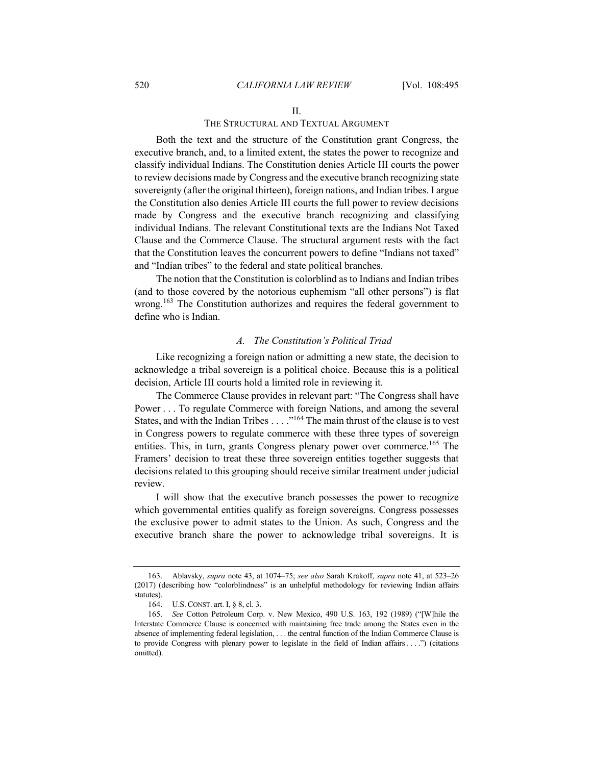## THE STRUCTURAL AND TEXTUAL ARGUMENT

Both the text and the structure of the Constitution grant Congress, the executive branch, and, to a limited extent, the states the power to recognize and classify individual Indians. The Constitution denies Article III courts the power to review decisions made by Congress and the executive branch recognizing state sovereignty (after the original thirteen), foreign nations, and Indian tribes. I argue the Constitution also denies Article III courts the full power to review decisions made by Congress and the executive branch recognizing and classifying individual Indians. The relevant Constitutional texts are the Indians Not Taxed Clause and the Commerce Clause. The structural argument rests with the fact that the Constitution leaves the concurrent powers to define "Indians not taxed" and "Indian tribes" to the federal and state political branches.

The notion that the Constitution is colorblind as to Indians and Indian tribes (and to those covered by the notorious euphemism "all other persons") is flat wrong.<sup>163</sup> The Constitution authorizes and requires the federal government to define who is Indian.

# *A. The Constitution's Political Triad*

Like recognizing a foreign nation or admitting a new state, the decision to acknowledge a tribal sovereign is a political choice. Because this is a political decision, Article III courts hold a limited role in reviewing it.

The Commerce Clause provides in relevant part: "The Congress shall have Power . . . To regulate Commerce with foreign Nations, and among the several States, and with the Indian Tribes . . . . "<sup>164</sup> The main thrust of the clause is to vest in Congress powers to regulate commerce with these three types of sovereign entities. This, in turn, grants Congress plenary power over commerce.<sup>165</sup> The Framers' decision to treat these three sovereign entities together suggests that decisions related to this grouping should receive similar treatment under judicial review.

I will show that the executive branch possesses the power to recognize which governmental entities qualify as foreign sovereigns. Congress possesses the exclusive power to admit states to the Union. As such, Congress and the executive branch share the power to acknowledge tribal sovereigns. It is

<sup>163.</sup> Ablavsky, *supra* note 43, at 1074–75; *see also* Sarah Krakoff, *supra* note 41, at 523–26 (2017) (describing how "colorblindness" is an unhelpful methodology for reviewing Indian affairs statutes).

<sup>164.</sup> U.S. CONST. art. I, § 8, cl. 3.

<sup>165.</sup> *See* Cotton Petroleum Corp. v. New Mexico, 490 U.S. 163, 192 (1989) ("[W]hile the Interstate Commerce Clause is concerned with maintaining free trade among the States even in the absence of implementing federal legislation, . . . the central function of the Indian Commerce Clause is to provide Congress with plenary power to legislate in the field of Indian affairs . . . .") (citations omitted).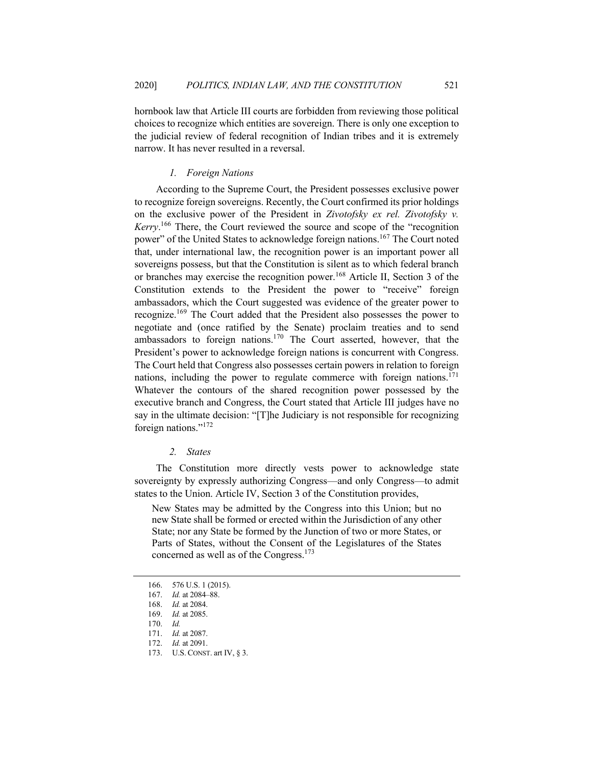hornbook law that Article III courts are forbidden from reviewing those political choices to recognize which entities are sovereign. There is only one exception to the judicial review of federal recognition of Indian tribes and it is extremely narrow. It has never resulted in a reversal.

#### *1. Foreign Nations*

According to the Supreme Court, the President possesses exclusive power to recognize foreign sovereigns. Recently, the Court confirmed its prior holdings on the exclusive power of the President in *Zivotofsky ex rel. Zivotofsky v. Kerry*. <sup>166</sup> There, the Court reviewed the source and scope of the "recognition power" of the United States to acknowledge foreign nations.<sup>167</sup> The Court noted that, under international law, the recognition power is an important power all sovereigns possess, but that the Constitution is silent as to which federal branch or branches may exercise the recognition power.<sup>168</sup> Article II, Section 3 of the Constitution extends to the President the power to "receive" foreign ambassadors, which the Court suggested was evidence of the greater power to recognize.<sup>169</sup> The Court added that the President also possesses the power to negotiate and (once ratified by the Senate) proclaim treaties and to send ambassadors to foreign nations.<sup>170</sup> The Court asserted, however, that the President's power to acknowledge foreign nations is concurrent with Congress. The Court held that Congress also possesses certain powers in relation to foreign nations, including the power to regulate commerce with foreign nations.<sup>171</sup> Whatever the contours of the shared recognition power possessed by the executive branch and Congress, the Court stated that Article III judges have no say in the ultimate decision: "[T]he Judiciary is not responsible for recognizing foreign nations."172

#### *2. States*

The Constitution more directly vests power to acknowledge state sovereignty by expressly authorizing Congress—and only Congress—to admit states to the Union. Article IV, Section 3 of the Constitution provides,

New States may be admitted by the Congress into this Union; but no new State shall be formed or erected within the Jurisdiction of any other State; nor any State be formed by the Junction of two or more States, or Parts of States, without the Consent of the Legislatures of the States concerned as well as of the Congress.173

<sup>166.</sup> 576 U.S. 1 (2015).

<sup>167.</sup> *Id.* at 2084–88.

<sup>168.</sup> *Id.* at 2084.

<sup>169.</sup> *Id.* at 2085.

<sup>170.</sup> *Id.*

<sup>171.</sup> *Id.* at 2087.

<sup>172.</sup> *Id.* at 2091.

<sup>173.</sup> U.S. CONST. art IV, § 3.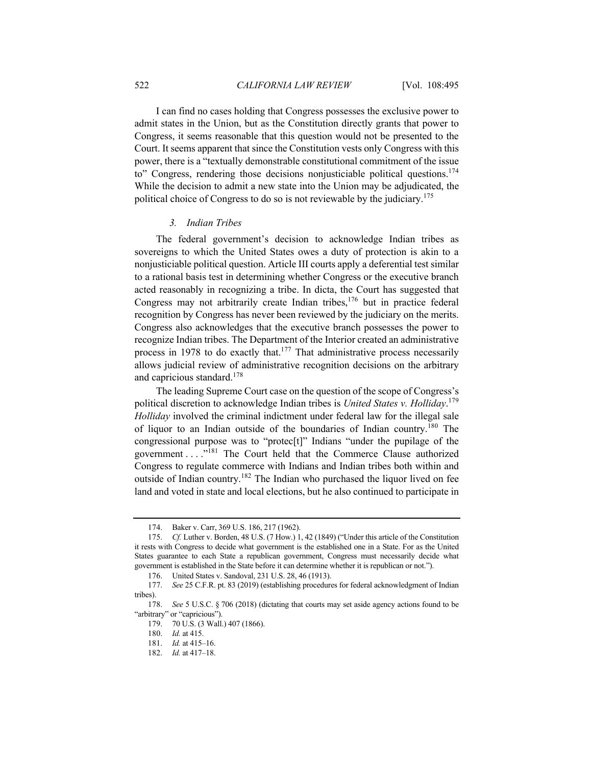I can find no cases holding that Congress possesses the exclusive power to admit states in the Union, but as the Constitution directly grants that power to Congress, it seems reasonable that this question would not be presented to the Court. It seems apparent that since the Constitution vests only Congress with this power, there is a "textually demonstrable constitutional commitment of the issue to" Congress, rendering those decisions nonjusticiable political questions.<sup>174</sup> While the decision to admit a new state into the Union may be adjudicated, the political choice of Congress to do so is not reviewable by the judiciary.<sup>175</sup>

# *3. Indian Tribes*

The federal government's decision to acknowledge Indian tribes as sovereigns to which the United States owes a duty of protection is akin to a nonjusticiable political question. Article III courts apply a deferential test similar to a rational basis test in determining whether Congress or the executive branch acted reasonably in recognizing a tribe. In dicta, the Court has suggested that Congress may not arbitrarily create Indian tribes, $176$  but in practice federal recognition by Congress has never been reviewed by the judiciary on the merits. Congress also acknowledges that the executive branch possesses the power to recognize Indian tribes. The Department of the Interior created an administrative process in 1978 to do exactly that.<sup>177</sup> That administrative process necessarily allows judicial review of administrative recognition decisions on the arbitrary and capricious standard.178

The leading Supreme Court case on the question of the scope of Congress's political discretion to acknowledge Indian tribes is *United States v. Holliday*. 179 *Holliday* involved the criminal indictment under federal law for the illegal sale of liquor to an Indian outside of the boundaries of Indian country.<sup>180</sup> The congressional purpose was to "protec[t]" Indians "under the pupilage of the government . . . ."181 The Court held that the Commerce Clause authorized Congress to regulate commerce with Indians and Indian tribes both within and outside of Indian country.<sup>182</sup> The Indian who purchased the liquor lived on fee land and voted in state and local elections, but he also continued to participate in

<sup>174.</sup> Baker v. Carr, 369 U.S. 186, 217 (1962).

<sup>175.</sup> *Cf.* Luther v. Borden, 48 U.S. (7 How.) 1, 42 (1849) ("Under this article of the Constitution it rests with Congress to decide what government is the established one in a State. For as the United States guarantee to each State a republican government, Congress must necessarily decide what government is established in the State before it can determine whether it is republican or not.").

<sup>176.</sup> United States v. Sandoval, 231 U.S. 28, 46 (1913).

<sup>177.</sup> *See* 25 C.F.R. pt. 83 (2019) (establishing procedures for federal acknowledgment of Indian tribes).

<sup>178.</sup> *See* 5 U.S.C. § 706 (2018) (dictating that courts may set aside agency actions found to be "arbitrary" or "capricious").

<sup>179.</sup> 70 U.S. (3 Wall.) 407 (1866).

<sup>180.</sup> *Id.* at 415.

<sup>181.</sup> *Id.* at 415–16.

<sup>182.</sup> *Id.* at 417–18.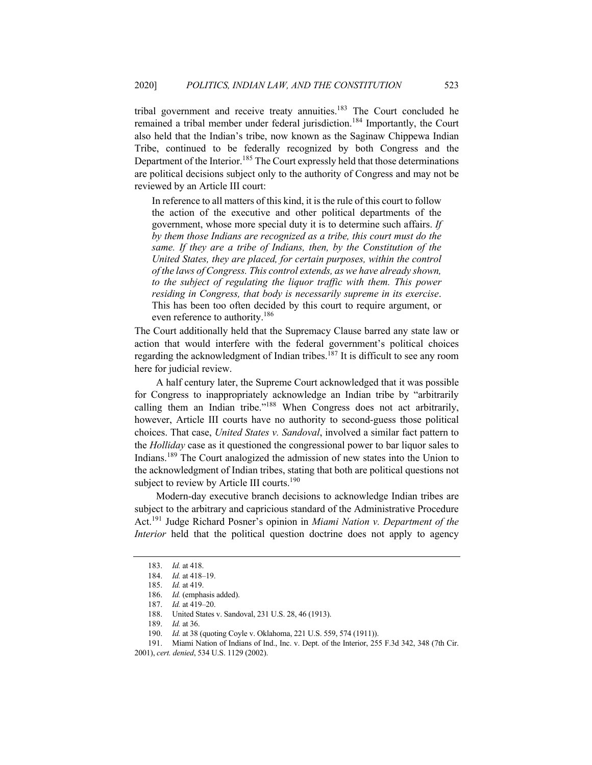tribal government and receive treaty annuities.<sup>183</sup> The Court concluded he remained a tribal member under federal jurisdiction.<sup>184</sup> Importantly, the Court also held that the Indian's tribe, now known as the Saginaw Chippewa Indian Tribe, continued to be federally recognized by both Congress and the Department of the Interior.<sup>185</sup> The Court expressly held that those determinations are political decisions subject only to the authority of Congress and may not be reviewed by an Article III court:

In reference to all matters of this kind, it is the rule of this court to follow the action of the executive and other political departments of the government, whose more special duty it is to determine such affairs. *If by them those Indians are recognized as a tribe, this court must do the same. If they are a tribe of Indians, then, by the Constitution of the United States, they are placed, for certain purposes, within the control of the laws of Congress. This control extends, as we have already shown, to the subject of regulating the liquor traffic with them. This power residing in Congress, that body is necessarily supreme in its exercise*. This has been too often decided by this court to require argument, or even reference to authority.<sup>186</sup>

The Court additionally held that the Supremacy Clause barred any state law or action that would interfere with the federal government's political choices regarding the acknowledgment of Indian tribes.<sup>187</sup> It is difficult to see any room here for judicial review.

A half century later, the Supreme Court acknowledged that it was possible for Congress to inappropriately acknowledge an Indian tribe by "arbitrarily calling them an Indian tribe."<sup>188</sup> When Congress does not act arbitrarily, however, Article III courts have no authority to second-guess those political choices. That case, *United States v. Sandoval*, involved a similar fact pattern to the *Holliday* case as it questioned the congressional power to bar liquor sales to Indians.<sup>189</sup> The Court analogized the admission of new states into the Union to the acknowledgment of Indian tribes, stating that both are political questions not subject to review by Article III courts.<sup>190</sup>

Modern-day executive branch decisions to acknowledge Indian tribes are subject to the arbitrary and capricious standard of the Administrative Procedure Act.191 Judge Richard Posner's opinion in *Miami Nation v. Department of the Interior* held that the political question doctrine does not apply to agency

<sup>183.</sup> *Id.* at 418.

<sup>184.</sup> *Id.* at 418–19.

<sup>185.</sup> *Id.* at 419.

<sup>186.</sup> *Id.* (emphasis added).

<sup>187.</sup> *Id.* at 419–20.

<sup>188.</sup> United States v. Sandoval, 231 U.S. 28, 46 (1913).

<sup>189.</sup> *Id.* at 36.

<sup>190.</sup> *Id.* at 38 (quoting Coyle v. Oklahoma, 221 U.S. 559, 574 (1911)).

<sup>191.</sup> Miami Nation of Indians of Ind., Inc. v. Dept. of the Interior, 255 F.3d 342, 348 (7th Cir. 2001), *cert. denied*, 534 U.S. 1129 (2002).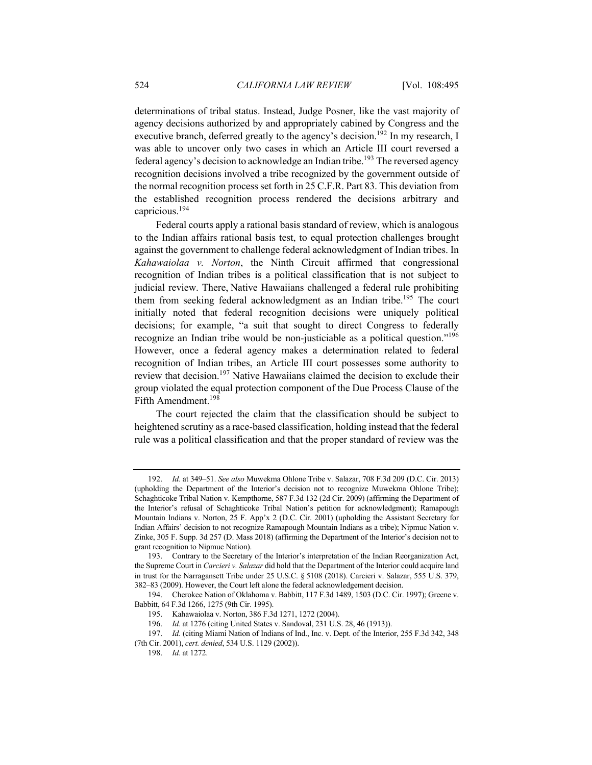determinations of tribal status. Instead, Judge Posner, like the vast majority of agency decisions authorized by and appropriately cabined by Congress and the executive branch, deferred greatly to the agency's decision.<sup>192</sup> In my research, I was able to uncover only two cases in which an Article III court reversed a federal agency's decision to acknowledge an Indian tribe.<sup>193</sup> The reversed agency recognition decisions involved a tribe recognized by the government outside of the normal recognition process set forth in 25 C.F.R. Part 83. This deviation from the established recognition process rendered the decisions arbitrary and capricious.<sup>194</sup>

Federal courts apply a rational basis standard of review, which is analogous to the Indian affairs rational basis test, to equal protection challenges brought against the government to challenge federal acknowledgment of Indian tribes. In *Kahawaiolaa v. Norton*, the Ninth Circuit affirmed that congressional recognition of Indian tribes is a political classification that is not subject to judicial review. There, Native Hawaiians challenged a federal rule prohibiting them from seeking federal acknowledgment as an Indian tribe.<sup>195</sup> The court initially noted that federal recognition decisions were uniquely political decisions; for example, "a suit that sought to direct Congress to federally recognize an Indian tribe would be non-justiciable as a political question."<sup>196</sup> However, once a federal agency makes a determination related to federal recognition of Indian tribes, an Article III court possesses some authority to review that decision.<sup>197</sup> Native Hawaiians claimed the decision to exclude their group violated the equal protection component of the Due Process Clause of the Fifth Amendment.198

The court rejected the claim that the classification should be subject to heightened scrutiny as a race-based classification, holding instead that the federal rule was a political classification and that the proper standard of review was the

<sup>192.</sup> *Id.* at 349–51. *See also* Muwekma Ohlone Tribe v. Salazar, 708 F.3d 209 (D.C. Cir. 2013) (upholding the Department of the Interior's decision not to recognize Muwekma Ohlone Tribe); Schaghticoke Tribal Nation v. Kempthorne, 587 F.3d 132 (2d Cir. 2009) (affirming the Department of the Interior's refusal of Schaghticoke Tribal Nation's petition for acknowledgment); Ramapough Mountain Indians v. Norton, 25 F. App'x 2 (D.C. Cir. 2001) (upholding the Assistant Secretary for Indian Affairs' decision to not recognize Ramapough Mountain Indians as a tribe); Nipmuc Nation v. Zinke, 305 F. Supp. 3d 257 (D. Mass 2018) (affirming the Department of the Interior's decision not to grant recognition to Nipmuc Nation).

<sup>193.</sup> Contrary to the Secretary of the Interior's interpretation of the Indian Reorganization Act, the Supreme Court in *Carcieri v. Salazar* did hold that the Department of the Interior could acquire land in trust for the Narragansett Tribe under 25 U.S.C. § 5108 (2018). Carcieri v. Salazar, 555 U.S. 379, 382–83 (2009). However, the Court left alone the federal acknowledgement decision.

<sup>194.</sup> Cherokee Nation of Oklahoma v. Babbitt, 117 F.3d 1489, 1503 (D.C. Cir. 1997); Greene v. Babbitt, 64 F.3d 1266, 1275 (9th Cir. 1995).

<sup>195.</sup> Kahawaiolaa v. Norton, 386 F.3d 1271, 1272 (2004).

<sup>196.</sup> *Id.* at 1276 (citing United States v. Sandoval, 231 U.S. 28, 46 (1913)).

<sup>197.</sup> *Id.* (citing Miami Nation of Indians of Ind., Inc. v. Dept. of the Interior, 255 F.3d 342, 348 (7th Cir. 2001), *cert. denied*, 534 U.S. 1129 (2002)).

<sup>198.</sup> *Id.* at 1272.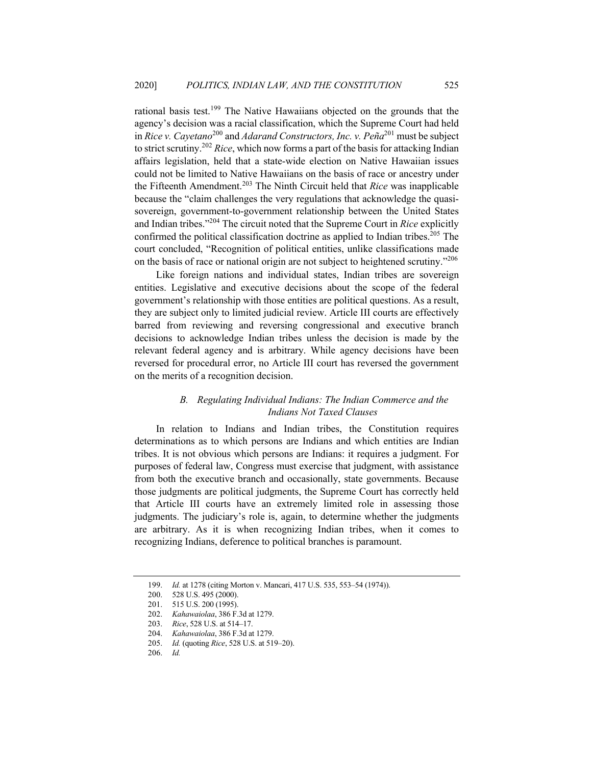rational basis test.<sup>199</sup> The Native Hawaiians objected on the grounds that the agency's decision was a racial classification, which the Supreme Court had held in *Rice v. Cayetano*<sup>200</sup> and *Adarand Constructors, Inc. v. Peña*<sup>201</sup> must be subject to strict scrutiny.202 *Rice*, which now forms a part of the basis for attacking Indian affairs legislation, held that a state-wide election on Native Hawaiian issues could not be limited to Native Hawaiians on the basis of race or ancestry under the Fifteenth Amendment.<sup>203</sup> The Ninth Circuit held that *Rice* was inapplicable because the "claim challenges the very regulations that acknowledge the quasisovereign, government-to-government relationship between the United States and Indian tribes."204 The circuit noted that the Supreme Court in *Rice* explicitly confirmed the political classification doctrine as applied to Indian tribes.<sup>205</sup> The court concluded, "Recognition of political entities, unlike classifications made on the basis of race or national origin are not subject to heightened scrutiny."<sup>206</sup>

Like foreign nations and individual states, Indian tribes are sovereign entities. Legislative and executive decisions about the scope of the federal government's relationship with those entities are political questions. As a result, they are subject only to limited judicial review. Article III courts are effectively barred from reviewing and reversing congressional and executive branch decisions to acknowledge Indian tribes unless the decision is made by the relevant federal agency and is arbitrary. While agency decisions have been reversed for procedural error, no Article III court has reversed the government on the merits of a recognition decision.

# *B. Regulating Individual Indians: The Indian Commerce and the Indians Not Taxed Clauses*

In relation to Indians and Indian tribes, the Constitution requires determinations as to which persons are Indians and which entities are Indian tribes. It is not obvious which persons are Indians: it requires a judgment. For purposes of federal law, Congress must exercise that judgment, with assistance from both the executive branch and occasionally, state governments. Because those judgments are political judgments, the Supreme Court has correctly held that Article III courts have an extremely limited role in assessing those judgments. The judiciary's role is, again, to determine whether the judgments are arbitrary. As it is when recognizing Indian tribes, when it comes to recognizing Indians, deference to political branches is paramount.

<sup>199.</sup> *Id.* at 1278 (citing Morton v. Mancari, 417 U.S. 535, 553–54 (1974)).

<sup>200.</sup> 528 U.S. 495 (2000).

<sup>201.</sup> 515 U.S. 200 (1995).

<sup>202.</sup> *Kahawaiolaa*, 386 F.3d at 1279.

<sup>203.</sup> *Rice*, 528 U.S. at 514–17.

<sup>204.</sup> *Kahawaiolaa*, 386 F.3d at 1279.

<sup>205.</sup> *Id.* (quoting *Rice*, 528 U.S. at 519–20).

<sup>206.</sup> *Id.*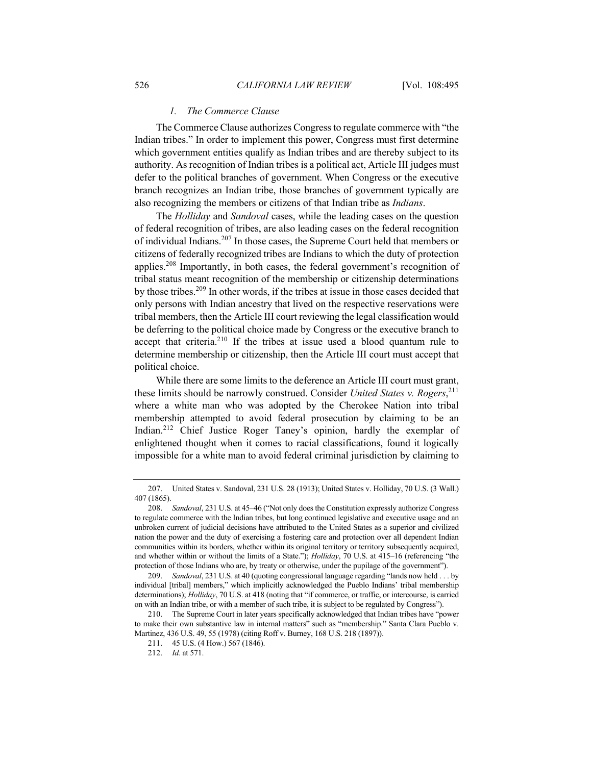# *1. The Commerce Clause*

The Commerce Clause authorizes Congress to regulate commerce with "the Indian tribes." In order to implement this power, Congress must first determine which government entities qualify as Indian tribes and are thereby subject to its authority. As recognition of Indian tribes is a political act, Article III judges must defer to the political branches of government. When Congress or the executive branch recognizes an Indian tribe, those branches of government typically are also recognizing the members or citizens of that Indian tribe as *Indians*.

The *Holliday* and *Sandoval* cases, while the leading cases on the question of federal recognition of tribes, are also leading cases on the federal recognition of individual Indians.<sup>207</sup> In those cases, the Supreme Court held that members or citizens of federally recognized tribes are Indians to which the duty of protection applies.<sup>208</sup> Importantly, in both cases, the federal government's recognition of tribal status meant recognition of the membership or citizenship determinations by those tribes.<sup>209</sup> In other words, if the tribes at issue in those cases decided that only persons with Indian ancestry that lived on the respective reservations were tribal members, then the Article III court reviewing the legal classification would be deferring to the political choice made by Congress or the executive branch to accept that criteria.<sup>210</sup> If the tribes at issue used a blood quantum rule to determine membership or citizenship, then the Article III court must accept that political choice.

While there are some limits to the deference an Article III court must grant, these limits should be narrowly construed. Consider *United States v. Rogers*, 211 where a white man who was adopted by the Cherokee Nation into tribal membership attempted to avoid federal prosecution by claiming to be an Indian.<sup>212</sup> Chief Justice Roger Taney's opinion, hardly the exemplar of enlightened thought when it comes to racial classifications, found it logically impossible for a white man to avoid federal criminal jurisdiction by claiming to

<sup>207.</sup> United States v. Sandoval, 231 U.S. 28 (1913); United States v. Holliday, 70 U.S. (3 Wall.) 407 (1865).

<sup>208.</sup> *Sandoval*, 231 U.S. at 45–46 ("Not only does the Constitution expressly authorize Congress to regulate commerce with the Indian tribes, but long continued legislative and executive usage and an unbroken current of judicial decisions have attributed to the United States as a superior and civilized nation the power and the duty of exercising a fostering care and protection over all dependent Indian communities within its borders, whether within its original territory or territory subsequently acquired, and whether within or without the limits of a State."); *Holliday*, 70 U.S. at 415–16 (referencing "the protection of those Indians who are, by treaty or otherwise, under the pupilage of the government").

<sup>209.</sup> *Sandoval*, 231 U.S. at 40 (quoting congressional language regarding "lands now held . . . by individual [tribal] members," which implicitly acknowledged the Pueblo Indians' tribal membership determinations); *Holliday*, 70 U.S. at 418 (noting that "if commerce, or traffic, or intercourse, is carried on with an Indian tribe, or with a member of such tribe, it is subject to be regulated by Congress").

<sup>210.</sup> The Supreme Court in later years specifically acknowledged that Indian tribes have "power to make their own substantive law in internal matters" such as "membership." Santa Clara Pueblo v. Martinez, 436 U.S. 49, 55 (1978) (citing Roff v. Burney, 168 U.S. 218 (1897)).

<sup>211.</sup> 45 U.S. (4 How.) 567 (1846).

<sup>212.</sup> *Id.* at 571.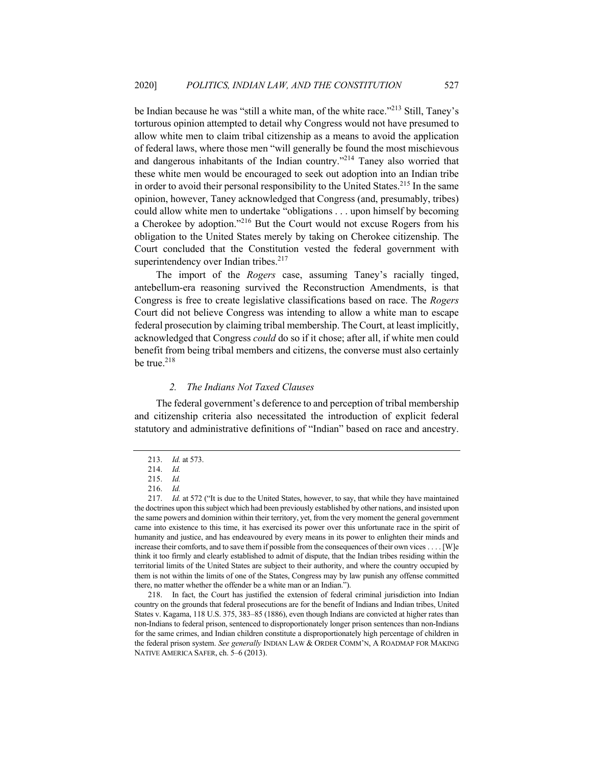be Indian because he was "still a white man, of the white race."213 Still, Taney's torturous opinion attempted to detail why Congress would not have presumed to allow white men to claim tribal citizenship as a means to avoid the application of federal laws, where those men "will generally be found the most mischievous and dangerous inhabitants of the Indian country."214 Taney also worried that these white men would be encouraged to seek out adoption into an Indian tribe in order to avoid their personal responsibility to the United States.<sup>215</sup> In the same opinion, however, Taney acknowledged that Congress (and, presumably, tribes) could allow white men to undertake "obligations . . . upon himself by becoming a Cherokee by adoption."<sup>216</sup> But the Court would not excuse Rogers from his obligation to the United States merely by taking on Cherokee citizenship. The Court concluded that the Constitution vested the federal government with superintendency over Indian tribes.<sup>217</sup>

The import of the *Rogers* case, assuming Taney's racially tinged, antebellum-era reasoning survived the Reconstruction Amendments, is that Congress is free to create legislative classifications based on race. The *Rogers* Court did not believe Congress was intending to allow a white man to escape federal prosecution by claiming tribal membership. The Court, at least implicitly, acknowledged that Congress *could* do so if it chose; after all, if white men could benefit from being tribal members and citizens, the converse must also certainly be true. $^{218}$ 

# *2. The Indians Not Taxed Clauses*

The federal government's deference to and perception of tribal membership and citizenship criteria also necessitated the introduction of explicit federal statutory and administrative definitions of "Indian" based on race and ancestry.

<sup>213.</sup> *Id.* at 573.

<sup>214.</sup> *Id.*

<sup>215.</sup> *Id.*

<sup>216.</sup> *Id.*

<sup>217.</sup> *Id.* at 572 ("It is due to the United States, however, to say, that while they have maintained the doctrines upon this subject which had been previously established by other nations, and insisted upon the same powers and dominion within their territory, yet, from the very moment the general government came into existence to this time, it has exercised its power over this unfortunate race in the spirit of humanity and justice, and has endeavoured by every means in its power to enlighten their minds and increase their comforts, and to save them if possible from the consequences of their own vices . . . . [W]e think it too firmly and clearly established to admit of dispute, that the Indian tribes residing within the territorial limits of the United States are subject to their authority, and where the country occupied by them is not within the limits of one of the States, Congress may by law punish any offense committed there, no matter whether the offender be a white man or an Indian.").

<sup>218.</sup> In fact, the Court has justified the extension of federal criminal jurisdiction into Indian country on the grounds that federal prosecutions are for the benefit of Indians and Indian tribes, United States v. Kagama, 118 U.S. 375, 383–85 (1886), even though Indians are convicted at higher rates than non-Indians to federal prison, sentenced to disproportionately longer prison sentences than non-Indians for the same crimes, and Indian children constitute a disproportionately high percentage of children in the federal prison system. *See generally* INDIAN LAW & ORDER COMM'N, A ROADMAP FOR MAKING NATIVE AMERICA SAFER, ch. 5–6 (2013).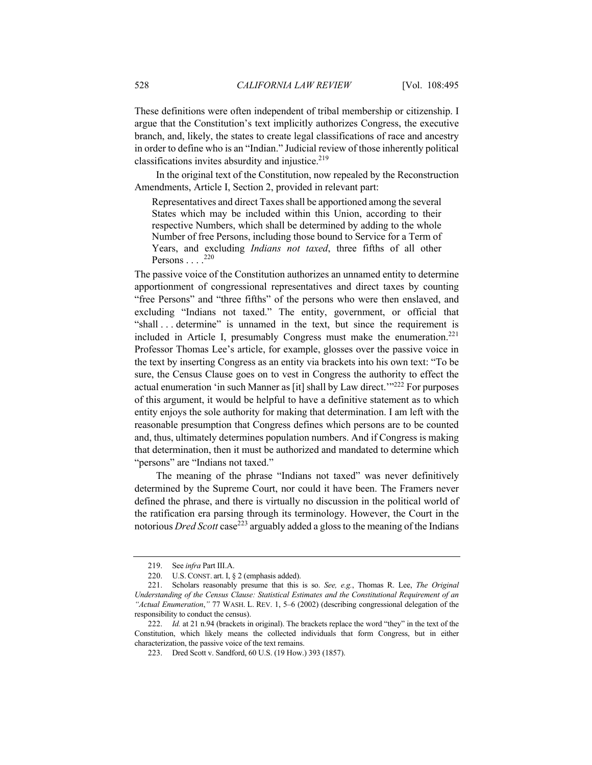These definitions were often independent of tribal membership or citizenship. I argue that the Constitution's text implicitly authorizes Congress, the executive branch, and, likely, the states to create legal classifications of race and ancestry in order to define who is an "Indian." Judicial review of those inherently political classifications invites absurdity and injustice. $219$ 

In the original text of the Constitution, now repealed by the Reconstruction Amendments, Article I, Section 2, provided in relevant part:

Representatives and direct Taxes shall be apportioned among the several States which may be included within this Union, according to their respective Numbers, which shall be determined by adding to the whole Number of free Persons, including those bound to Service for a Term of Years, and excluding *Indians not taxed*, three fifths of all other Persons . . . .<sup>220</sup>

The passive voice of the Constitution authorizes an unnamed entity to determine apportionment of congressional representatives and direct taxes by counting "free Persons" and "three fifths" of the persons who were then enslaved, and excluding "Indians not taxed." The entity, government, or official that "shall ... determine" is unnamed in the text, but since the requirement is included in Article I, presumably Congress must make the enumeration.<sup>221</sup> Professor Thomas Lee's article, for example, glosses over the passive voice in the text by inserting Congress as an entity via brackets into his own text: "To be sure, the Census Clause goes on to vest in Congress the authority to effect the actual enumeration 'in such Manner as [it] shall by Law direct.<sup>"222</sup> For purposes of this argument, it would be helpful to have a definitive statement as to which entity enjoys the sole authority for making that determination. I am left with the reasonable presumption that Congress defines which persons are to be counted and, thus, ultimately determines population numbers. And if Congress is making that determination, then it must be authorized and mandated to determine which "persons" are "Indians not taxed."

The meaning of the phrase "Indians not taxed" was never definitively determined by the Supreme Court, nor could it have been. The Framers never defined the phrase, and there is virtually no discussion in the political world of the ratification era parsing through its terminology. However, the Court in the notorious *Dred Scott* case<sup>223</sup> arguably added a gloss to the meaning of the Indians

<sup>219.</sup> See *infra* Part III.A.

<sup>220.</sup> U.S. CONST. art. I, § 2 (emphasis added).

<sup>221.</sup> Scholars reasonably presume that this is so. *See, e.g.*, Thomas R. Lee, *The Original Understanding of the Census Clause: Statistical Estimates and the Constitutional Requirement of an "Actual Enumeration*,*"* 77 WASH. L. REV. 1, 5–6 (2002) (describing congressional delegation of the responsibility to conduct the census).

<sup>222.</sup> *Id.* at 21 n.94 (brackets in original). The brackets replace the word "they" in the text of the Constitution, which likely means the collected individuals that form Congress, but in either characterization, the passive voice of the text remains.

<sup>223.</sup> Dred Scott v. Sandford, 60 U.S. (19 How.) 393 (1857).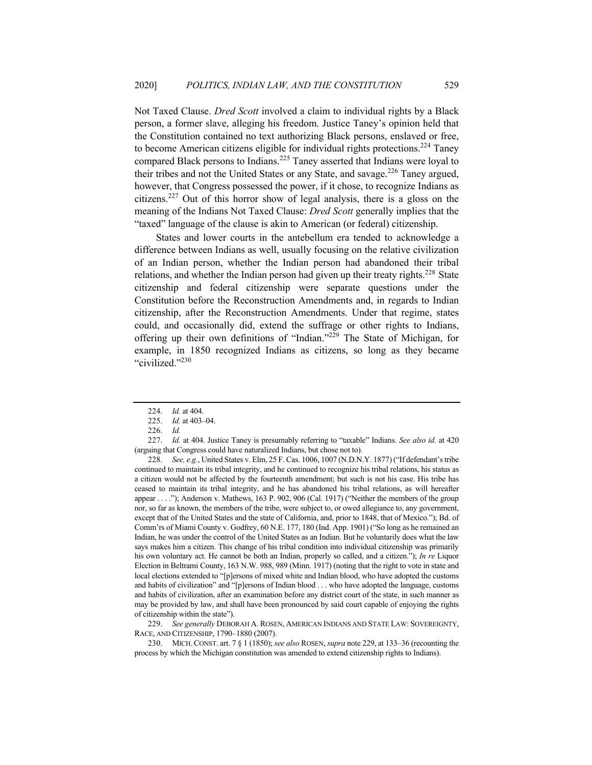Not Taxed Clause. *Dred Scott* involved a claim to individual rights by a Black person, a former slave, alleging his freedom. Justice Taney's opinion held that the Constitution contained no text authorizing Black persons, enslaved or free, to become American citizens eligible for individual rights protections.<sup>224</sup> Taney compared Black persons to Indians.<sup>225</sup> Taney asserted that Indians were loyal to their tribes and not the United States or any State, and savage.<sup>226</sup> Taney argued, however, that Congress possessed the power, if it chose, to recognize Indians as citizens.<sup>227</sup> Out of this horror show of legal analysis, there is a gloss on the meaning of the Indians Not Taxed Clause: *Dred Scott* generally implies that the "taxed" language of the clause is akin to American (or federal) citizenship.

States and lower courts in the antebellum era tended to acknowledge a difference between Indians as well, usually focusing on the relative civilization of an Indian person, whether the Indian person had abandoned their tribal relations, and whether the Indian person had given up their treaty rights.<sup>228</sup> State citizenship and federal citizenship were separate questions under the Constitution before the Reconstruction Amendments and, in regards to Indian citizenship, after the Reconstruction Amendments. Under that regime, states could, and occasionally did, extend the suffrage or other rights to Indians, offering up their own definitions of "Indian."<sup>229</sup> The State of Michigan, for example, in 1850 recognized Indians as citizens, so long as they became "civilized."<sup>230</sup>

228. *See, e.g.*, United States v. Elm, 25 F. Cas. 1006, 1007 (N.D.N.Y. 1877) ("If defendant's tribe continued to maintain its tribal integrity, and he continued to recognize his tribal relations, his status as a citizen would not be affected by the fourteenth amendment; but such is not his case. His tribe has ceased to maintain its tribal integrity, and he has abandoned his tribal relations, as will hereafter appear . . . ."); Anderson v. Mathews, 163 P. 902, 906 (Cal. 1917) ("Neither the members of the group nor, so far as known, the members of the tribe, were subject to, or owed allegiance to, any government, except that of the United States and the state of California, and, prior to 1848, that of Mexico."); Bd. of Comm'rs of Miami County v. Godfrey, 60 N.E. 177, 180 (Ind. App. 1901) ("So long as he remained an Indian, he was under the control of the United States as an Indian. But he voluntarily does what the law says makes him a citizen. This change of his tribal condition into individual citizenship was primarily his own voluntary act. He cannot be both an Indian, properly so called, and a citizen."); *In re* Liquor Election in Beltrami County, 163 N.W. 988, 989 (Minn. 1917) (noting that the right to vote in state and local elections extended to "[p]ersons of mixed white and Indian blood, who have adopted the customs and habits of civilization" and "[p]ersons of Indian blood . . . who have adopted the language, customs and habits of civilization, after an examination before any district court of the state, in such manner as may be provided by law, and shall have been pronounced by said court capable of enjoying the rights of citizenship within the state").

229. *See generally* DEBORAH A. ROSEN, AMERICAN INDIANS AND STATE LAW: SOVEREIGNTY, RACE, AND CITIZENSHIP, 1790–1880 (2007).

230. MICH.CONST. art. 7 § 1 (1850); *see also* ROSEN, *supra* note 229, at 133–36 (recounting the process by which the Michigan constitution was amended to extend citizenship rights to Indians).

<sup>224.</sup> *Id.* at 404.

<sup>225.</sup> *Id.* at 403–04.

<sup>226.</sup> *Id.*

<sup>227.</sup> *Id.* at 404. Justice Taney is presumably referring to "taxable" Indians. *See also id.* at 420 (arguing that Congress could have naturalized Indians, but chose not to).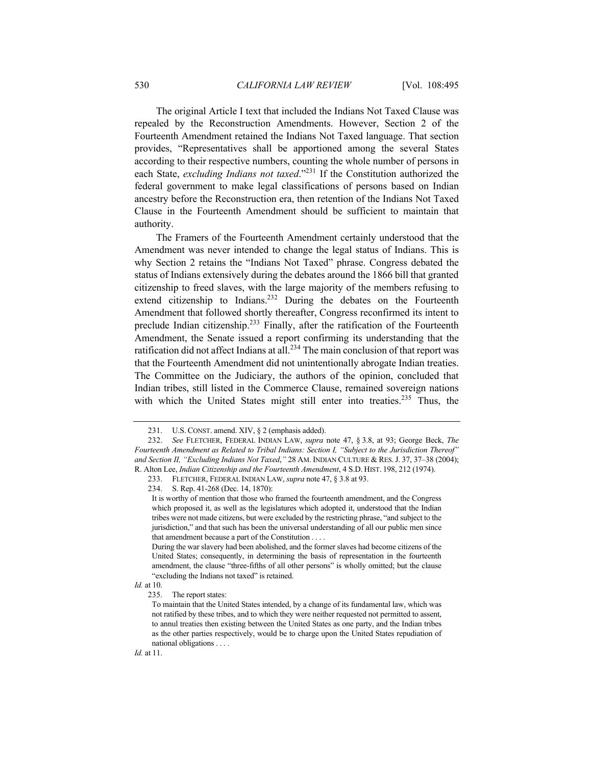The original Article I text that included the Indians Not Taxed Clause was repealed by the Reconstruction Amendments. However, Section 2 of the Fourteenth Amendment retained the Indians Not Taxed language. That section provides, "Representatives shall be apportioned among the several States according to their respective numbers, counting the whole number of persons in each State, *excluding Indians not taxed*."231 If the Constitution authorized the federal government to make legal classifications of persons based on Indian ancestry before the Reconstruction era, then retention of the Indians Not Taxed Clause in the Fourteenth Amendment should be sufficient to maintain that authority.

The Framers of the Fourteenth Amendment certainly understood that the Amendment was never intended to change the legal status of Indians. This is why Section 2 retains the "Indians Not Taxed" phrase. Congress debated the status of Indians extensively during the debates around the 1866 bill that granted citizenship to freed slaves, with the large majority of the members refusing to extend citizenship to Indians.<sup>232</sup> During the debates on the Fourteenth Amendment that followed shortly thereafter, Congress reconfirmed its intent to preclude Indian citizenship.<sup>233</sup> Finally, after the ratification of the Fourteenth Amendment, the Senate issued a report confirming its understanding that the ratification did not affect Indians at all.<sup>234</sup> The main conclusion of that report was that the Fourteenth Amendment did not unintentionally abrogate Indian treaties. The Committee on the Judiciary, the authors of the opinion, concluded that Indian tribes, still listed in the Commerce Clause, remained sovereign nations with which the United States might still enter into treaties.<sup>235</sup> Thus, the

234. S. Rep. 41-268 (Dec. 14, 1870):

<sup>231.</sup> U.S. CONST. amend. XIV, § 2 (emphasis added).

<sup>232.</sup> *See* FLETCHER, FEDERAL INDIAN LAW, *supra* note 47, § 3.8, at 93; George Beck, *The Fourteenth Amendment as Related to Tribal Indians: Section I, "Subject to the Jurisdiction Thereof" and Section II, "Excluding Indians Not Taxed*,*"* 28 AM. INDIAN CULTURE & RES.J. 37, 37–38 (2004); R. Alton Lee, *Indian Citizenship and the Fourteenth Amendment*, 4 S.D. HIST. 198, 212 (1974).

<sup>233.</sup> FLETCHER, FEDERAL INDIAN LAW, *supra* note 47, § 3.8 at 93.

It is worthy of mention that those who framed the fourteenth amendment, and the Congress which proposed it, as well as the legislatures which adopted it, understood that the Indian tribes were not made citizens, but were excluded by the restricting phrase, "and subject to the jurisdiction," and that such has been the universal understanding of all our public men since that amendment because a part of the Constitution . . . .

During the war slavery had been abolished, and the former slaves had become citizens of the United States; consequently, in determining the basis of representation in the fourteenth amendment, the clause "three-fifths of all other persons" is wholly omitted; but the clause "excluding the Indians not taxed" is retained.

*Id.* at 10.

<sup>235.</sup> The report states:

To maintain that the United States intended, by a change of its fundamental law, which was not ratified by these tribes, and to which they were neither requested not permitted to assent, to annul treaties then existing between the United States as one party, and the Indian tribes as the other parties respectively, would be to charge upon the United States repudiation of national obligations . . . .

*Id.* at 11.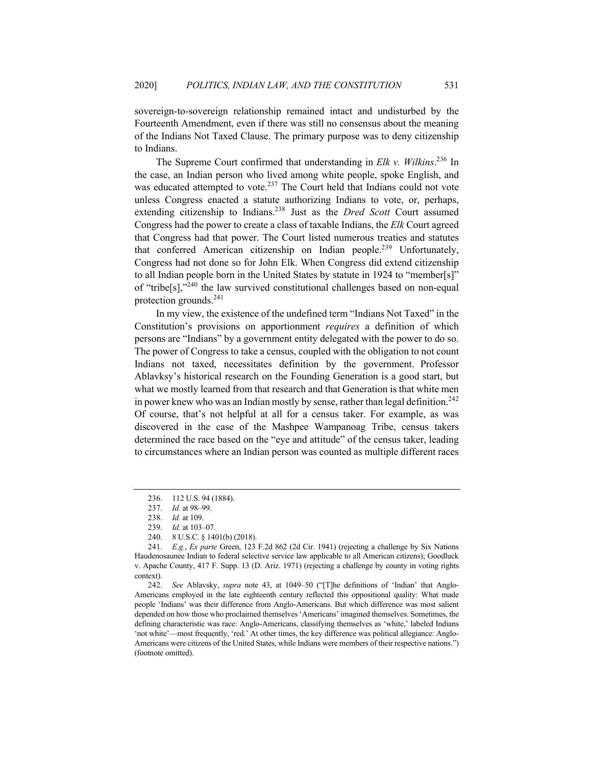sovereign-to-sovereign relationship remained intact and undisturbed by the Fourteenth Amendment, even if there was still no consensus about the meaning of the Indians Not Taxed Clause. The primary purpose was to deny citizenship to Indians.

The Supreme Court confirmed that understanding in *Elk v. Wilkins*. <sup>236</sup> In the case, an Indian person who lived among white people, spoke English, and was educated attempted to vote.<sup>237</sup> The Court held that Indians could not vote unless Congress enacted a statute authorizing Indians to vote, or, perhaps, extending citizenship to Indians.238 Just as the *Dred Scott* Court assumed Congress had the power to create a class of taxable Indians, the *Elk* Court agreed that Congress had that power. The Court listed numerous treaties and statutes that conferred American citizenship on Indian people.<sup>239</sup> Unfortunately, Congress had not done so for John Elk. When Congress did extend citizenship to all Indian people born in the United States by statute in 1924 to "member[s]" of "tribe[s],"240 the law survived constitutional challenges based on non-equal protection grounds.<sup>241</sup>

In my view, the existence of the undefined term "Indians Not Taxed" in the Constitution's provisions on apportionment *requires* a definition of which persons are "Indians" by a government entity delegated with the power to do so. The power of Congress to take a census, coupled with the obligation to not count Indians not taxed, necessitates definition by the government. Professor Ablavksy's historical research on the Founding Generation is a good start, but what we mostly learned from that research and that Generation is that white men in power knew who was an Indian mostly by sense, rather than legal definition.<sup>242</sup> Of course, that's not helpful at all for a census taker. For example, as was discovered in the case of the Mashpee Wampanoag Tribe, census takers determined the race based on the "eye and attitude" of the census taker, leading to circumstances where an Indian person was counted as multiple different races

<sup>236.</sup> 112 U.S. 94 (1884).

<sup>237.</sup> *Id.* at 98–99.

<sup>238.</sup> *Id.* at 109.

<sup>239.</sup> *Id.* at 103–07.

<sup>240.</sup> 8 U.S.C. § 1401(b) (2018).

<sup>241.</sup> *E.g.*, *Ex parte* Green, 123 F.2d 862 (2d Cir. 1941) (rejecting a challenge by Six Nations Haudenosaunee Indian to federal selective service law applicable to all American citizens); Goodluck v. Apache County, 417 F. Supp. 13 (D. Ariz. 1971) (rejecting a challenge by county in voting rights context).

<sup>242.</sup> *See* Ablavsky, *supra* note 43, at 1049–50 ("[T]he definitions of 'Indian' that Anglo-Americans employed in the late eighteenth century reflected this oppositional quality: What made people 'Indians' was their difference from Anglo-Americans. But which difference was most salient depended on how those who proclaimed themselves 'Americans' imagined themselves. Sometimes, the defining characteristic was race: Anglo-Americans, classifying themselves as 'white,' labeled Indians 'not white'—most frequently, 'red.' At other times, the key difference was political allegiance: Anglo-Americans were citizens of the United States, while Indians were members of their respective nations.") (footnote omitted).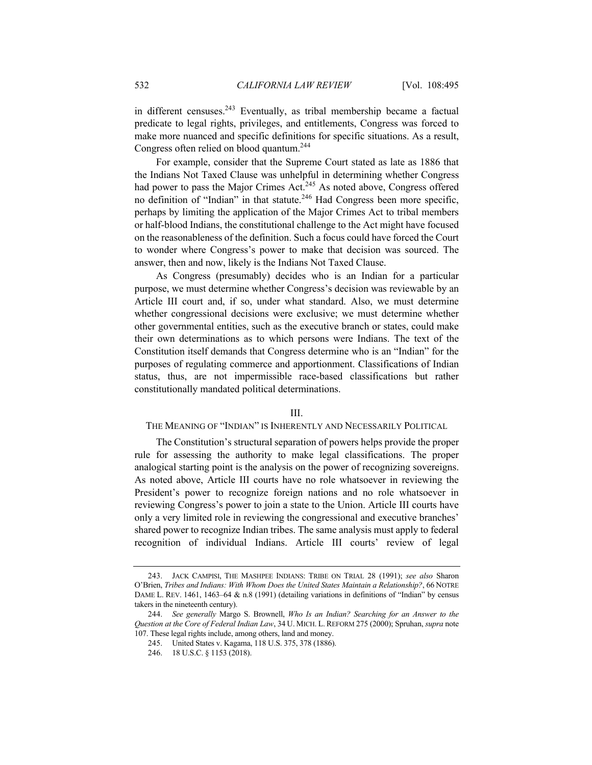in different censuses.<sup>243</sup> Eventually, as tribal membership became a factual predicate to legal rights, privileges, and entitlements, Congress was forced to make more nuanced and specific definitions for specific situations. As a result, Congress often relied on blood quantum.244

For example, consider that the Supreme Court stated as late as 1886 that the Indians Not Taxed Clause was unhelpful in determining whether Congress had power to pass the Major Crimes Act.<sup>245</sup> As noted above, Congress offered no definition of "Indian" in that statute.<sup>246</sup> Had Congress been more specific, perhaps by limiting the application of the Major Crimes Act to tribal members or half-blood Indians, the constitutional challenge to the Act might have focused on the reasonableness of the definition. Such a focus could have forced the Court to wonder where Congress's power to make that decision was sourced. The answer, then and now, likely is the Indians Not Taxed Clause.

As Congress (presumably) decides who is an Indian for a particular purpose, we must determine whether Congress's decision was reviewable by an Article III court and, if so, under what standard. Also, we must determine whether congressional decisions were exclusive; we must determine whether other governmental entities, such as the executive branch or states, could make their own determinations as to which persons were Indians. The text of the Constitution itself demands that Congress determine who is an "Indian" for the purposes of regulating commerce and apportionment. Classifications of Indian status, thus, are not impermissible race-based classifications but rather constitutionally mandated political determinations.

# III.

# THE MEANING OF "INDIAN" IS INHERENTLY AND NECESSARILY POLITICAL

The Constitution's structural separation of powers helps provide the proper rule for assessing the authority to make legal classifications. The proper analogical starting point is the analysis on the power of recognizing sovereigns. As noted above, Article III courts have no role whatsoever in reviewing the President's power to recognize foreign nations and no role whatsoever in reviewing Congress's power to join a state to the Union. Article III courts have only a very limited role in reviewing the congressional and executive branches' shared power to recognize Indian tribes. The same analysis must apply to federal recognition of individual Indians. Article III courts' review of legal

<sup>243.</sup> JACK CAMPISI, THE MASHPEE INDIANS: TRIBE ON TRIAL 28 (1991); *see also* Sharon O'Brien, *Tribes and Indians: With Whom Does the United States Maintain a Relationship?*, 66 NOTRE DAME L. REV. 1461, 1463–64 & n.8 (1991) (detailing variations in definitions of "Indian" by census takers in the nineteenth century).

<sup>244.</sup> *See generally* Margo S. Brownell, *Who Is an Indian? Searching for an Answer to the Question at the Core of Federal Indian Law*, 34 U. MICH. L. REFORM 275 (2000); Spruhan, *supra* note 107. These legal rights include, among others, land and money.

<sup>245.</sup> United States v. Kagama, 118 U.S. 375, 378 (1886).

<sup>246.</sup> 18 U.S.C. § 1153 (2018).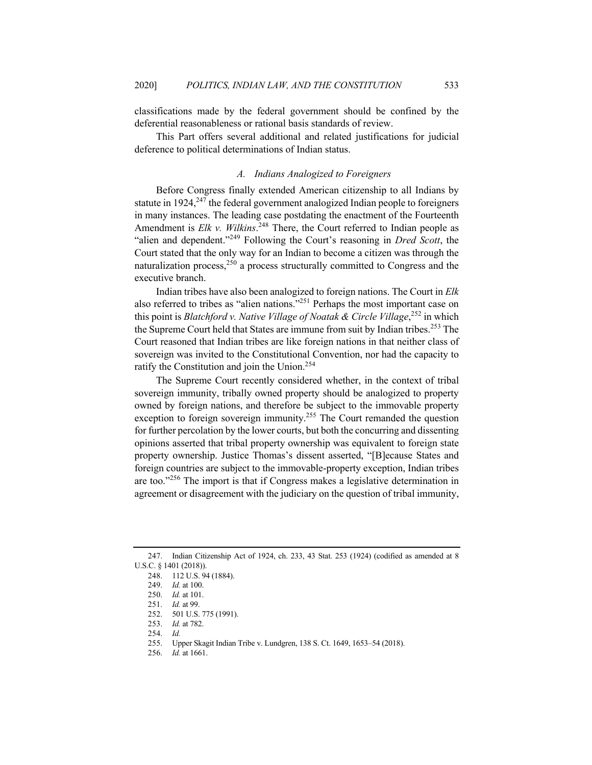classifications made by the federal government should be confined by the deferential reasonableness or rational basis standards of review.

This Part offers several additional and related justifications for judicial deference to political determinations of Indian status.

# *A. Indians Analogized to Foreigners*

Before Congress finally extended American citizenship to all Indians by statute in  $1924$ ,<sup>247</sup> the federal government analogized Indian people to foreigners in many instances. The leading case postdating the enactment of the Fourteenth Amendment is *Elk v. Wilkins*. <sup>248</sup> There, the Court referred to Indian people as "alien and dependent."<sup>249</sup> Following the Court's reasoning in *Dred Scott*, the Court stated that the only way for an Indian to become a citizen was through the naturalization process, $250$  a process structurally committed to Congress and the executive branch.

Indian tribes have also been analogized to foreign nations. The Court in *Elk* also referred to tribes as "alien nations."251 Perhaps the most important case on this point is *Blatchford v. Native Village of Noatak & Circle Village*, <sup>252</sup> in which the Supreme Court held that States are immune from suit by Indian tribes.<sup>253</sup> The Court reasoned that Indian tribes are like foreign nations in that neither class of sovereign was invited to the Constitutional Convention, nor had the capacity to ratify the Constitution and join the Union.<sup>254</sup>

The Supreme Court recently considered whether, in the context of tribal sovereign immunity, tribally owned property should be analogized to property owned by foreign nations, and therefore be subject to the immovable property exception to foreign sovereign immunity.<sup>255</sup> The Court remanded the question for further percolation by the lower courts, but both the concurring and dissenting opinions asserted that tribal property ownership was equivalent to foreign state property ownership. Justice Thomas's dissent asserted, "[B]ecause States and foreign countries are subject to the immovable-property exception, Indian tribes are too."<sup>256</sup> The import is that if Congress makes a legislative determination in agreement or disagreement with the judiciary on the question of tribal immunity,

<sup>247.</sup> Indian Citizenship Act of 1924, ch. 233, 43 Stat. 253 (1924) (codified as amended at 8 U.S.C. § 1401 (2018)).

<sup>248.</sup> 112 U.S. 94 (1884).

<sup>249.</sup> *Id.* at 100.

<sup>250.</sup> *Id.* at 101.

<sup>251.</sup> *Id.* at 99.

<sup>252.</sup> 501 U.S. 775 (1991).

<sup>253.</sup> *Id.* at 782.

<sup>254.</sup> *Id.*

<sup>255.</sup> Upper Skagit Indian Tribe v. Lundgren, 138 S. Ct. 1649, 1653–54 (2018).

<sup>256.</sup> *Id.* at 1661.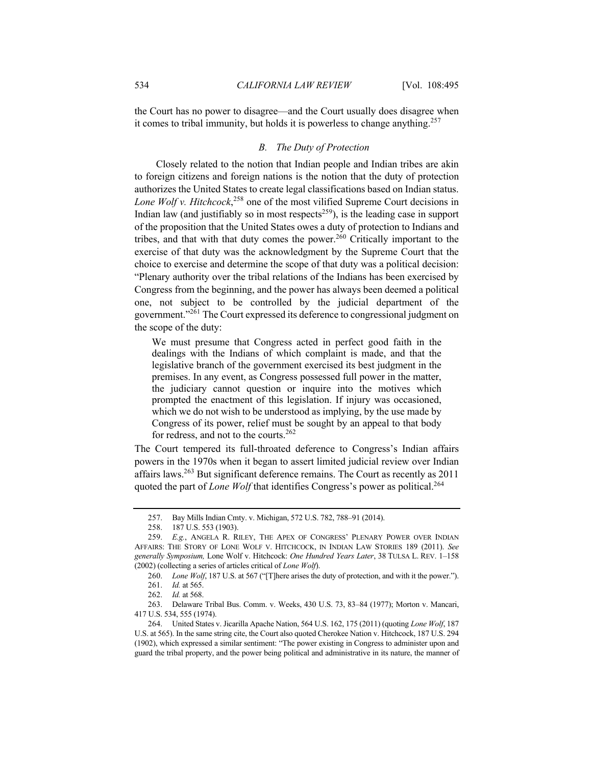the Court has no power to disagree—and the Court usually does disagree when it comes to tribal immunity, but holds it is powerless to change anything.<sup>257</sup>

#### *B. The Duty of Protection*

Closely related to the notion that Indian people and Indian tribes are akin to foreign citizens and foreign nations is the notion that the duty of protection authorizes the United States to create legal classifications based on Indian status. Lone Wolf v. Hitchcock,<sup>258</sup> one of the most vilified Supreme Court decisions in Indian law (and justifiably so in most respects<sup>259</sup>), is the leading case in support of the proposition that the United States owes a duty of protection to Indians and tribes, and that with that duty comes the power.<sup>260</sup> Critically important to the exercise of that duty was the acknowledgment by the Supreme Court that the choice to exercise and determine the scope of that duty was a political decision: "Plenary authority over the tribal relations of the Indians has been exercised by Congress from the beginning, and the power has always been deemed a political one, not subject to be controlled by the judicial department of the government."261 The Court expressed its deference to congressional judgment on the scope of the duty:

We must presume that Congress acted in perfect good faith in the dealings with the Indians of which complaint is made, and that the legislative branch of the government exercised its best judgment in the premises. In any event, as Congress possessed full power in the matter, the judiciary cannot question or inquire into the motives which prompted the enactment of this legislation. If injury was occasioned, which we do not wish to be understood as implying, by the use made by Congress of its power, relief must be sought by an appeal to that body for redress, and not to the courts. $262$ 

The Court tempered its full-throated deference to Congress's Indian affairs powers in the 1970s when it began to assert limited judicial review over Indian affairs laws.<sup>263</sup> But significant deference remains. The Court as recently as  $2011$ quoted the part of *Lone Wolf* that identifies Congress's power as political.<sup>264</sup>

<sup>257.</sup> Bay Mills Indian Cmty. v. Michigan, 572 U.S. 782, 788–91 (2014).

<sup>258.</sup> 187 U.S. 553 (1903).

<sup>259.</sup> *E.g.*, ANGELA R. RILEY, THE APEX OF CONGRESS' PLENARY POWER OVER INDIAN AFFAIRS: THE STORY OF LONE WOLF V. HITCHCOCK, IN INDIAN LAW STORIES 189 (2011). *See generally Symposium,* Lone Wolf v. Hitchcock: *One Hundred Years Later*, 38 TULSA L. REV. 1–158 (2002) (collecting a series of articles critical of *Lone Wolf*).

<sup>260.</sup> *Lone Wolf*, 187 U.S. at 567 ("[T]here arises the duty of protection, and with it the power."). 261. *Id.* at 565.

<sup>262.</sup> *Id.* at 568.

<sup>263.</sup> Delaware Tribal Bus. Comm. v. Weeks, 430 U.S. 73, 83–84 (1977); Morton v. Mancari, 417 U.S. 534, 555 (1974).

<sup>264.</sup> United States v. Jicarilla Apache Nation, 564 U.S. 162, 175 (2011) (quoting *Lone Wolf*, 187 U.S. at 565). In the same string cite, the Court also quoted Cherokee Nation v. Hitchcock, 187 U.S. 294 (1902), which expressed a similar sentiment: "The power existing in Congress to administer upon and guard the tribal property, and the power being political and administrative in its nature, the manner of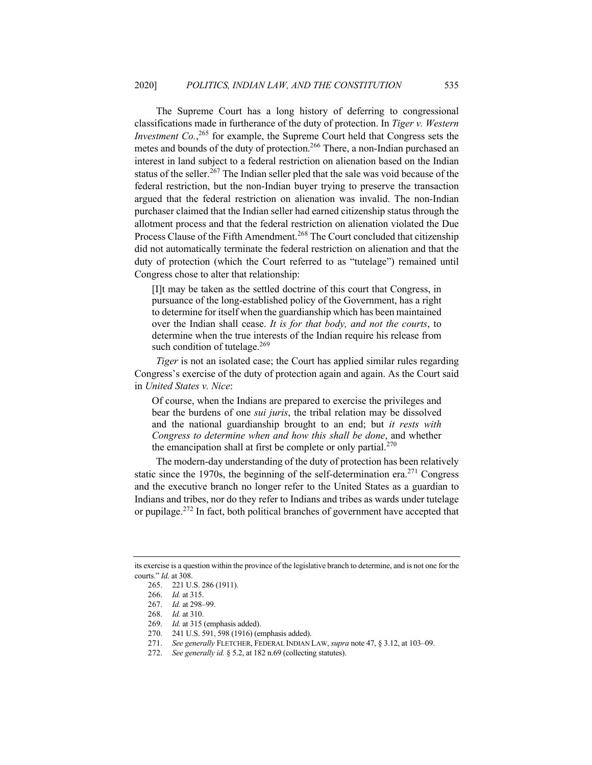The Supreme Court has a long history of deferring to congressional classifications made in furtherance of the duty of protection. In *Tiger v. Western Investment Co.*<sup>265</sup> for example, the Supreme Court held that Congress sets the metes and bounds of the duty of protection.<sup>266</sup> There, a non-Indian purchased an interest in land subject to a federal restriction on alienation based on the Indian status of the seller.<sup>267</sup> The Indian seller pled that the sale was void because of the federal restriction, but the non-Indian buyer trying to preserve the transaction argued that the federal restriction on alienation was invalid. The non-Indian purchaser claimed that the Indian seller had earned citizenship status through the allotment process and that the federal restriction on alienation violated the Due Process Clause of the Fifth Amendment.<sup>268</sup> The Court concluded that citizenship did not automatically terminate the federal restriction on alienation and that the duty of protection (which the Court referred to as "tutelage") remained until Congress chose to alter that relationship:

[I]t may be taken as the settled doctrine of this court that Congress, in pursuance of the long-established policy of the Government, has a right to determine for itself when the guardianship which has been maintained over the Indian shall cease. *It is for that body, and not the courts*, to determine when the true interests of the Indian require his release from such condition of tutelage.<sup>269</sup>

*Tiger* is not an isolated case; the Court has applied similar rules regarding Congress's exercise of the duty of protection again and again. As the Court said in *United States v. Nice*:

Of course, when the Indians are prepared to exercise the privileges and bear the burdens of one *sui juris*, the tribal relation may be dissolved and the national guardianship brought to an end; but *it rests with Congress to determine when and how this shall be done*, and whether the emancipation shall at first be complete or only partial. $270$ 

The modern-day understanding of the duty of protection has been relatively static since the 1970s, the beginning of the self-determination era.<sup>271</sup> Congress and the executive branch no longer refer to the United States as a guardian to Indians and tribes, nor do they refer to Indians and tribes as wards under tutelage or pupilage.<sup>272</sup> In fact, both political branches of government have accepted that

its exercise is a question within the province of the legislative branch to determine, and is not one for the courts." *Id.* at 308.

<sup>265.</sup> 221 U.S. 286 (1911).

<sup>266.</sup> *Id.* at 315.

<sup>267.</sup> *Id.* at 298–99.

<sup>268.</sup> *Id.* at 310.

<sup>269.</sup> *Id.* at 315 (emphasis added).

<sup>270.</sup> 241 U.S. 591, 598 (1916) (emphasis added).

<sup>271.</sup> *See generally* FLETCHER, FEDERAL INDIAN LAW, *supra* note 47, § 3.12, at 103–09.

<sup>272.</sup> *See generally id.* § 5.2, at 182 n.69 (collecting statutes).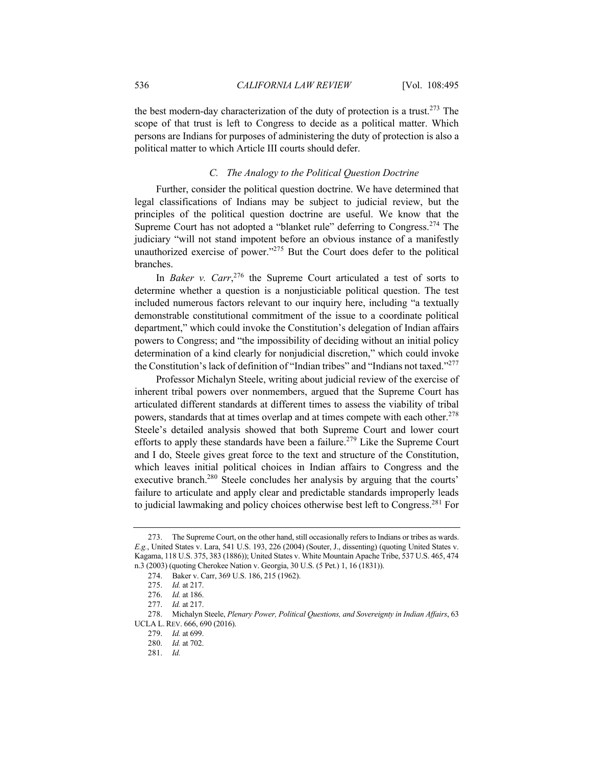the best modern-day characterization of the duty of protection is a trust.<sup>273</sup> The scope of that trust is left to Congress to decide as a political matter. Which persons are Indians for purposes of administering the duty of protection is also a political matter to which Article III courts should defer.

# *C. The Analogy to the Political Question Doctrine*

Further, consider the political question doctrine. We have determined that legal classifications of Indians may be subject to judicial review, but the principles of the political question doctrine are useful. We know that the Supreme Court has not adopted a "blanket rule" deferring to Congress.<sup>274</sup> The judiciary "will not stand impotent before an obvious instance of a manifestly unauthorized exercise of power."<sup>275</sup> But the Court does defer to the political branches.

In *Baker v. Carr*, <sup>276</sup> the Supreme Court articulated a test of sorts to determine whether a question is a nonjusticiable political question. The test included numerous factors relevant to our inquiry here, including "a textually demonstrable constitutional commitment of the issue to a coordinate political department," which could invoke the Constitution's delegation of Indian affairs powers to Congress; and "the impossibility of deciding without an initial policy determination of a kind clearly for nonjudicial discretion," which could invoke the Constitution's lack of definition of "Indian tribes" and "Indians not taxed."277

Professor Michalyn Steele, writing about judicial review of the exercise of inherent tribal powers over nonmembers, argued that the Supreme Court has articulated different standards at different times to assess the viability of tribal powers, standards that at times overlap and at times compete with each other.<sup>278</sup> Steele's detailed analysis showed that both Supreme Court and lower court efforts to apply these standards have been a failure.<sup>279</sup> Like the Supreme Court and I do, Steele gives great force to the text and structure of the Constitution, which leaves initial political choices in Indian affairs to Congress and the executive branch.<sup>280</sup> Steele concludes her analysis by arguing that the courts' failure to articulate and apply clear and predictable standards improperly leads to judicial lawmaking and policy choices otherwise best left to Congress.<sup>281</sup> For

<sup>273.</sup> The Supreme Court, on the other hand, still occasionally refers to Indians or tribes as wards. *E.g.*, United States v. Lara, 541 U.S. 193, 226 (2004) (Souter, J., dissenting) (quoting United States v. Kagama, 118 U.S. 375, 383 (1886)); United States v. White Mountain Apache Tribe, 537 U.S. 465, 474 n.3 (2003) (quoting Cherokee Nation v. Georgia, 30 U.S. (5 Pet.) 1, 16 (1831)).

<sup>274.</sup> Baker v. Carr, 369 U.S. 186, 215 (1962).

<sup>275.</sup> *Id.* at 217.

<sup>276.</sup> *Id.* at 186.

<sup>277.</sup> *Id.* at 217.

<sup>278.</sup> Michalyn Steele, *Plenary Power, Political Questions, and Sovereignty in Indian Affairs*, 63 UCLA L. REV. 666, 690 (2016).

<sup>279.</sup> *Id.* at 699.

<sup>280.</sup> *Id.* at 702.

<sup>281.</sup> *Id.*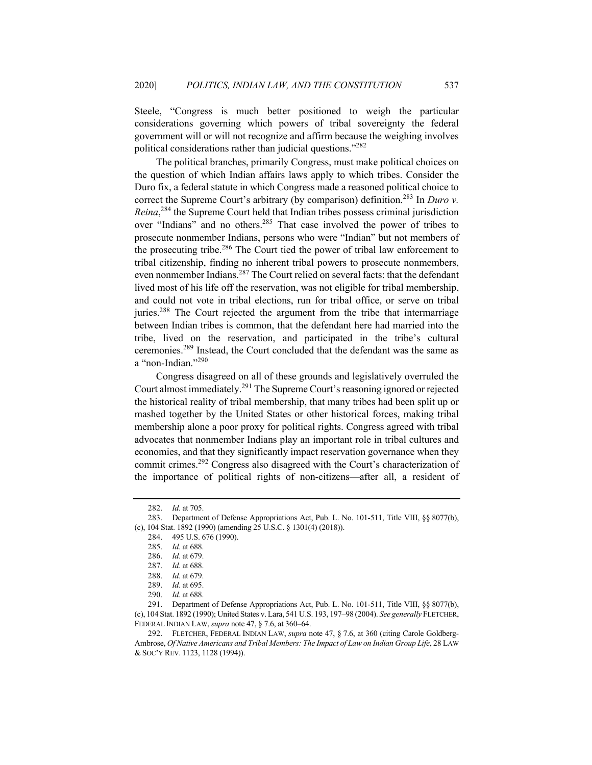Steele, "Congress is much better positioned to weigh the particular considerations governing which powers of tribal sovereignty the federal government will or will not recognize and affirm because the weighing involves political considerations rather than judicial questions."282

The political branches, primarily Congress, must make political choices on the question of which Indian affairs laws apply to which tribes. Consider the Duro fix, a federal statute in which Congress made a reasoned political choice to correct the Supreme Court's arbitrary (by comparison) definition.<sup>283</sup> In *Duro v. Reina*, <sup>284</sup> the Supreme Court held that Indian tribes possess criminal jurisdiction over "Indians" and no others.<sup>285</sup> That case involved the power of tribes to prosecute nonmember Indians, persons who were "Indian" but not members of the prosecuting tribe.286 The Court tied the power of tribal law enforcement to tribal citizenship, finding no inherent tribal powers to prosecute nonmembers, even nonmember Indians.<sup>287</sup> The Court relied on several facts: that the defendant lived most of his life off the reservation, was not eligible for tribal membership, and could not vote in tribal elections, run for tribal office, or serve on tribal juries.<sup>288</sup> The Court rejected the argument from the tribe that intermarriage between Indian tribes is common, that the defendant here had married into the tribe, lived on the reservation, and participated in the tribe's cultural ceremonies.289 Instead, the Court concluded that the defendant was the same as a "non-Indian."290

Congress disagreed on all of these grounds and legislatively overruled the Court almost immediately.291 The Supreme Court's reasoning ignored or rejected the historical reality of tribal membership, that many tribes had been split up or mashed together by the United States or other historical forces, making tribal membership alone a poor proxy for political rights. Congress agreed with tribal advocates that nonmember Indians play an important role in tribal cultures and economies, and that they significantly impact reservation governance when they commit crimes.<sup>292</sup> Congress also disagreed with the Court's characterization of the importance of political rights of non-citizens—after all, a resident of

<sup>282.</sup> *Id.* at 705.

<sup>283.</sup> Department of Defense Appropriations Act, Pub. L. No. 101-511, Title VIII, §§ 8077(b), (c), 104 Stat. 1892 (1990) (amending 25 U.S.C. § 1301(4) (2018)).

<sup>284.</sup> 495 U.S. 676 (1990).

<sup>285.</sup> *Id.* at 688.

<sup>286.</sup> *Id.* at 679.

<sup>287.</sup> *Id.* at 688.

<sup>288.</sup> *Id.* at 679.

<sup>289.</sup> *Id.* at 695.

<sup>290.</sup> *Id.* at 688.

<sup>291.</sup> Department of Defense Appropriations Act, Pub. L. No. 101-511, Title VIII, §§ 8077(b), (c), 104 Stat. 1892 (1990); United States v. Lara, 541 U.S. 193, 197–98 (2004). *See generally* FLETCHER, FEDERAL INDIAN LAW, *supra* note 47, § 7.6, at 360–64.

<sup>292.</sup> FLETCHER, FEDERAL INDIAN LAW, *supra* note 47, § 7.6, at 360 (citing Carole Goldberg-Ambrose, *Of Native Americans and Tribal Members: The Impact of Law on Indian Group Life*, 28 LAW & SOC'Y REV. 1123, 1128 (1994)).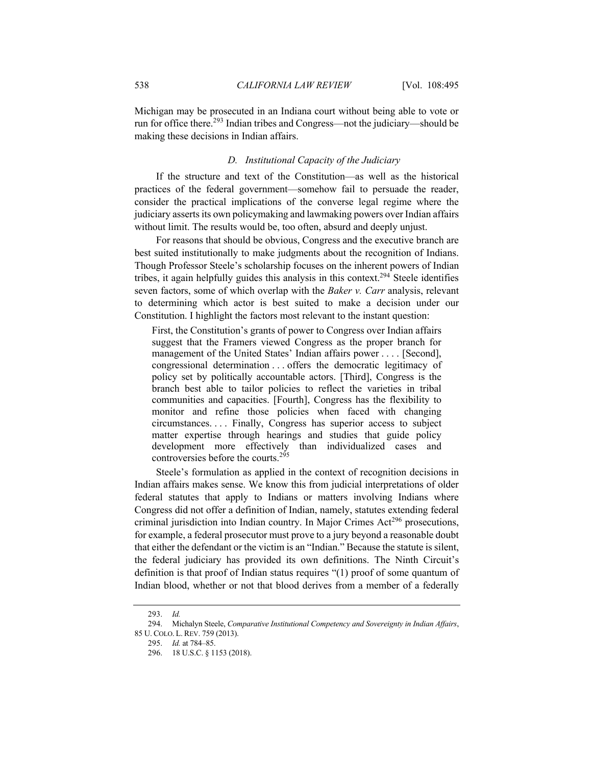Michigan may be prosecuted in an Indiana court without being able to vote or run for office there.<sup>293</sup> Indian tribes and Congress—not the judiciary—should be making these decisions in Indian affairs.

# *D. Institutional Capacity of the Judiciary*

If the structure and text of the Constitution—as well as the historical practices of the federal government—somehow fail to persuade the reader, consider the practical implications of the converse legal regime where the judiciary asserts its own policymaking and lawmaking powers over Indian affairs without limit. The results would be, too often, absurd and deeply unjust.

For reasons that should be obvious, Congress and the executive branch are best suited institutionally to make judgments about the recognition of Indians. Though Professor Steele's scholarship focuses on the inherent powers of Indian tribes, it again helpfully guides this analysis in this context.<sup>294</sup> Steele identifies seven factors, some of which overlap with the *Baker v. Carr* analysis, relevant to determining which actor is best suited to make a decision under our Constitution. I highlight the factors most relevant to the instant question:

First, the Constitution's grants of power to Congress over Indian affairs suggest that the Framers viewed Congress as the proper branch for management of the United States' Indian affairs power .... [Second], congressional determination . . . offers the democratic legitimacy of policy set by politically accountable actors. [Third], Congress is the branch best able to tailor policies to reflect the varieties in tribal communities and capacities. [Fourth], Congress has the flexibility to monitor and refine those policies when faced with changing circumstances. . . . Finally, Congress has superior access to subject matter expertise through hearings and studies that guide policy development more effectively than individualized cases and controversies before the courts.295

Steele's formulation as applied in the context of recognition decisions in Indian affairs makes sense. We know this from judicial interpretations of older federal statutes that apply to Indians or matters involving Indians where Congress did not offer a definition of Indian, namely, statutes extending federal criminal jurisdiction into Indian country. In Major Crimes  $Act^{296}$  prosecutions, for example, a federal prosecutor must prove to a jury beyond a reasonable doubt that either the defendant or the victim is an "Indian." Because the statute is silent, the federal judiciary has provided its own definitions. The Ninth Circuit's definition is that proof of Indian status requires "(1) proof of some quantum of Indian blood, whether or not that blood derives from a member of a federally

<sup>293.</sup> *Id.*

<sup>294.</sup> Michalyn Steele, *Comparative Institutional Competency and Sovereignty in Indian Affairs*, 85 U. COLO. L. REV. 759 (2013).

<sup>295.</sup> *Id.* at 784–85.

<sup>296.</sup> 18 U.S.C. § 1153 (2018).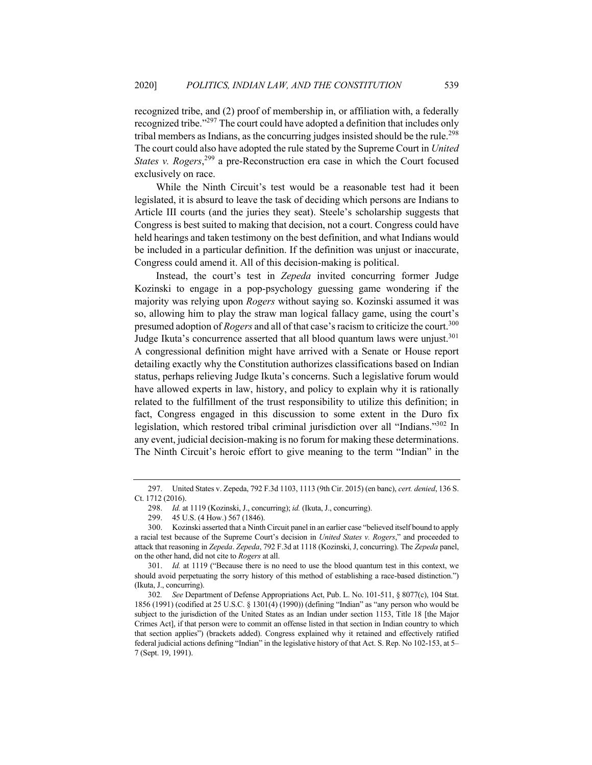recognized tribe, and (2) proof of membership in, or affiliation with, a federally recognized tribe."<sup>297</sup> The court could have adopted a definition that includes only tribal members as Indians, as the concurring judges insisted should be the rule.<sup>298</sup> The court could also have adopted the rule stated by the Supreme Court in *United States v. Rogers*, <sup>299</sup> a pre-Reconstruction era case in which the Court focused exclusively on race.

While the Ninth Circuit's test would be a reasonable test had it been legislated, it is absurd to leave the task of deciding which persons are Indians to Article III courts (and the juries they seat). Steele's scholarship suggests that Congress is best suited to making that decision, not a court. Congress could have held hearings and taken testimony on the best definition, and what Indians would be included in a particular definition. If the definition was unjust or inaccurate, Congress could amend it. All of this decision-making is political.

Instead, the court's test in *Zepeda* invited concurring former Judge Kozinski to engage in a pop-psychology guessing game wondering if the majority was relying upon *Rogers* without saying so. Kozinski assumed it was so, allowing him to play the straw man logical fallacy game, using the court's presumed adoption of *Rogers* and all of that case's racism to criticize the court.300 Judge Ikuta's concurrence asserted that all blood quantum laws were unjust.<sup>301</sup> A congressional definition might have arrived with a Senate or House report detailing exactly why the Constitution authorizes classifications based on Indian status, perhaps relieving Judge Ikuta's concerns. Such a legislative forum would have allowed experts in law, history, and policy to explain why it is rationally related to the fulfillment of the trust responsibility to utilize this definition; in fact, Congress engaged in this discussion to some extent in the Duro fix legislation, which restored tribal criminal jurisdiction over all "Indians."302 In any event, judicial decision-making is no forum for making these determinations. The Ninth Circuit's heroic effort to give meaning to the term "Indian" in the

<sup>297.</sup> United States v. Zepeda, 792 F.3d 1103, 1113 (9th Cir. 2015) (en banc), *cert. denied*, 136 S. Ct. 1712 (2016).

<sup>298.</sup> *Id.* at 1119 (Kozinski, J., concurring); *id.* (Ikuta, J., concurring).

<sup>299.</sup> 45 U.S. (4 How.) 567 (1846).

<sup>300.</sup> Kozinski asserted that a Ninth Circuit panel in an earlier case "believed itself bound to apply a racial test because of the Supreme Court's decision in *United States v. Rogers*," and proceeded to attack that reasoning in *Zepeda*. *Zepeda*, 792 F.3d at 1118 (Kozinski, J, concurring). The *Zepeda* panel, on the other hand, did not cite to *Rogers* at all.

<sup>301.</sup> *Id.* at 1119 ("Because there is no need to use the blood quantum test in this context, we should avoid perpetuating the sorry history of this method of establishing a race-based distinction.") (Ikuta, J., concurring).

<sup>302</sup>*. See* Department of Defense Appropriations Act, Pub. L. No. 101-511, § 8077(c), 104 Stat. 1856 (1991) (codified at 25 U.S.C. § 1301(4) (1990)) (defining "Indian" as "any person who would be subject to the jurisdiction of the United States as an Indian under section 1153, Title 18 [the Major Crimes Act], if that person were to commit an offense listed in that section in Indian country to which that section applies") (brackets added). Congress explained why it retained and effectively ratified federal judicial actions defining "Indian" in the legislative history of that Act. S. Rep. No 102-153, at 5– 7 (Sept. 19, 1991).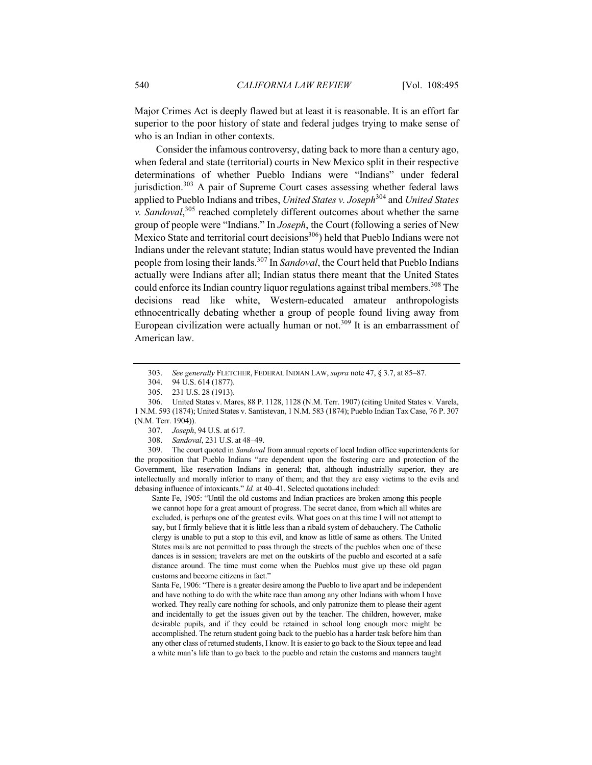Major Crimes Act is deeply flawed but at least it is reasonable. It is an effort far superior to the poor history of state and federal judges trying to make sense of who is an Indian in other contexts.

Consider the infamous controversy, dating back to more than a century ago, when federal and state (territorial) courts in New Mexico split in their respective determinations of whether Pueblo Indians were "Indians" under federal jurisdiction.<sup>303</sup> A pair of Supreme Court cases assessing whether federal laws applied to Pueblo Indians and tribes, *United States v. Joseph*<sup>304</sup> and *United States v. Sandoval*, <sup>305</sup> reached completely different outcomes about whether the same group of people were "Indians." In *Joseph*, the Court (following a series of New Mexico State and territorial court decisions<sup>306</sup>) held that Pueblo Indians were not Indians under the relevant statute; Indian status would have prevented the Indian people from losing their lands.<sup>307</sup> In *Sandoval*, the Court held that Pueblo Indians actually were Indians after all; Indian status there meant that the United States could enforce its Indian country liquor regulations against tribal members.<sup>308</sup> The decisions read like white, Western-educated amateur anthropologists ethnocentrically debating whether a group of people found living away from European civilization were actually human or not.<sup>309</sup> It is an embarrassment of American law.

309. The court quoted in *Sandoval* from annual reports of local Indian office superintendents for the proposition that Pueblo Indians "are dependent upon the fostering care and protection of the Government, like reservation Indians in general; that, although industrially superior, they are intellectually and morally inferior to many of them; and that they are easy victims to the evils and debasing influence of intoxicants." *Id.* at 40–41. Selected quotations included:

Sante Fe, 1905: "Until the old customs and Indian practices are broken among this people we cannot hope for a great amount of progress. The secret dance, from which all whites are excluded, is perhaps one of the greatest evils. What goes on at this time I will not attempt to say, but I firmly believe that it is little less than a ribald system of debauchery. The Catholic clergy is unable to put a stop to this evil, and know as little of same as others. The United States mails are not permitted to pass through the streets of the pueblos when one of these dances is in session; travelers are met on the outskirts of the pueblo and escorted at a safe distance around. The time must come when the Pueblos must give up these old pagan customs and become citizens in fact."

Santa Fe, 1906: "There is a greater desire among the Pueblo to live apart and be independent and have nothing to do with the white race than among any other Indians with whom I have worked. They really care nothing for schools, and only patronize them to please their agent and incidentally to get the issues given out by the teacher. The children, however, make desirable pupils, and if they could be retained in school long enough more might be accomplished. The return student going back to the pueblo has a harder task before him than any other class of returned students, I know. It is easier to go back to the Sioux tepee and lead a white man's life than to go back to the pueblo and retain the customs and manners taught

<sup>303.</sup> *See generally* FLETCHER, FEDERAL INDIAN LAW, *supra* note 47, § 3.7, at 85–87.

<sup>304.</sup> 94 U.S. 614 (1877).

<sup>305.</sup> 231 U.S. 28 (1913).

<sup>306.</sup> United States v. Mares, 88 P. 1128, 1128 (N.M. Terr. 1907) (citing United States v. Varela, 1 N.M. 593 (1874); United States v. Santistevan, 1 N.M. 583 (1874); Pueblo Indian Tax Case, 76 P. 307 (N.M. Terr. 1904)).

<sup>307.</sup> *Joseph*, 94 U.S. at 617.

<sup>308.</sup> *Sandoval*, 231 U.S. at 48–49.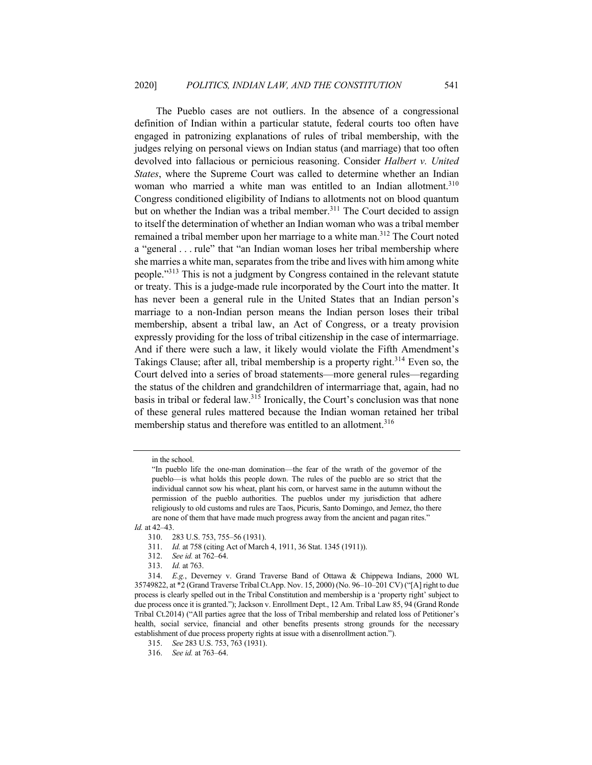The Pueblo cases are not outliers. In the absence of a congressional definition of Indian within a particular statute, federal courts too often have engaged in patronizing explanations of rules of tribal membership, with the judges relying on personal views on Indian status (and marriage) that too often devolved into fallacious or pernicious reasoning. Consider *Halbert v. United States*, where the Supreme Court was called to determine whether an Indian woman who married a white man was entitled to an Indian allotment.<sup>310</sup> Congress conditioned eligibility of Indians to allotments not on blood quantum but on whether the Indian was a tribal member.<sup>311</sup> The Court decided to assign to itself the determination of whether an Indian woman who was a tribal member remained a tribal member upon her marriage to a white man.<sup>312</sup> The Court noted a "general . . . rule" that "an Indian woman loses her tribal membership where she marries a white man, separates from the tribe and lives with him among white people."313 This is not a judgment by Congress contained in the relevant statute or treaty. This is a judge-made rule incorporated by the Court into the matter. It has never been a general rule in the United States that an Indian person's marriage to a non-Indian person means the Indian person loses their tribal membership, absent a tribal law, an Act of Congress, or a treaty provision expressly providing for the loss of tribal citizenship in the case of intermarriage. And if there were such a law, it likely would violate the Fifth Amendment's Takings Clause; after all, tribal membership is a property right.<sup>314</sup> Even so, the Court delved into a series of broad statements—more general rules—regarding the status of the children and grandchildren of intermarriage that, again, had no basis in tribal or federal law.<sup>315</sup> Ironically, the Court's conclusion was that none of these general rules mattered because the Indian woman retained her tribal membership status and therefore was entitled to an allotment.<sup>316</sup>

in the school.

<sup>&</sup>quot;In pueblo life the one-man domination—the fear of the wrath of the governor of the pueblo—is what holds this people down. The rules of the pueblo are so strict that the individual cannot sow his wheat, plant his corn, or harvest same in the autumn without the permission of the pueblo authorities. The pueblos under my jurisdiction that adhere religiously to old customs and rules are Taos, Picuris, Santo Domingo, and Jemez, tho there are none of them that have made much progress away from the ancient and pagan rites."

*Id.* at 42–43.

<sup>310.</sup> 283 U.S. 753, 755–56 (1931).

<sup>311.</sup> *Id.* at 758 (citing Act of March 4, 1911, 36 Stat. 1345 (1911)).

<sup>312.</sup> *See id.* at 762–64.

<sup>313.</sup> *Id.* at 763.

<sup>314.</sup> *E.g.*, Deverney v. Grand Traverse Band of Ottawa & Chippewa Indians, 2000 WL 35749822, at \*2 (Grand Traverse Tribal Ct.App. Nov. 15, 2000) (No. 96–10–201 CV) ("[A] right to due process is clearly spelled out in the Tribal Constitution and membership is a 'property right' subject to due process once it is granted."); Jackson v. Enrollment Dept., 12 Am. Tribal Law 85, 94 (Grand Ronde Tribal Ct.2014) ("All parties agree that the loss of Tribal membership and related loss of Petitioner's health, social service, financial and other benefits presents strong grounds for the necessary establishment of due process property rights at issue with a disenrollment action.").

<sup>315.</sup> *See* 283 U.S. 753, 763 (1931).

<sup>316.</sup> *See id.* at 763–64.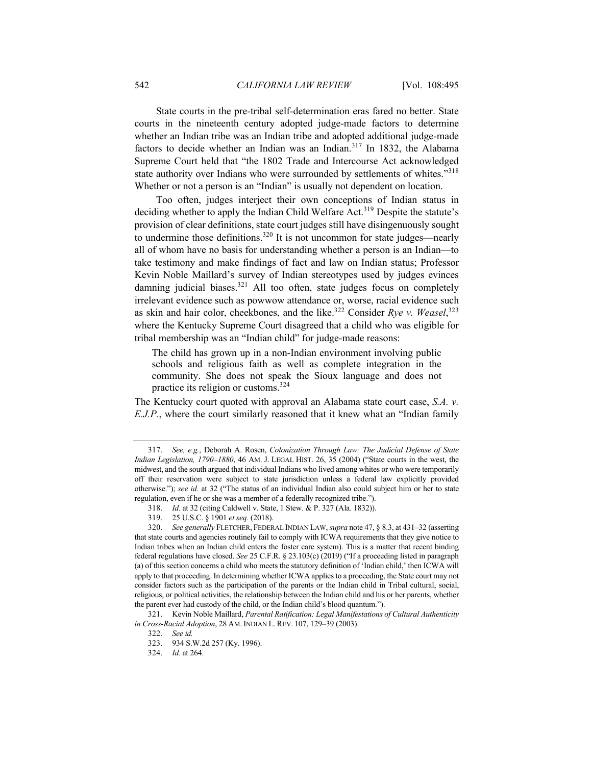State courts in the pre-tribal self-determination eras fared no better. State courts in the nineteenth century adopted judge-made factors to determine whether an Indian tribe was an Indian tribe and adopted additional judge-made factors to decide whether an Indian was an Indian.<sup>317</sup> In 1832, the Alabama Supreme Court held that "the 1802 Trade and Intercourse Act acknowledged state authority over Indians who were surrounded by settlements of whites."<sup>318</sup> Whether or not a person is an "Indian" is usually not dependent on location.

Too often, judges interject their own conceptions of Indian status in deciding whether to apply the Indian Child Welfare Act.<sup>319</sup> Despite the statute's provision of clear definitions, state court judges still have disingenuously sought to undermine those definitions.<sup>320</sup> It is not uncommon for state judges—nearly all of whom have no basis for understanding whether a person is an Indian—to take testimony and make findings of fact and law on Indian status; Professor Kevin Noble Maillard's survey of Indian stereotypes used by judges evinces damning judicial biases. $321$  All too often, state judges focus on completely irrelevant evidence such as powwow attendance or, worse, racial evidence such as skin and hair color, cheekbones, and the like.<sup>322</sup> Consider *Rye v. Weasel*,<sup>323</sup> where the Kentucky Supreme Court disagreed that a child who was eligible for tribal membership was an "Indian child" for judge-made reasons:

The child has grown up in a non-Indian environment involving public schools and religious faith as well as complete integration in the community. She does not speak the Sioux language and does not practice its religion or customs.324

The Kentucky court quoted with approval an Alabama state court case, *S.A. v. E.J.P.*, where the court similarly reasoned that it knew what an "Indian family

<sup>317.</sup> *See, e.g.*, Deborah A. Rosen, *Colonization Through Law: The Judicial Defense of State Indian Legislation, 1790–1880*, 46 AM. J. LEGAL HIST. 26, 35 (2004) ("State courts in the west, the midwest, and the south argued that individual Indians who lived among whites or who were temporarily off their reservation were subject to state jurisdiction unless a federal law explicitly provided otherwise."); *see id.* at 32 ("The status of an individual Indian also could subject him or her to state regulation, even if he or she was a member of a federally recognized tribe.").

<sup>318.</sup> *Id.* at 32 (citing Caldwell v. State, 1 Stew. & P. 327 (Ala. 1832)).

<sup>319.</sup> 25 U.S.C. § 1901 *et seq.* (2018).

<sup>320.</sup> *See generally* FLETCHER, FEDERAL INDIAN LAW, *supra* note 47, § 8.3, at 431–32 (asserting that state courts and agencies routinely fail to comply with ICWA requirements that they give notice to Indian tribes when an Indian child enters the foster care system). This is a matter that recent binding federal regulations have closed. *See* 25 C.F.R. § 23.103(c) (2019) ("If a proceeding listed in paragraph (a) of this section concerns a child who meets the statutory definition of 'Indian child,' then ICWA will apply to that proceeding. In determining whether ICWA applies to a proceeding, the State court may not consider factors such as the participation of the parents or the Indian child in Tribal cultural, social, religious, or political activities, the relationship between the Indian child and his or her parents, whether the parent ever had custody of the child, or the Indian child's blood quantum.").

<sup>321.</sup> Kevin Noble Maillard, *Parental Ratification: Legal Manifestations of Cultural Authenticity in Cross-Racial Adoption*, 28 AM. INDIAN L. REV. 107, 129–39 (2003).

<sup>322.</sup> *See id.*

<sup>323.</sup> 934 S.W.2d 257 (Ky. 1996).

<sup>324.</sup> *Id.* at 264.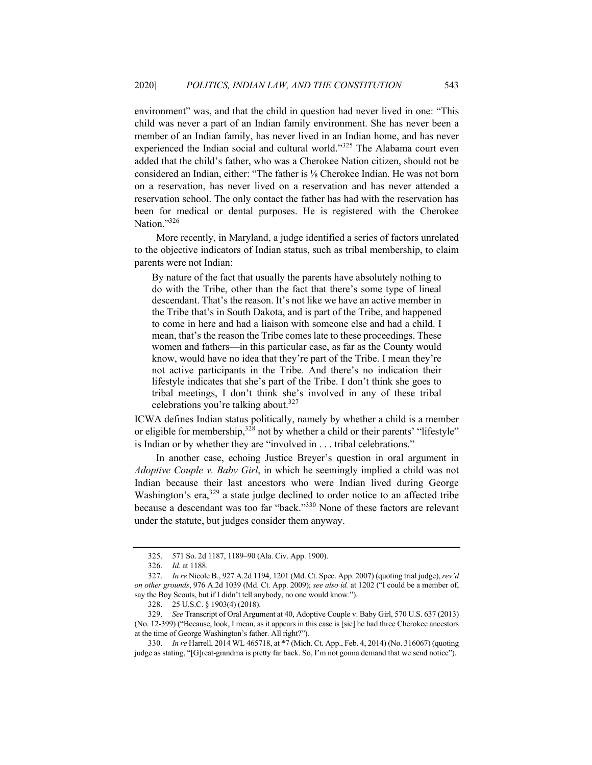environment" was, and that the child in question had never lived in one: "This child was never a part of an Indian family environment. She has never been a member of an Indian family, has never lived in an Indian home, and has never experienced the Indian social and cultural world."<sup>325</sup> The Alabama court even added that the child's father, who was a Cherokee Nation citizen, should not be considered an Indian, either: "The father is ⅛ Cherokee Indian. He was not born on a reservation, has never lived on a reservation and has never attended a reservation school. The only contact the father has had with the reservation has been for medical or dental purposes. He is registered with the Cherokee Nation."326

More recently, in Maryland, a judge identified a series of factors unrelated to the objective indicators of Indian status, such as tribal membership, to claim parents were not Indian:

By nature of the fact that usually the parents have absolutely nothing to do with the Tribe, other than the fact that there's some type of lineal descendant. That's the reason. It's not like we have an active member in the Tribe that's in South Dakota, and is part of the Tribe, and happened to come in here and had a liaison with someone else and had a child. I mean, that's the reason the Tribe comes late to these proceedings. These women and fathers—in this particular case, as far as the County would know, would have no idea that they're part of the Tribe. I mean they're not active participants in the Tribe. And there's no indication their lifestyle indicates that she's part of the Tribe. I don't think she goes to tribal meetings, I don't think she's involved in any of these tribal celebrations you're talking about.<sup>327</sup>

ICWA defines Indian status politically, namely by whether a child is a member or eligible for membership,  $3^{28}$  not by whether a child or their parents' "lifestyle" is Indian or by whether they are "involved in . . . tribal celebrations."

In another case, echoing Justice Breyer's question in oral argument in *Adoptive Couple v. Baby Girl*, in which he seemingly implied a child was not Indian because their last ancestors who were Indian lived during George Washington's era,<sup>329</sup> a state judge declined to order notice to an affected tribe because a descendant was too far "back."<sup>330</sup> None of these factors are relevant under the statute, but judges consider them anyway.

<sup>325.</sup> 571 So. 2d 1187, 1189–90 (Ala. Civ. App. 1900).

<sup>326.</sup> *Id.* at 1188.

<sup>327.</sup> *In re* Nicole B., 927 A.2d 1194, 1201 (Md. Ct. Spec. App. 2007) (quoting trial judge), *rev'd on other grounds*, 976 A.2d 1039 (Md. Ct. App. 2009); *see also id.* at 1202 ("I could be a member of, say the Boy Scouts, but if I didn't tell anybody, no one would know.").

<sup>328.</sup> 25 U.S.C. § 1903(4) (2018).

<sup>329.</sup> *See* Transcript of Oral Argument at 40, Adoptive Couple v. Baby Girl, 570 U.S. 637 (2013) (No. 12-399) ("Because, look, I mean, as it appears in this case is [sic] he had three Cherokee ancestors at the time of George Washington's father. All right?").

<sup>330.</sup> *In re* Harrell, 2014 WL 465718, at \*7 (Mich. Ct. App., Feb. 4, 2014) (No. 316067) (quoting judge as stating, "[G]reat-grandma is pretty far back. So, I'm not gonna demand that we send notice").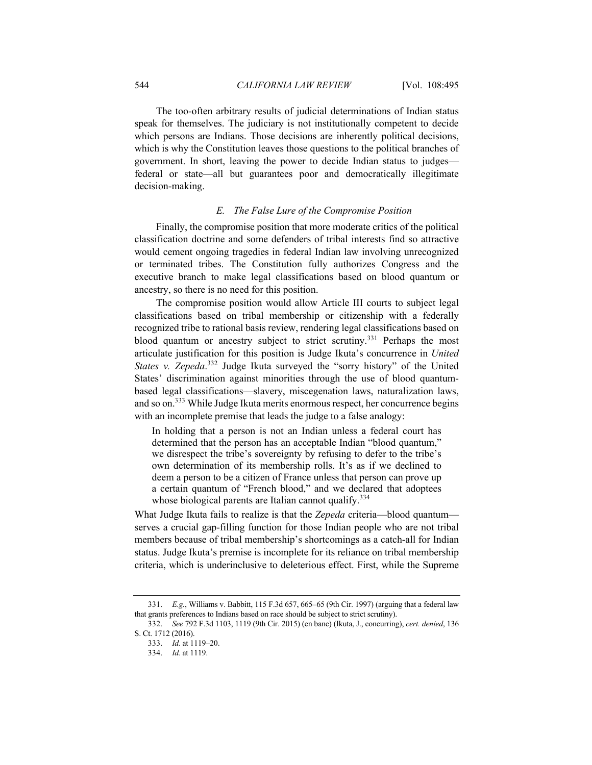The too-often arbitrary results of judicial determinations of Indian status speak for themselves. The judiciary is not institutionally competent to decide which persons are Indians. Those decisions are inherently political decisions, which is why the Constitution leaves those questions to the political branches of government. In short, leaving the power to decide Indian status to judges federal or state—all but guarantees poor and democratically illegitimate decision-making.

# *E. The False Lure of the Compromise Position*

Finally, the compromise position that more moderate critics of the political classification doctrine and some defenders of tribal interests find so attractive would cement ongoing tragedies in federal Indian law involving unrecognized or terminated tribes. The Constitution fully authorizes Congress and the executive branch to make legal classifications based on blood quantum or ancestry, so there is no need for this position.

The compromise position would allow Article III courts to subject legal classifications based on tribal membership or citizenship with a federally recognized tribe to rational basis review, rendering legal classifications based on blood quantum or ancestry subject to strict scrutiny.<sup>331</sup> Perhaps the most articulate justification for this position is Judge Ikuta's concurrence in *United States v. Zepeda*. <sup>332</sup> Judge Ikuta surveyed the "sorry history" of the United States' discrimination against minorities through the use of blood quantumbased legal classifications—slavery, miscegenation laws, naturalization laws, and so on.<sup>333</sup> While Judge Ikuta merits enormous respect, her concurrence begins with an incomplete premise that leads the judge to a false analogy:

In holding that a person is not an Indian unless a federal court has determined that the person has an acceptable Indian "blood quantum," we disrespect the tribe's sovereignty by refusing to defer to the tribe's own determination of its membership rolls. It's as if we declined to deem a person to be a citizen of France unless that person can prove up a certain quantum of "French blood," and we declared that adoptees whose biological parents are Italian cannot qualify.<sup>334</sup>

What Judge Ikuta fails to realize is that the *Zepeda* criteria—blood quantum serves a crucial gap-filling function for those Indian people who are not tribal members because of tribal membership's shortcomings as a catch-all for Indian status. Judge Ikuta's premise is incomplete for its reliance on tribal membership criteria, which is underinclusive to deleterious effect. First, while the Supreme

<sup>331.</sup> *E.g.*, Williams v. Babbitt, 115 F.3d 657, 665–65 (9th Cir. 1997) (arguing that a federal law that grants preferences to Indians based on race should be subject to strict scrutiny).

<sup>332.</sup> *See* 792 F.3d 1103, 1119 (9th Cir. 2015) (en banc) (Ikuta, J., concurring), *cert. denied*, 136 S. Ct. 1712 (2016).

<sup>333.</sup> *Id.* at 1119–20.

<sup>334.</sup> *Id.* at 1119.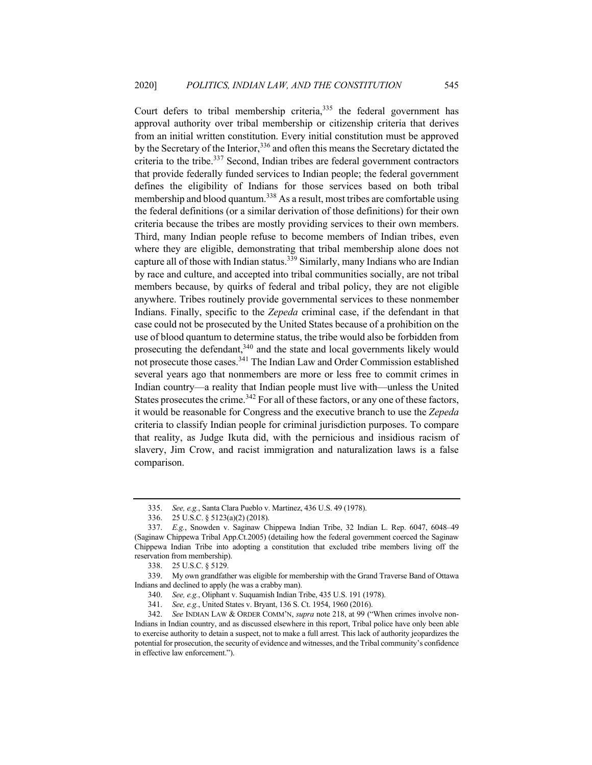Court defers to tribal membership criteria, $335$  the federal government has approval authority over tribal membership or citizenship criteria that derives from an initial written constitution. Every initial constitution must be approved by the Secretary of the Interior,<sup>336</sup> and often this means the Secretary dictated the criteria to the tribe.<sup>337</sup> Second, Indian tribes are federal government contractors that provide federally funded services to Indian people; the federal government defines the eligibility of Indians for those services based on both tribal membership and blood quantum.<sup>338</sup> As a result, most tribes are comfortable using the federal definitions (or a similar derivation of those definitions) for their own criteria because the tribes are mostly providing services to their own members. Third, many Indian people refuse to become members of Indian tribes, even where they are eligible, demonstrating that tribal membership alone does not capture all of those with Indian status.<sup>339</sup> Similarly, many Indians who are Indian by race and culture, and accepted into tribal communities socially, are not tribal members because, by quirks of federal and tribal policy, they are not eligible anywhere. Tribes routinely provide governmental services to these nonmember Indians. Finally, specific to the *Zepeda* criminal case, if the defendant in that case could not be prosecuted by the United States because of a prohibition on the use of blood quantum to determine status, the tribe would also be forbidden from prosecuting the defendant, $340$  and the state and local governments likely would not prosecute those cases.<sup>341</sup> The Indian Law and Order Commission established several years ago that nonmembers are more or less free to commit crimes in Indian country—a reality that Indian people must live with—unless the United States prosecutes the crime.<sup>342</sup> For all of these factors, or any one of these factors, it would be reasonable for Congress and the executive branch to use the *Zepeda* criteria to classify Indian people for criminal jurisdiction purposes. To compare that reality, as Judge Ikuta did, with the pernicious and insidious racism of slavery, Jim Crow, and racist immigration and naturalization laws is a false comparison.

<sup>335.</sup> *See, e.g.*, Santa Clara Pueblo v. Martinez, 436 U.S. 49 (1978).

<sup>336.</sup> 25 U.S.C. § 5123(a)(2) (2018).

<sup>337.</sup> *E.g.*, Snowden v. Saginaw Chippewa Indian Tribe, 32 Indian L. Rep. 6047, 6048–49 (Saginaw Chippewa Tribal App.Ct.2005) (detailing how the federal government coerced the Saginaw Chippewa Indian Tribe into adopting a constitution that excluded tribe members living off the reservation from membership).

<sup>338.</sup> 25 U.S.C. § 5129.

<sup>339.</sup> My own grandfather was eligible for membership with the Grand Traverse Band of Ottawa Indians and declined to apply (he was a crabby man).

<sup>340.</sup> *See, e.g.*, Oliphant v. Suquamish Indian Tribe, 435 U.S. 191 (1978).

<sup>341.</sup> *See, e.g.*, United States v. Bryant, 136 S. Ct. 1954, 1960 (2016).

<sup>342.</sup> *See* INDIAN LAW & ORDER COMM'N, *supra* note 218, at 99 ("When crimes involve non-Indians in Indian country, and as discussed elsewhere in this report, Tribal police have only been able to exercise authority to detain a suspect, not to make a full arrest. This lack of authority jeopardizes the potential for prosecution, the security of evidence and witnesses, and the Tribal community's confidence in effective law enforcement.").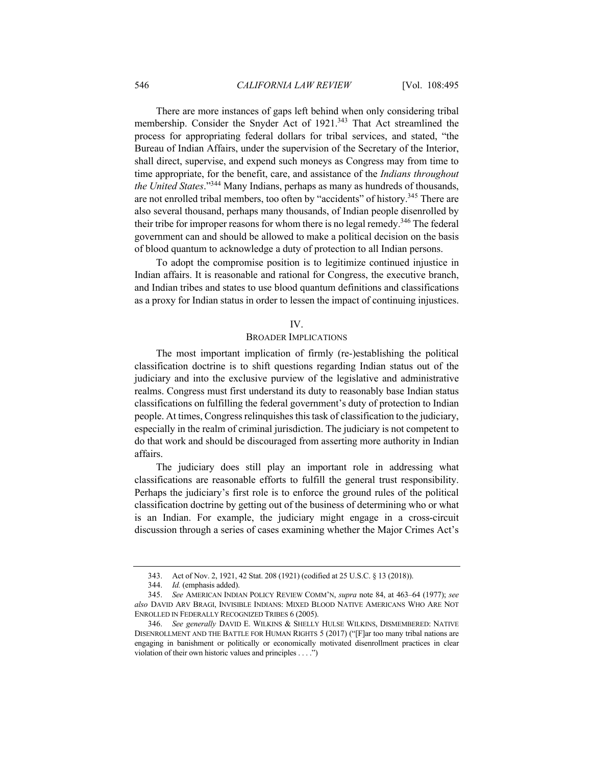There are more instances of gaps left behind when only considering tribal membership. Consider the Snyder Act of 1921.<sup>343</sup> That Act streamlined the process for appropriating federal dollars for tribal services, and stated, "the Bureau of Indian Affairs, under the supervision of the Secretary of the Interior, shall direct, supervise, and expend such moneys as Congress may from time to time appropriate, for the benefit, care, and assistance of the *Indians throughout the United States*."344 Many Indians, perhaps as many as hundreds of thousands, are not enrolled tribal members, too often by "accidents" of history.<sup>345</sup> There are also several thousand, perhaps many thousands, of Indian people disenrolled by their tribe for improper reasons for whom there is no legal remedy.<sup>346</sup> The federal government can and should be allowed to make a political decision on the basis of blood quantum to acknowledge a duty of protection to all Indian persons.

To adopt the compromise position is to legitimize continued injustice in Indian affairs. It is reasonable and rational for Congress, the executive branch, and Indian tribes and states to use blood quantum definitions and classifications as a proxy for Indian status in order to lessen the impact of continuing injustices.

#### IV.

# BROADER IMPLICATIONS

The most important implication of firmly (re-)establishing the political classification doctrine is to shift questions regarding Indian status out of the judiciary and into the exclusive purview of the legislative and administrative realms. Congress must first understand its duty to reasonably base Indian status classifications on fulfilling the federal government's duty of protection to Indian people. At times, Congress relinquishes this task of classification to the judiciary, especially in the realm of criminal jurisdiction. The judiciary is not competent to do that work and should be discouraged from asserting more authority in Indian affairs.

The judiciary does still play an important role in addressing what classifications are reasonable efforts to fulfill the general trust responsibility. Perhaps the judiciary's first role is to enforce the ground rules of the political classification doctrine by getting out of the business of determining who or what is an Indian. For example, the judiciary might engage in a cross-circuit discussion through a series of cases examining whether the Major Crimes Act's

<sup>343.</sup> Act of Nov. 2, 1921, 42 Stat. 208 (1921) (codified at 25 U.S.C. § 13 (2018)).

<sup>344.</sup> *Id.* (emphasis added).

<sup>345.</sup> *See* AMERICAN INDIAN POLICY REVIEW COMM'N, *supra* note 84, at 463–64 (1977); *see also* DAVID ARV BRAGI, INVISIBLE INDIANS: MIXED BLOOD NATIVE AMERICANS WHO ARE NOT ENROLLED IN FEDERALLY RECOGNIZED TRIBES 6 (2005).

<sup>346.</sup> *See generally* DAVID E. WILKINS & SHELLY HULSE WILKINS, DISMEMBERED: NATIVE DISENROLLMENT AND THE BATTLE FOR HUMAN RIGHTS 5 (2017) ("[F]ar too many tribal nations are engaging in banishment or politically or economically motivated disenrollment practices in clear violation of their own historic values and principles . . . .")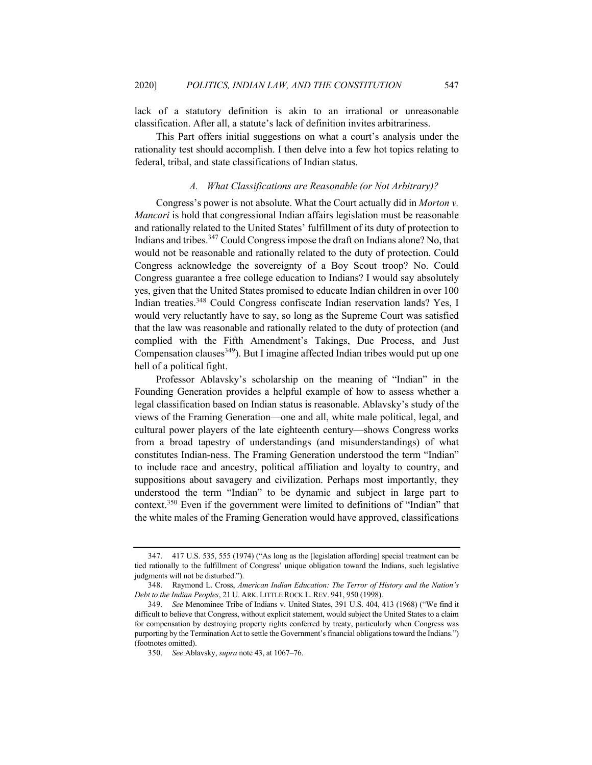lack of a statutory definition is akin to an irrational or unreasonable classification. After all, a statute's lack of definition invites arbitrariness.

This Part offers initial suggestions on what a court's analysis under the rationality test should accomplish. I then delve into a few hot topics relating to federal, tribal, and state classifications of Indian status.

# *A. What Classifications are Reasonable (or Not Arbitrary)?*

Congress's power is not absolute. What the Court actually did in *Morton v. Mancari* is hold that congressional Indian affairs legislation must be reasonable and rationally related to the United States' fulfillment of its duty of protection to Indians and tribes.<sup>347</sup> Could Congress impose the draft on Indians alone? No, that would not be reasonable and rationally related to the duty of protection. Could Congress acknowledge the sovereignty of a Boy Scout troop? No. Could Congress guarantee a free college education to Indians? I would say absolutely yes, given that the United States promised to educate Indian children in over 100 Indian treaties.348 Could Congress confiscate Indian reservation lands? Yes, I would very reluctantly have to say, so long as the Supreme Court was satisfied that the law was reasonable and rationally related to the duty of protection (and complied with the Fifth Amendment's Takings, Due Process, and Just Compensation clauses<sup>349</sup>). But I imagine affected Indian tribes would put up one hell of a political fight.

Professor Ablavsky's scholarship on the meaning of "Indian" in the Founding Generation provides a helpful example of how to assess whether a legal classification based on Indian status is reasonable. Ablavsky's study of the views of the Framing Generation—one and all, white male political, legal, and cultural power players of the late eighteenth century—shows Congress works from a broad tapestry of understandings (and misunderstandings) of what constitutes Indian-ness. The Framing Generation understood the term "Indian" to include race and ancestry, political affiliation and loyalty to country, and suppositions about savagery and civilization. Perhaps most importantly, they understood the term "Indian" to be dynamic and subject in large part to context.<sup>350</sup> Even if the government were limited to definitions of "Indian" that the white males of the Framing Generation would have approved, classifications

<sup>347.</sup> 417 U.S. 535, 555 (1974) ("As long as the [legislation affording] special treatment can be tied rationally to the fulfillment of Congress' unique obligation toward the Indians, such legislative judgments will not be disturbed.").

<sup>348.</sup> Raymond L. Cross, *American Indian Education: The Terror of History and the Nation's Debt to the Indian Peoples*, 21 U. ARK. LITTLE ROCK L. REV. 941, 950 (1998).

<sup>349.</sup> *See* Menominee Tribe of Indians v. United States, 391 U.S. 404, 413 (1968) ("We find it difficult to believe that Congress, without explicit statement, would subject the United States to a claim for compensation by destroying property rights conferred by treaty, particularly when Congress was purporting by the Termination Act to settle the Government's financial obligations toward the Indians.") (footnotes omitted).

<sup>350.</sup> *See* Ablavsky, *supra* note 43, at 1067–76.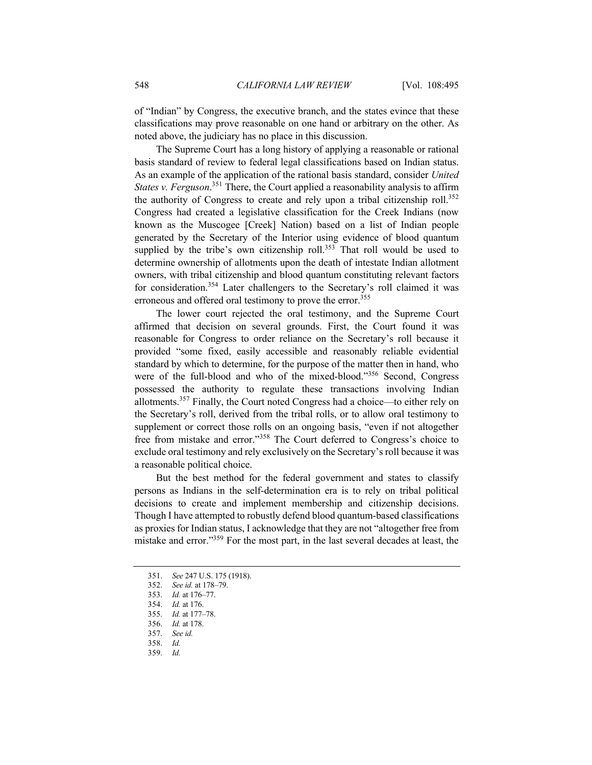of "Indian" by Congress, the executive branch, and the states evince that these classifications may prove reasonable on one hand or arbitrary on the other. As noted above, the judiciary has no place in this discussion.

The Supreme Court has a long history of applying a reasonable or rational basis standard of review to federal legal classifications based on Indian status. As an example of the application of the rational basis standard, consider *United States v. Ferguson*. <sup>351</sup> There, the Court applied a reasonability analysis to affirm the authority of Congress to create and rely upon a tribal citizenship roll.<sup>352</sup> Congress had created a legislative classification for the Creek Indians (now known as the Muscogee [Creek] Nation) based on a list of Indian people generated by the Secretary of the Interior using evidence of blood quantum supplied by the tribe's own citizenship roll.<sup>353</sup> That roll would be used to determine ownership of allotments upon the death of intestate Indian allotment owners, with tribal citizenship and blood quantum constituting relevant factors for consideration.<sup>354</sup> Later challengers to the Secretary's roll claimed it was erroneous and offered oral testimony to prove the error.<sup>355</sup>

The lower court rejected the oral testimony, and the Supreme Court affirmed that decision on several grounds. First, the Court found it was reasonable for Congress to order reliance on the Secretary's roll because it provided "some fixed, easily accessible and reasonably reliable evidential standard by which to determine, for the purpose of the matter then in hand, who were of the full-blood and who of the mixed-blood."<sup>356</sup> Second, Congress possessed the authority to regulate these transactions involving Indian allotments.357 Finally, the Court noted Congress had a choice—to either rely on the Secretary's roll, derived from the tribal rolls, or to allow oral testimony to supplement or correct those rolls on an ongoing basis, "even if not altogether free from mistake and error."<sup>358</sup> The Court deferred to Congress's choice to exclude oral testimony and rely exclusively on the Secretary's roll because it was a reasonable political choice.

But the best method for the federal government and states to classify persons as Indians in the self-determination era is to rely on tribal political decisions to create and implement membership and citizenship decisions. Though I have attempted to robustly defend blood quantum-based classifications as proxies for Indian status, I acknowledge that they are not "altogether free from mistake and error."359 For the most part, in the last several decades at least, the

<sup>351.</sup> *See* 247 U.S. 175 (1918).

<sup>352.</sup> *See id.* at 178–79.

<sup>353.</sup> *Id.* at 176–77.

<sup>354.</sup> *Id.* at 176.

<sup>355.</sup> *Id.* at 177–78.

<sup>356.</sup> *Id.* at 178.

<sup>357.</sup> *See id.*

<sup>358.</sup> *Id.*

<sup>359.</sup> *Id.*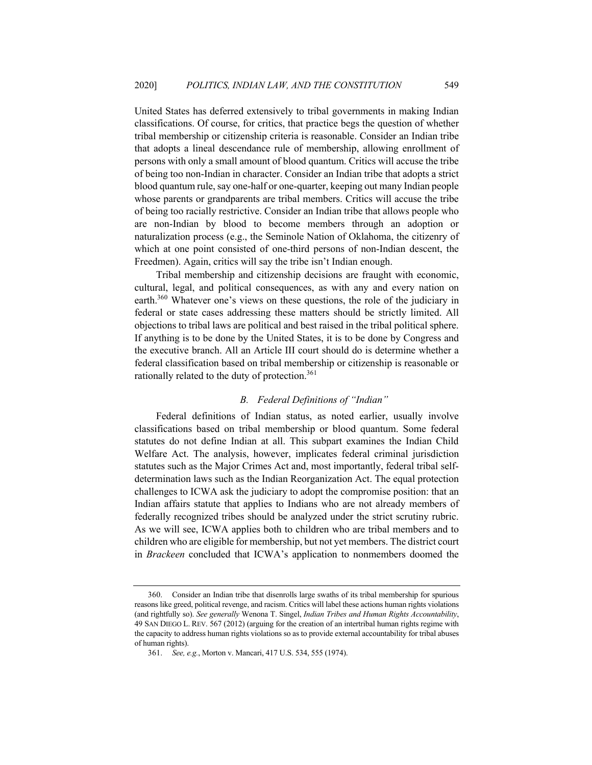United States has deferred extensively to tribal governments in making Indian classifications. Of course, for critics, that practice begs the question of whether tribal membership or citizenship criteria is reasonable. Consider an Indian tribe that adopts a lineal descendance rule of membership, allowing enrollment of persons with only a small amount of blood quantum. Critics will accuse the tribe of being too non-Indian in character. Consider an Indian tribe that adopts a strict blood quantum rule, say one-half or one-quarter, keeping out many Indian people whose parents or grandparents are tribal members. Critics will accuse the tribe of being too racially restrictive. Consider an Indian tribe that allows people who are non-Indian by blood to become members through an adoption or naturalization process (e.g., the Seminole Nation of Oklahoma, the citizenry of which at one point consisted of one-third persons of non-Indian descent, the Freedmen). Again, critics will say the tribe isn't Indian enough.

Tribal membership and citizenship decisions are fraught with economic, cultural, legal, and political consequences, as with any and every nation on earth.<sup>360</sup> Whatever one's views on these questions, the role of the judiciary in federal or state cases addressing these matters should be strictly limited. All objections to tribal laws are political and best raised in the tribal political sphere. If anything is to be done by the United States, it is to be done by Congress and the executive branch. All an Article III court should do is determine whether a federal classification based on tribal membership or citizenship is reasonable or rationally related to the duty of protection.<sup>361</sup>

# *B. Federal Definitions of "Indian"*

Federal definitions of Indian status, as noted earlier, usually involve classifications based on tribal membership or blood quantum. Some federal statutes do not define Indian at all. This subpart examines the Indian Child Welfare Act. The analysis, however, implicates federal criminal jurisdiction statutes such as the Major Crimes Act and, most importantly, federal tribal selfdetermination laws such as the Indian Reorganization Act. The equal protection challenges to ICWA ask the judiciary to adopt the compromise position: that an Indian affairs statute that applies to Indians who are not already members of federally recognized tribes should be analyzed under the strict scrutiny rubric. As we will see, ICWA applies both to children who are tribal members and to children who are eligible for membership, but not yet members. The district court in *Brackeen* concluded that ICWA's application to nonmembers doomed the

<sup>360.</sup> Consider an Indian tribe that disenrolls large swaths of its tribal membership for spurious reasons like greed, political revenge, and racism. Critics will label these actions human rights violations (and rightfully so). *See generally* Wenona T. Singel, *Indian Tribes and Human Rights Accountability*, 49 SAN DIEGO L. REV. 567 (2012) (arguing for the creation of an intertribal human rights regime with the capacity to address human rights violations so as to provide external accountability for tribal abuses of human rights).

<sup>361.</sup> *See, e.g.*, Morton v. Mancari, 417 U.S. 534, 555 (1974).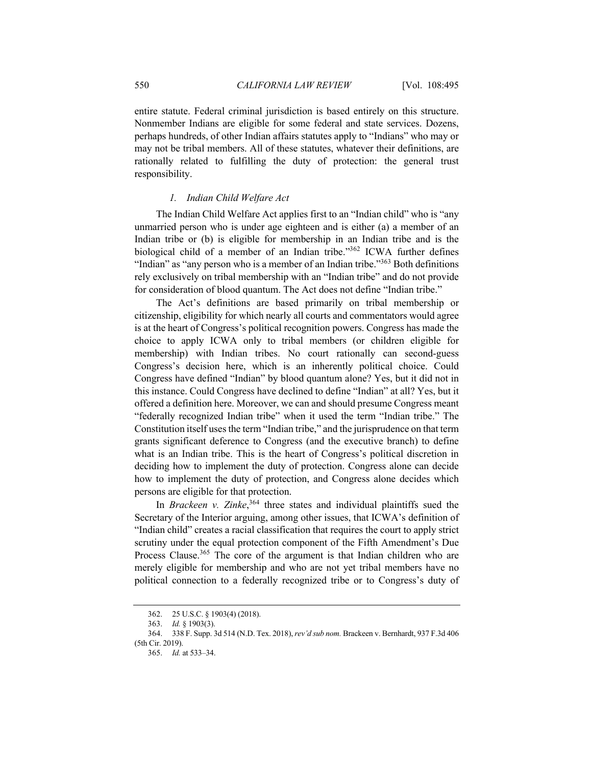entire statute. Federal criminal jurisdiction is based entirely on this structure. Nonmember Indians are eligible for some federal and state services. Dozens, perhaps hundreds, of other Indian affairs statutes apply to "Indians" who may or may not be tribal members. All of these statutes, whatever their definitions, are rationally related to fulfilling the duty of protection: the general trust responsibility.

#### *1. Indian Child Welfare Act*

The Indian Child Welfare Act applies first to an "Indian child" who is "any unmarried person who is under age eighteen and is either (a) a member of an Indian tribe or (b) is eligible for membership in an Indian tribe and is the biological child of a member of an Indian tribe."<sup>362</sup> ICWA further defines "Indian" as "any person who is a member of an Indian tribe."<sup>363</sup> Both definitions rely exclusively on tribal membership with an "Indian tribe" and do not provide for consideration of blood quantum. The Act does not define "Indian tribe."

The Act's definitions are based primarily on tribal membership or citizenship, eligibility for which nearly all courts and commentators would agree is at the heart of Congress's political recognition powers. Congress has made the choice to apply ICWA only to tribal members (or children eligible for membership) with Indian tribes. No court rationally can second-guess Congress's decision here, which is an inherently political choice. Could Congress have defined "Indian" by blood quantum alone? Yes, but it did not in this instance. Could Congress have declined to define "Indian" at all? Yes, but it offered a definition here. Moreover, we can and should presume Congress meant "federally recognized Indian tribe" when it used the term "Indian tribe." The Constitution itself uses the term "Indian tribe," and the jurisprudence on that term grants significant deference to Congress (and the executive branch) to define what is an Indian tribe. This is the heart of Congress's political discretion in deciding how to implement the duty of protection. Congress alone can decide how to implement the duty of protection, and Congress alone decides which persons are eligible for that protection.

In *Brackeen v. Zinke*, <sup>364</sup> three states and individual plaintiffs sued the Secretary of the Interior arguing, among other issues, that ICWA's definition of "Indian child" creates a racial classification that requires the court to apply strict scrutiny under the equal protection component of the Fifth Amendment's Due Process Clause.<sup>365</sup> The core of the argument is that Indian children who are merely eligible for membership and who are not yet tribal members have no political connection to a federally recognized tribe or to Congress's duty of

<sup>362.</sup> 25 U.S.C. § 1903(4) (2018).

<sup>363.</sup> *Id.* § 1903(3).

<sup>364.</sup> 338 F. Supp. 3d 514 (N.D. Tex. 2018), *rev'd sub nom.* Brackeen v. Bernhardt, 937 F.3d 406 (5th Cir. 2019).

<sup>365.</sup> *Id.* at 533–34.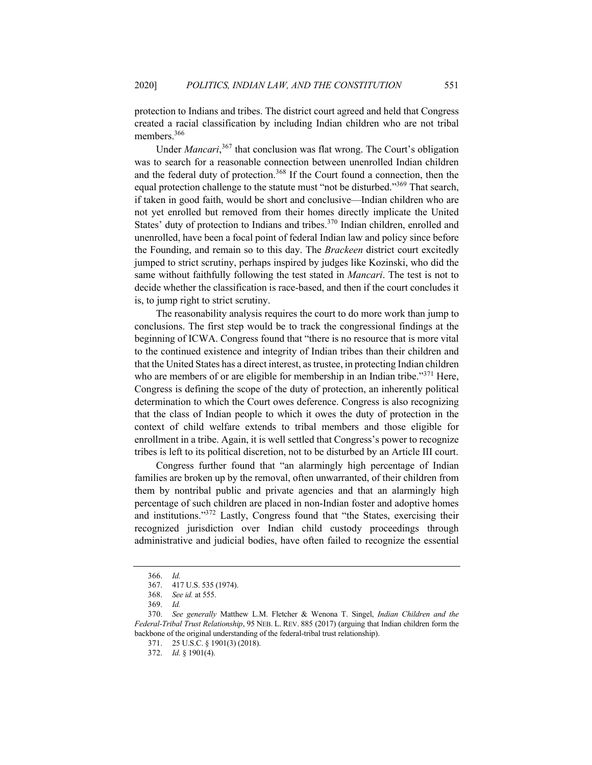protection to Indians and tribes. The district court agreed and held that Congress created a racial classification by including Indian children who are not tribal members.<sup>366</sup>

Under *Mancari*,<sup>367</sup> that conclusion was flat wrong. The Court's obligation was to search for a reasonable connection between unenrolled Indian children and the federal duty of protection.<sup>368</sup> If the Court found a connection, then the equal protection challenge to the statute must "not be disturbed."<sup>369</sup> That search, if taken in good faith, would be short and conclusive—Indian children who are not yet enrolled but removed from their homes directly implicate the United States' duty of protection to Indians and tribes.<sup>370</sup> Indian children, enrolled and unenrolled, have been a focal point of federal Indian law and policy since before the Founding, and remain so to this day. The *Brackeen* district court excitedly jumped to strict scrutiny, perhaps inspired by judges like Kozinski, who did the same without faithfully following the test stated in *Mancari*. The test is not to decide whether the classification is race-based, and then if the court concludes it is, to jump right to strict scrutiny.

The reasonability analysis requires the court to do more work than jump to conclusions. The first step would be to track the congressional findings at the beginning of ICWA. Congress found that "there is no resource that is more vital to the continued existence and integrity of Indian tribes than their children and that the United States has a direct interest, as trustee, in protecting Indian children who are members of or are eligible for membership in an Indian tribe."<sup>371</sup> Here, Congress is defining the scope of the duty of protection, an inherently political determination to which the Court owes deference. Congress is also recognizing that the class of Indian people to which it owes the duty of protection in the context of child welfare extends to tribal members and those eligible for enrollment in a tribe. Again, it is well settled that Congress's power to recognize tribes is left to its political discretion, not to be disturbed by an Article III court.

Congress further found that "an alarmingly high percentage of Indian families are broken up by the removal, often unwarranted, of their children from them by nontribal public and private agencies and that an alarmingly high percentage of such children are placed in non-Indian foster and adoptive homes and institutions."<sup>372</sup> Lastly, Congress found that "the States, exercising their recognized jurisdiction over Indian child custody proceedings through administrative and judicial bodies, have often failed to recognize the essential

<sup>366.</sup> *Id.*

<sup>367.</sup> 417 U.S. 535 (1974).

<sup>368.</sup> *See id.* at 555.

<sup>369.</sup> *Id.*

<sup>370.</sup> *See generally* Matthew L.M. Fletcher & Wenona T. Singel, *Indian Children and the Federal-Tribal Trust Relationship*, 95 NEB. L. REV. 885 (2017) (arguing that Indian children form the backbone of the original understanding of the federal-tribal trust relationship).

<sup>371.</sup> 25 U.S.C. § 1901(3) (2018).

<sup>372.</sup> *Id.* § 1901(4).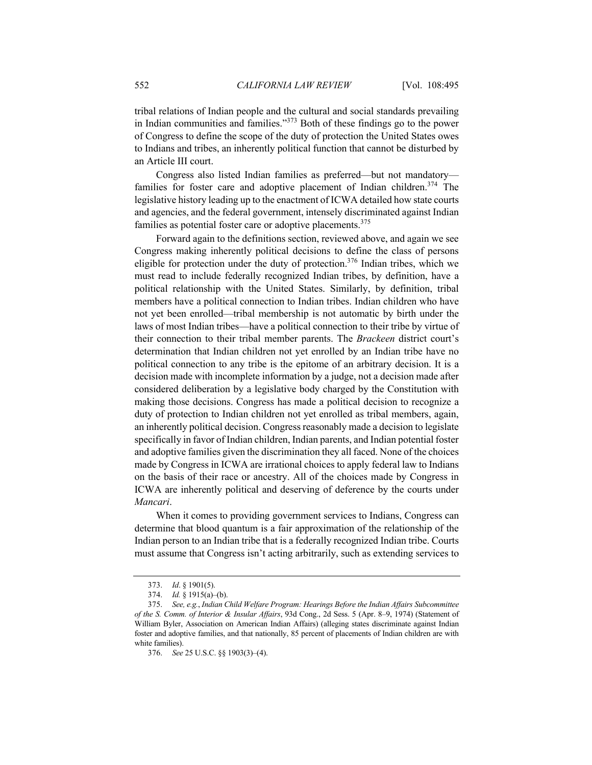tribal relations of Indian people and the cultural and social standards prevailing in Indian communities and families."<sup>373</sup> Both of these findings go to the power of Congress to define the scope of the duty of protection the United States owes to Indians and tribes, an inherently political function that cannot be disturbed by an Article III court.

Congress also listed Indian families as preferred—but not mandatory families for foster care and adoptive placement of Indian children.<sup>374</sup> The legislative history leading up to the enactment of ICWA detailed how state courts and agencies, and the federal government, intensely discriminated against Indian families as potential foster care or adoptive placements.<sup>375</sup>

Forward again to the definitions section, reviewed above, and again we see Congress making inherently political decisions to define the class of persons eligible for protection under the duty of protection.<sup>376</sup> Indian tribes, which we must read to include federally recognized Indian tribes, by definition, have a political relationship with the United States. Similarly, by definition, tribal members have a political connection to Indian tribes. Indian children who have not yet been enrolled—tribal membership is not automatic by birth under the laws of most Indian tribes—have a political connection to their tribe by virtue of their connection to their tribal member parents. The *Brackeen* district court's determination that Indian children not yet enrolled by an Indian tribe have no political connection to any tribe is the epitome of an arbitrary decision. It is a decision made with incomplete information by a judge, not a decision made after considered deliberation by a legislative body charged by the Constitution with making those decisions. Congress has made a political decision to recognize a duty of protection to Indian children not yet enrolled as tribal members, again, an inherently political decision. Congress reasonably made a decision to legislate specifically in favor of Indian children, Indian parents, and Indian potential foster and adoptive families given the discrimination they all faced. None of the choices made by Congress in ICWA are irrational choices to apply federal law to Indians on the basis of their race or ancestry. All of the choices made by Congress in ICWA are inherently political and deserving of deference by the courts under *Mancari*.

When it comes to providing government services to Indians, Congress can determine that blood quantum is a fair approximation of the relationship of the Indian person to an Indian tribe that is a federally recognized Indian tribe. Courts must assume that Congress isn't acting arbitrarily, such as extending services to

<sup>373.</sup> *Id*. § 1901(5).

<sup>374.</sup> *Id.* § 1915(a)–(b).

<sup>375.</sup> *See, e.g.*, *Indian Child Welfare Program: Hearings Before the Indian Affairs Subcommittee of the S. Comm. of Interior & Insular Affairs*, 93d Cong., 2d Sess. 5 (Apr. 8–9, 1974) (Statement of William Byler, Association on American Indian Affairs) (alleging states discriminate against Indian foster and adoptive families, and that nationally, 85 percent of placements of Indian children are with white families).

<sup>376.</sup> *See* 25 U.S.C. §§ 1903(3)–(4).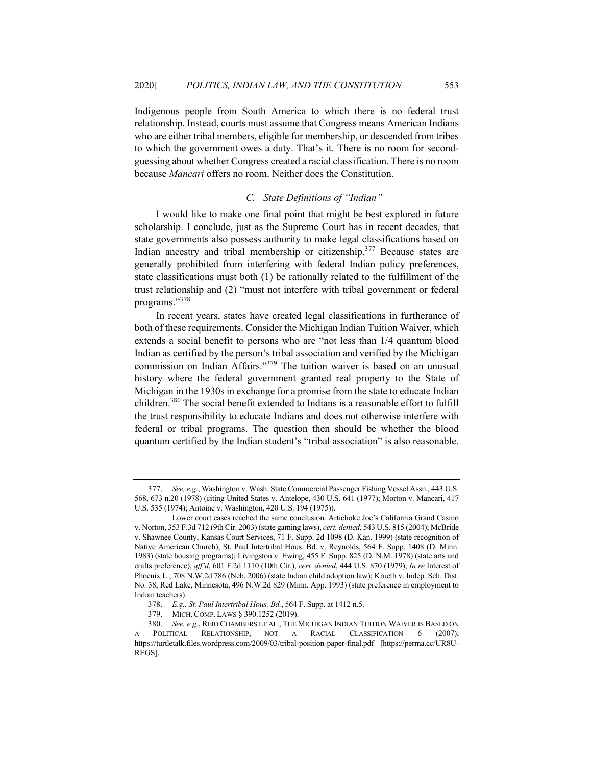Indigenous people from South America to which there is no federal trust relationship. Instead, courts must assume that Congress means American Indians who are either tribal members, eligible for membership, or descended from tribes to which the government owes a duty. That's it. There is no room for secondguessing about whether Congress created a racial classification. There is no room because *Mancari* offers no room. Neither does the Constitution.

# *C. State Definitions of "Indian"*

I would like to make one final point that might be best explored in future scholarship. I conclude, just as the Supreme Court has in recent decades, that state governments also possess authority to make legal classifications based on Indian ancestry and tribal membership or citizenship.<sup>377</sup> Because states are generally prohibited from interfering with federal Indian policy preferences, state classifications must both (1) be rationally related to the fulfillment of the trust relationship and (2) "must not interfere with tribal government or federal programs."378

In recent years, states have created legal classifications in furtherance of both of these requirements. Consider the Michigan Indian Tuition Waiver, which extends a social benefit to persons who are "not less than 1/4 quantum blood Indian as certified by the person's tribal association and verified by the Michigan commission on Indian Affairs."379 The tuition waiver is based on an unusual history where the federal government granted real property to the State of Michigan in the 1930s in exchange for a promise from the state to educate Indian children.380 The social benefit extended to Indians is a reasonable effort to fulfill the trust responsibility to educate Indians and does not otherwise interfere with federal or tribal programs. The question then should be whether the blood quantum certified by the Indian student's "tribal association" is also reasonable.

<sup>377.</sup> *See, e.g.*, Washington v. Wash. State Commercial Passenger Fishing Vessel Assn., 443 U.S. 568, 673 n.20 (1978) (citing United States v. Antelope, 430 U.S. 641 (1977); Morton v. Mancari, 417 U.S. 535 (1974); Antoine v. Washington, 420 U.S. 194 (1975)).

Lower court cases reached the same conclusion. Artichoke Joe's California Grand Casino v. Norton, 353 F.3d 712 (9th Cir. 2003) (state gaming laws), *cert. denied*, 543 U.S. 815 (2004); McBride v. Shawnee County, Kansas Court Services, 71 F. Supp. 2d 1098 (D. Kan. 1999) (state recognition of Native American Church); St. Paul Intertribal Hous. Bd. v. Reynolds, 564 F. Supp. 1408 (D. Minn. 1983) (state housing programs); Livingston v. Ewing, 455 F. Supp. 825 (D. N.M. 1978) (state arts and crafts preference), *aff'd*, 601 F.2d 1110 (10th Cir.), *cert. denied*, 444 U.S. 870 (1979); *In re* Interest of Phoenix L., 708 N.W.2d 786 (Neb. 2006) (state Indian child adoption law); Krueth v. Indep. Sch. Dist. No. 38, Red Lake, Minnesota, 496 N.W.2d 829 (Minn. App. 1993) (state preference in employment to Indian teachers).

<sup>378.</sup> *E.g.*, *St. Paul Intertribal Hous. Bd.*, 564 F. Supp. at 1412 n.5.

<sup>379.</sup> MICH. COMP. LAWS § 390.1252 (2019).

<sup>380.</sup> *See, e.g.*, REID CHAMBERS ET AL., THE MICHIGAN INDIAN TUITION WAIVER IS BASED ON A POLITICAL RELATIONSHIP, NOT A RACIAL CLASSIFICATION 6 (2007), https://turtletalk.files.wordpress.com/2009/03/tribal-position-paper-final.pdf [https://perma.cc/UR8U-REGS].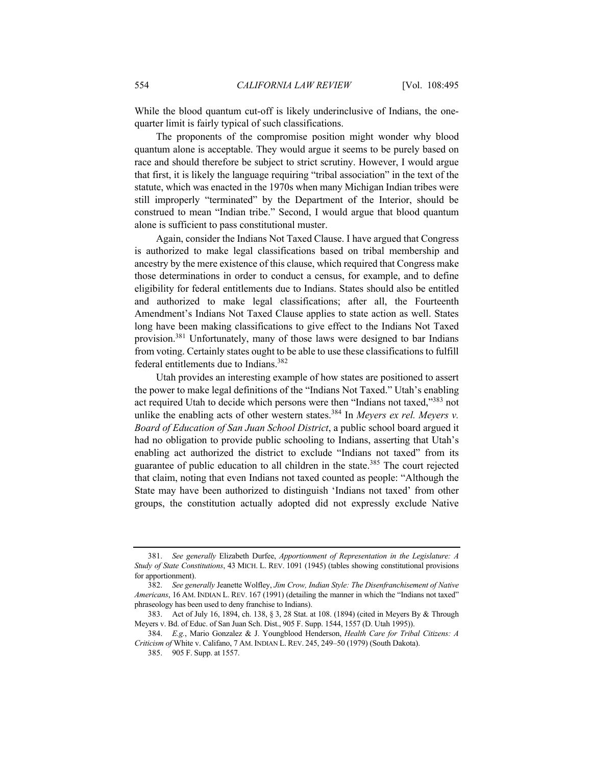While the blood quantum cut-off is likely underinclusive of Indians, the onequarter limit is fairly typical of such classifications.

The proponents of the compromise position might wonder why blood quantum alone is acceptable. They would argue it seems to be purely based on race and should therefore be subject to strict scrutiny. However, I would argue that first, it is likely the language requiring "tribal association" in the text of the statute, which was enacted in the 1970s when many Michigan Indian tribes were still improperly "terminated" by the Department of the Interior, should be construed to mean "Indian tribe." Second, I would argue that blood quantum alone is sufficient to pass constitutional muster.

Again, consider the Indians Not Taxed Clause. I have argued that Congress is authorized to make legal classifications based on tribal membership and ancestry by the mere existence of this clause, which required that Congress make those determinations in order to conduct a census, for example, and to define eligibility for federal entitlements due to Indians. States should also be entitled and authorized to make legal classifications; after all, the Fourteenth Amendment's Indians Not Taxed Clause applies to state action as well. States long have been making classifications to give effect to the Indians Not Taxed provision.<sup>381</sup> Unfortunately, many of those laws were designed to bar Indians from voting. Certainly states ought to be able to use these classifications to fulfill federal entitlements due to Indians.<sup>382</sup>

Utah provides an interesting example of how states are positioned to assert the power to make legal definitions of the "Indians Not Taxed." Utah's enabling act required Utah to decide which persons were then "Indians not taxed,"<sup>383</sup> not unlike the enabling acts of other western states.<sup>384</sup> In *Meyers ex rel. Meyers v. Board of Education of San Juan School District*, a public school board argued it had no obligation to provide public schooling to Indians, asserting that Utah's enabling act authorized the district to exclude "Indians not taxed" from its guarantee of public education to all children in the state.<sup>385</sup> The court rejected that claim, noting that even Indians not taxed counted as people: "Although the State may have been authorized to distinguish 'Indians not taxed' from other groups, the constitution actually adopted did not expressly exclude Native

<sup>381.</sup> *See generally* Elizabeth Durfee, *Apportionment of Representation in the Legislature: A Study of State Constitutions*, 43 MICH. L. REV. 1091 (1945) (tables showing constitutional provisions for apportionment).

<sup>382.</sup> *See generally* Jeanette Wolfley, *Jim Crow, Indian Style: The Disenfranchisement of Native Americans*, 16 AM. INDIAN L. REV. 167 (1991) (detailing the manner in which the "Indians not taxed" phraseology has been used to deny franchise to Indians).

<sup>383.</sup> Act of July 16, 1894, ch. 138, § 3, 28 Stat. at 108. (1894) (cited in Meyers By & Through Meyers v. Bd. of Educ. of San Juan Sch. Dist., 905 F. Supp. 1544, 1557 (D. Utah 1995)).

<sup>384.</sup> *E.g.*, Mario Gonzalez & J. Youngblood Henderson, *Health Care for Tribal Citizens: A Criticism of* White v. Califano, 7 AM. INDIAN L. REV. 245, 249–50 (1979) (South Dakota).

<sup>385.</sup> 905 F. Supp. at 1557.